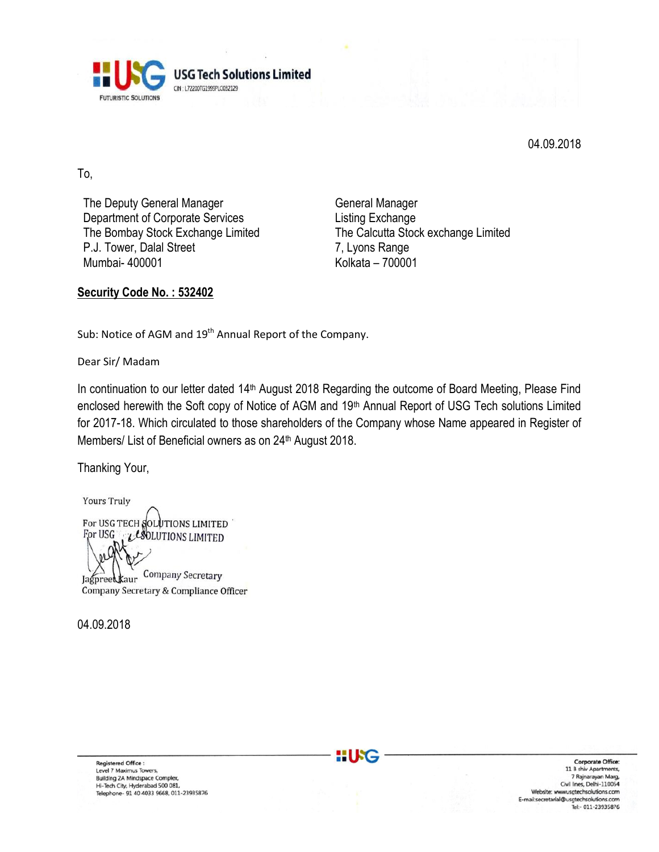

04.09.2018

To,

The Deputy General Manager Department of Corporate Services The Bombay Stock Exchange Limited P.J. Tower, Dalal Street Mumbai- 400001

General Manager Listing Exchange The Calcutta Stock exchange Limited 7, Lyons Range Kolkata – 700001

### **Security Code No. : 532402**

Sub: Notice of AGM and 19<sup>th</sup> Annual Report of the Company.

Dear Sir/ Madam

In continuation to our letter dated 14<sup>th</sup> August 2018 Regarding the outcome of Board Meeting, Please Find enclosed herewith the Soft copy of Notice of AGM and 19th Annual Report of USG Tech solutions Limited for 2017-18. Which circulated to those shareholders of the Company whose Name appeared in Register of Members/ List of Beneficial owners as on 24<sup>th</sup> August 2018.

Thanking Your,

**Yours Truly** For USG TECH SOLUTIONS LIMITED For USG LESOLUTIONS LIMITED Company Secretary Jagpreetkaur Company Secretary & Compliance Officer

04.09.2018

Registered Office :<br>Level 7 Maximus Towers, **Building 2A Mindspace Complex,** Hi-Tech City, Hyderabad 500 081,<br>Telephone- 91 40 4033 9668, 011-23935876

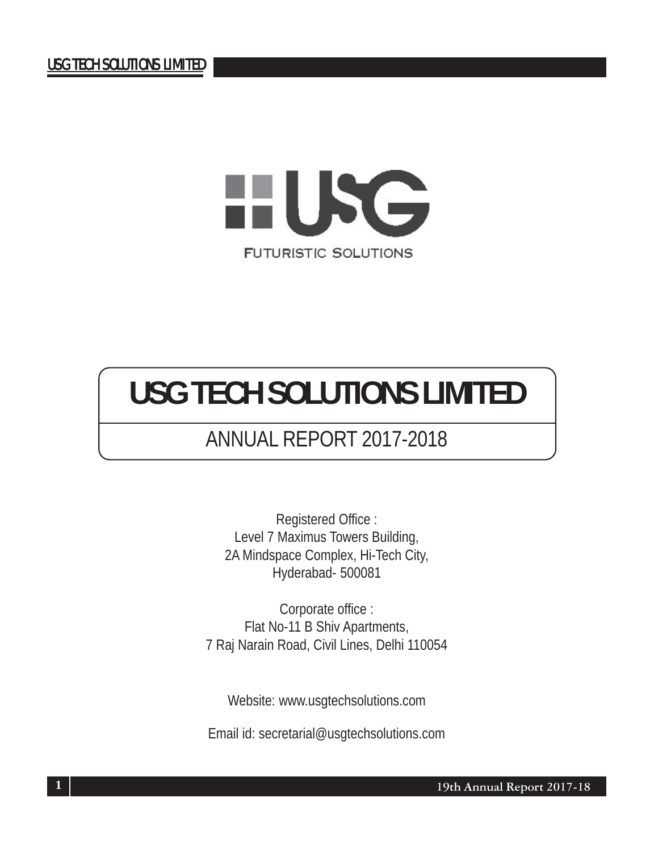

# ANNUAL REPORT 2017-2018

Registered Office : Level 7 Maximus Towers Building, 2A Mindspace Complex, Hi-Tech City, Hyderabad- 500081

Corporate office : Flat No-11 B Shiv Apartments, 7 Raj Narain Road, Civil Lines, Delhi 110054

Website: www.usgtechsolutions.com

Email id: secretarial@usgtechsolutions.com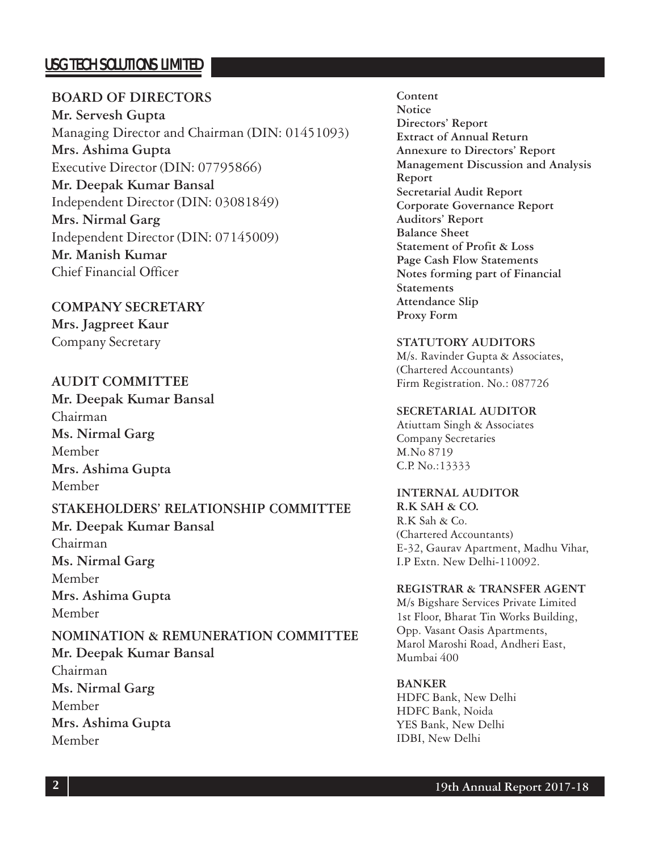### **BOARD OF DIRECTORS**

**Mr. Servesh Gupta** Managing Director and Chairman (DIN: 01451093) **Mrs. Ashima Gupta** Executive Director (DIN: 07795866) **Mr. Deepak Kumar Bansal** Independent Director (DIN: 03081849) **Mrs. Nirmal Garg** Independent Director (DIN: 07145009) **Mr. Manish Kumar** Chief Financial Officer

**COMPANY SECRETARY Mrs. Jagpreet Kaur** Company Secretary

### **AUDIT COMMITTEE**

**Mr. Deepak Kumar Bansal** Chairman **Ms. Nirmal Garg** Member **Mrs. Ashima Gupta** Member

### **STAKEHOLDERS' RELATIONSHIP COMMITTEE**

**Mr. Deepak Kumar Bansal** Chairman **Ms. Nirmal Garg** Member **Mrs. Ashima Gupta** Member

# **NOMINATION & REMUNERATION COMMITTEE**

**Mr. Deepak Kumar Bansal** Chairman **Ms. Nirmal Garg** Member **Mrs. Ashima Gupta** Member

**Content Notice Directors' Report Extract of Annual Return Annexure to Directors' Report Management Discussion and Analysis Report Secretarial Audit Report Corporate Governance Report Auditors' Report Balance Sheet Statement of Profit & Loss Page Cash Flow Statements Notes forming part of Financial Statements Attendance Slip Proxy Form**

#### **STATUTORY AUDITORS**

M/s. Ravinder Gupta & Associates, (Chartered Accountants) Firm Registration. No.: 087726

#### **SECRETARIAL AUDITOR**

Atiuttam Singh & Associates Company Secretaries M.No 8719 C.P. No.:13333

#### **INTERNAL AUDITOR**

**R.K SAH & CO.** R.K Sah & Co. (Chartered Accountants) E-32, Gaurav Apartment, Madhu Vihar, I.P Extn. New Delhi-110092.

#### **REGISTRAR & TRANSFER AGENT**

M/s Bigshare Services Private Limited 1st Floor, Bharat Tin Works Building, Opp. Vasant Oasis Apartments, Marol Maroshi Road, Andheri East, Mumbai 400

#### **BANKER**

HDFC Bank, New Delhi HDFC Bank, Noida YES Bank, New Delhi IDBI, New Delhi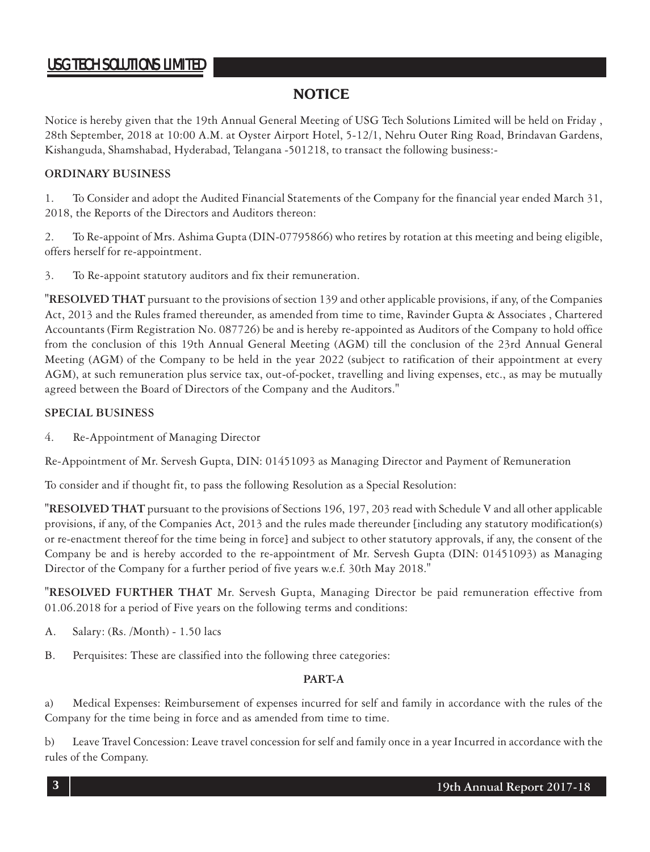### **NOTICE**

Notice is hereby given that the 19th Annual General Meeting of USG Tech Solutions Limited will be held on Friday , 28th September, 2018 at 10:00 A.M. at Oyster Airport Hotel, 5-12/1, Nehru Outer Ring Road, Brindavan Gardens, Kishanguda, Shamshabad, Hyderabad, Telangana -501218, to transact the following business:-

#### **ORDINARY BUSINESS**

1. To Consider and adopt the Audited Financial Statements of the Company for the financial year ended March 31, 2018, the Reports of the Directors and Auditors thereon:

2. To Re-appoint of Mrs. Ashima Gupta (DIN-07795866) who retires by rotation at this meeting and being eligible, offers herself for re-appointment.

3. To Re-appoint statutory auditors and fix their remuneration.

**"RESOLVED THAT** pursuant to the provisions of section 139 and other applicable provisions, if any, of the Companies Act, 2013 and the Rules framed thereunder, as amended from time to time, Ravinder Gupta & Associates , Chartered Accountants (Firm Registration No. 087726) be and is hereby re-appointed as Auditors of the Company to hold office from the conclusion of this 19th Annual General Meeting (AGM) till the conclusion of the 23rd Annual General Meeting (AGM) of the Company to be held in the year 2022 (subject to ratification of their appointment at every AGM), at such remuneration plus service tax, out-of-pocket, travelling and living expenses, etc., as may be mutually agreed between the Board of Directors of the Company and the Auditors."

#### **SPECIAL BUSINESS**

4. Re-Appointment of Managing Director

Re-Appointment of Mr. Servesh Gupta, DIN: 01451093 as Managing Director and Payment of Remuneration

To consider and if thought fit, to pass the following Resolution as a Special Resolution:

**"RESOLVED THAT** pursuant to the provisions of Sections 196, 197, 203 read with Schedule V and all other applicable provisions, if any, of the Companies Act, 2013 and the rules made thereunder [including any statutory modification(s) or re-enactment thereof for the time being in force] and subject to other statutory approvals, if any, the consent of the Company be and is hereby accorded to the re-appointment of Mr. Servesh Gupta (DIN: 01451093) as Managing Director of the Company for a further period of five years w.e.f. 30th May 2018."

**"RESOLVED FURTHER THAT** Mr. Servesh Gupta, Managing Director be paid remuneration effective from 01.06.2018 for a period of Five years on the following terms and conditions:

- A. Salary: (Rs. /Month) 1.50 lacs
- B. Perquisites: These are classified into the following three categories:

#### **PART-A**

a) Medical Expenses: Reimbursement of expenses incurred for self and family in accordance with the rules of the Company for the time being in force and as amended from time to time.

b) Leave Travel Concession: Leave travel concession for self and family once in a year Incurred in accordance with the rules of the Company.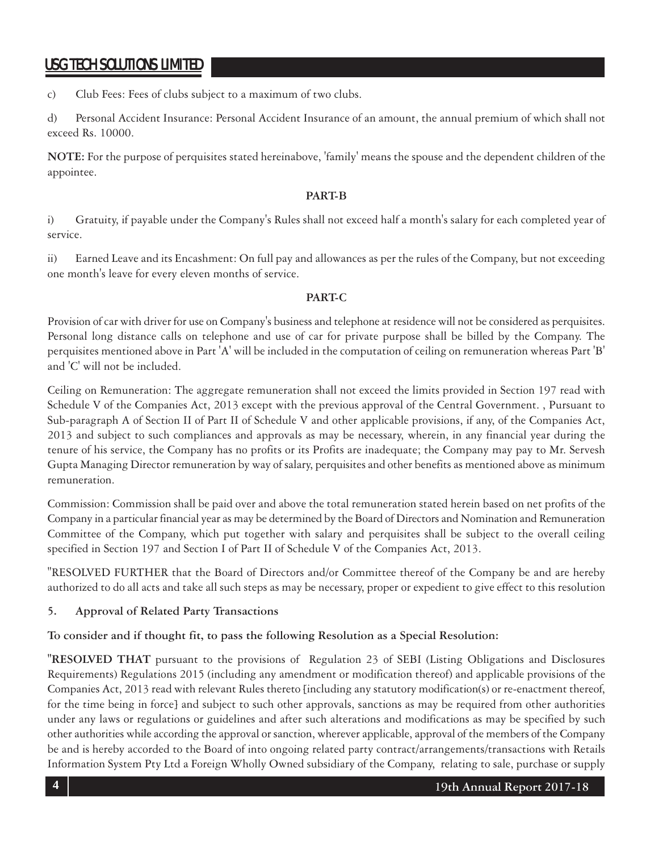c) Club Fees: Fees of clubs subject to a maximum of two clubs.

d) Personal Accident Insurance: Personal Accident Insurance of an amount, the annual premium of which shall not exceed Rs. 10000.

**NOTE:** For the purpose of perquisites stated hereinabove, 'family' means the spouse and the dependent children of the appointee.

#### **PART-B**

i) Gratuity, if payable under the Company's Rules shall not exceed half a month's salary for each completed year of service.

ii) Earned Leave and its Encashment: On full pay and allowances as per the rules of the Company, but not exceeding one month's leave for every eleven months of service.

#### **PART-C**

Provision of car with driver for use on Company's business and telephone at residence will not be considered as perquisites. Personal long distance calls on telephone and use of car for private purpose shall be billed by the Company. The perquisites mentioned above in Part 'A' will be included in the computation of ceiling on remuneration whereas Part 'B' and 'C' will not be included.

Ceiling on Remuneration: The aggregate remuneration shall not exceed the limits provided in Section 197 read with Schedule V of the Companies Act, 2013 except with the previous approval of the Central Government. , Pursuant to Sub-paragraph A of Section II of Part II of Schedule V and other applicable provisions, if any, of the Companies Act, 2013 and subject to such compliances and approvals as may be necessary, wherein, in any financial year during the tenure of his service, the Company has no profits or its Profits are inadequate; the Company may pay to Mr. Servesh Gupta Managing Director remuneration by way of salary, perquisites and other benefits as mentioned above as minimum remuneration.

Commission: Commission shall be paid over and above the total remuneration stated herein based on net profits of the Company in a particular financial year as may be determined by the Board of Directors and Nomination and Remuneration Committee of the Company, which put together with salary and perquisites shall be subject to the overall ceiling specified in Section 197 and Section I of Part II of Schedule V of the Companies Act, 2013.

"RESOLVED FURTHER that the Board of Directors and/or Committee thereof of the Company be and are hereby authorized to do all acts and take all such steps as may be necessary, proper or expedient to give effect to this resolution

#### **5. Approval of Related Party Transactions**

**To consider and if thought fit, to pass the following Resolution as a Special Resolution:**

**"RESOLVED THAT** pursuant to the provisions of Regulation 23 of SEBI (Listing Obligations and Disclosures Requirements) Regulations 2015 (including any amendment or modification thereof) and applicable provisions of the Companies Act, 2013 read with relevant Rules thereto [including any statutory modification(s) or re-enactment thereof, for the time being in force] and subject to such other approvals, sanctions as may be required from other authorities under any laws or regulations or guidelines and after such alterations and modifications as may be specified by such other authorities while according the approval or sanction, wherever applicable, approval of the members of the Company be and is hereby accorded to the Board of into ongoing related party contract/arrangements/transactions with Retails Information System Pty Ltd a Foreign Wholly Owned subsidiary of the Company, relating to sale, purchase or supply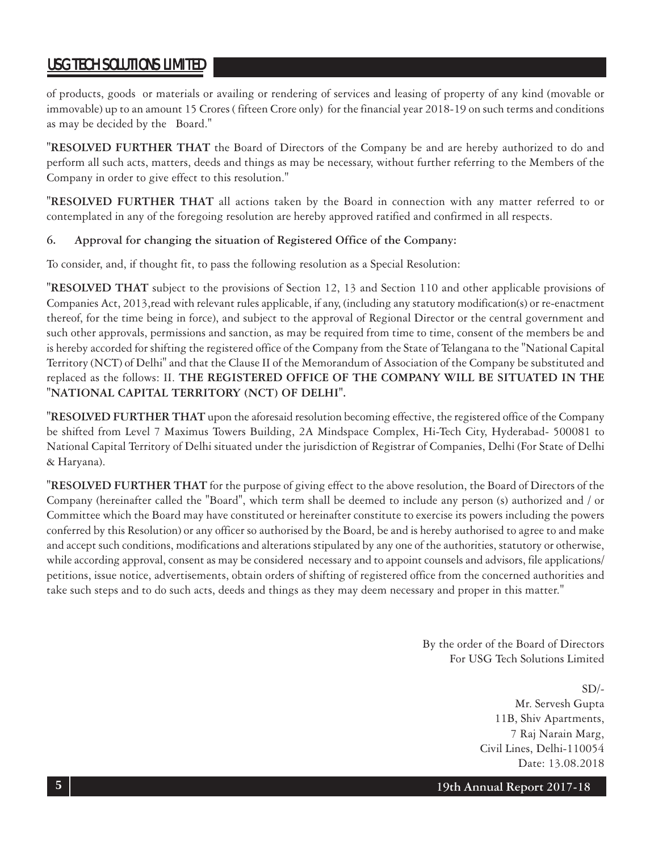of products, goods or materials or availing or rendering of services and leasing of property of any kind (movable or immovable) up to an amount 15 Crores ( fifteen Crore only) for the financial year 2018-19 on such terms and conditions as may be decided by the Board."

**"RESOLVED FURTHER THAT** the Board of Directors of the Company be and are hereby authorized to do and perform all such acts, matters, deeds and things as may be necessary, without further referring to the Members of the Company in order to give effect to this resolution."

**"RESOLVED FURTHER THAT** all actions taken by the Board in connection with any matter referred to or contemplated in any of the foregoing resolution are hereby approved ratified and confirmed in all respects.

#### **6. Approval for changing the situation of Registered Office of the Company:**

To consider, and, if thought fit, to pass the following resolution as a Special Resolution:

**"RESOLVED THAT** subject to the provisions of Section 12, 13 and Section 110 and other applicable provisions of Companies Act, 2013,read with relevant rules applicable, if any, (including any statutory modification(s) or re-enactment thereof, for the time being in force), and subject to the approval of Regional Director or the central government and such other approvals, permissions and sanction, as may be required from time to time, consent of the members be and is hereby accorded for shifting the registered office of the Company from the State of Telangana to the "National Capital Territory (NCT) of Delhi" and that the Clause II of the Memorandum of Association of the Company be substituted and replaced as the follows: II. **THE REGISTERED OFFICE OF THE COMPANY WILL BE SITUATED IN THE "NATIONAL CAPITAL TERRITORY (NCT) OF DELHI".**

**"RESOLVED FURTHER THAT** upon the aforesaid resolution becoming effective, the registered office of the Company be shifted from Level 7 Maximus Towers Building, 2A Mindspace Complex, Hi-Tech City, Hyderabad- 500081 to National Capital Territory of Delhi situated under the jurisdiction of Registrar of Companies, Delhi (For State of Delhi & Haryana).

**"RESOLVED FURTHER THAT** for the purpose of giving effect to the above resolution, the Board of Directors of the Company (hereinafter called the "Board", which term shall be deemed to include any person (s) authorized and / or Committee which the Board may have constituted or hereinafter constitute to exercise its powers including the powers conferred by this Resolution) or any officer so authorised by the Board, be and is hereby authorised to agree to and make and accept such conditions, modifications and alterations stipulated by any one of the authorities, statutory or otherwise, while according approval, consent as may be considered necessary and to appoint counsels and advisors, file applications/ petitions, issue notice, advertisements, obtain orders of shifting of registered office from the concerned authorities and take such steps and to do such acts, deeds and things as they may deem necessary and proper in this matter."

> By the order of the Board of Directors For USG Tech Solutions Limited

> > $SD/-$ Mr. Servesh Gupta 11B, Shiv Apartments, 7 Raj Narain Marg, Civil Lines, Delhi-110054 Date: 13.08.2018

**19th Annual Report 2017-18**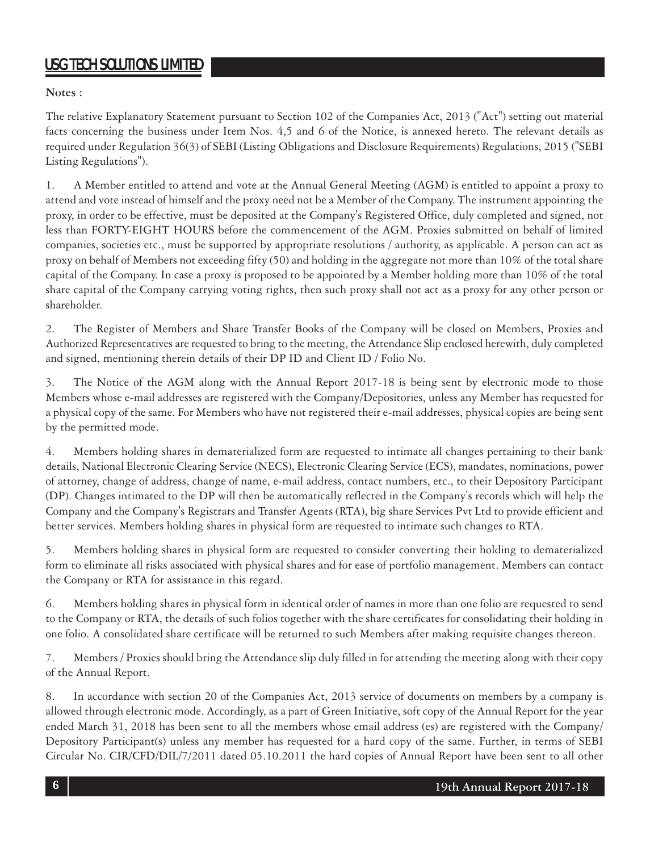**Notes :**

The relative Explanatory Statement pursuant to Section 102 of the Companies Act, 2013 ("Act") setting out material facts concerning the business under Item Nos. 4,5 and 6 of the Notice, is annexed hereto. The relevant details as required under Regulation 36(3) of SEBI (Listing Obligations and Disclosure Requirements) Regulations, 2015 ("SEBI Listing Regulations").

1. A Member entitled to attend and vote at the Annual General Meeting (AGM) is entitled to appoint a proxy to attend and vote instead of himself and the proxy need not be a Member of the Company. The instrument appointing the proxy, in order to be effective, must be deposited at the Company's Registered Office, duly completed and signed, not less than FORTY-EIGHT HOURS before the commencement of the AGM. Proxies submitted on behalf of limited companies, societies etc., must be supported by appropriate resolutions / authority, as applicable. A person can act as proxy on behalf of Members not exceeding fifty (50) and holding in the aggregate not more than 10% of the total share capital of the Company. In case a proxy is proposed to be appointed by a Member holding more than 10% of the total share capital of the Company carrying voting rights, then such proxy shall not act as a proxy for any other person or shareholder.

2. The Register of Members and Share Transfer Books of the Company will be closed on Members, Proxies and Authorized Representatives are requested to bring to the meeting, the Attendance Slip enclosed herewith, duly completed and signed, mentioning therein details of their DP ID and Client ID / Folio No.

3. The Notice of the AGM along with the Annual Report 2017-18 is being sent by electronic mode to those Members whose e-mail addresses are registered with the Company/Depositories, unless any Member has requested for a physical copy of the same. For Members who have not registered their e-mail addresses, physical copies are being sent by the permitted mode.

4. Members holding shares in dematerialized form are requested to intimate all changes pertaining to their bank details, National Electronic Clearing Service (NECS), Electronic Clearing Service (ECS), mandates, nominations, power of attorney, change of address, change of name, e-mail address, contact numbers, etc., to their Depository Participant (DP). Changes intimated to the DP will then be automatically reflected in the Company's records which will help the Company and the Company's Registrars and Transfer Agents (RTA), big share Services Pvt Ltd to provide efficient and better services. Members holding shares in physical form are requested to intimate such changes to RTA.

5. Members holding shares in physical form are requested to consider converting their holding to dematerialized form to eliminate all risks associated with physical shares and for ease of portfolio management. Members can contact the Company or RTA for assistance in this regard.

6. Members holding shares in physical form in identical order of names in more than one folio are requested to send to the Company or RTA, the details of such folios together with the share certificates for consolidating their holding in one folio. A consolidated share certificate will be returned to such Members after making requisite changes thereon.

7. Members / Proxies should bring the Attendance slip duly filled in for attending the meeting along with their copy of the Annual Report.

8. In accordance with section 20 of the Companies Act, 2013 service of documents on members by a company is allowed through electronic mode. Accordingly, as a part of Green Initiative, soft copy of the Annual Report for the year ended March 31, 2018 has been sent to all the members whose email address (es) are registered with the Company/ Depository Participant(s) unless any member has requested for a hard copy of the same. Further, in terms of SEBI Circular No. CIR/CFD/DIL/7/2011 dated 05.10.2011 the hard copies of Annual Report have been sent to all other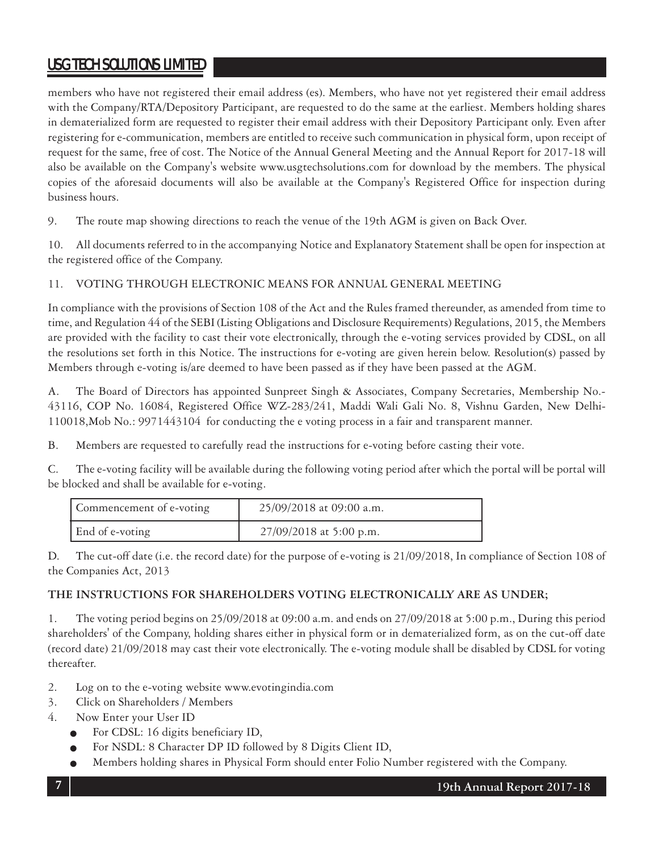members who have not registered their email address (es). Members, who have not yet registered their email address with the Company/RTA/Depository Participant, are requested to do the same at the earliest. Members holding shares in dematerialized form are requested to register their email address with their Depository Participant only. Even after registering for e-communication, members are entitled to receive such communication in physical form, upon receipt of request for the same, free of cost. The Notice of the Annual General Meeting and the Annual Report for 2017-18 will also be available on the Company's website www.usgtechsolutions.com for download by the members. The physical copies of the aforesaid documents will also be available at the Company's Registered Office for inspection during business hours.

9. The route map showing directions to reach the venue of the 19th AGM is given on Back Over.

10. All documents referred to in the accompanying Notice and Explanatory Statement shall be open for inspection at the registered office of the Company.

#### 11. VOTING THROUGH ELECTRONIC MEANS FOR ANNUAL GENERAL MEETING

In compliance with the provisions of Section 108 of the Act and the Rules framed thereunder, as amended from time to time, and Regulation 44 of the SEBI (Listing Obligations and Disclosure Requirements) Regulations, 2015, the Members are provided with the facility to cast their vote electronically, through the e-voting services provided by CDSL, on all the resolutions set forth in this Notice. The instructions for e-voting are given herein below. Resolution(s) passed by Members through e-voting is/are deemed to have been passed as if they have been passed at the AGM.

A. The Board of Directors has appointed Sunpreet Singh & Associates, Company Secretaries, Membership No.- 43116, COP No. 16084, Registered Office WZ-283/241, Maddi Wali Gali No. 8, Vishnu Garden, New Delhi-110018,Mob No.: 9971443104 for conducting the e voting process in a fair and transparent manner.

B. Members are requested to carefully read the instructions for e-voting before casting their vote.

C. The e-voting facility will be available during the following voting period after which the portal will be portal will be blocked and shall be available for e-voting.

| Commencement of e-voting | 25/09/2018 at 09:00 a.m. |
|--------------------------|--------------------------|
| End of e-voting          | 27/09/2018 at 5:00 p.m.  |

D. The cut-off date (i.e. the record date) for the purpose of e-voting is 21/09/2018, In compliance of Section 108 of the Companies Act, 2013

#### **THE INSTRUCTIONS FOR SHAREHOLDERS VOTING ELECTRONICALLY ARE AS UNDER;**

1. The voting period begins on 25/09/2018 at 09:00 a.m. and ends on 27/09/2018 at 5:00 p.m., During this period shareholders' of the Company, holding shares either in physical form or in dematerialized form, as on the cut-off date (record date) 21/09/2018 may cast their vote electronically. The e-voting module shall be disabled by CDSL for voting thereafter.

- 2. Log on to the e-voting website www.evotingindia.com
- 3. Click on Shareholders / Members
- 4. Now Enter your User ID
	- For CDSL: 16 digits beneficiary ID,
	- For NSDL: 8 Character DP ID followed by 8 Digits Client ID,
	- Members holding shares in Physical Form should enter Folio Number registered with the Company.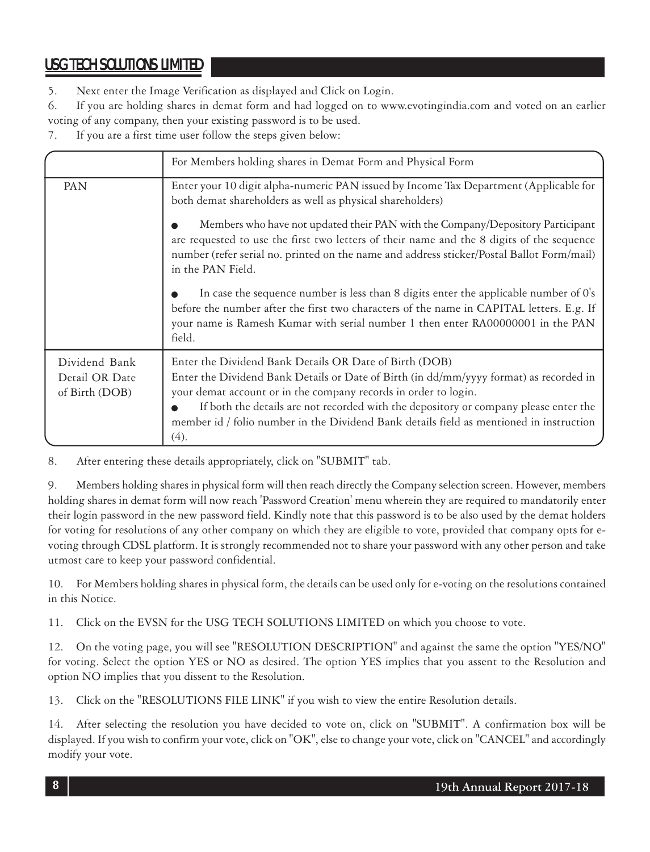5. Next enter the Image Verification as displayed and Click on Login.

6. If you are holding shares in demat form and had logged on to www.evotingindia.com and voted on an earlier voting of any company, then your existing password is to be used.

7. If you are a first time user follow the steps given below:

|                                                   | For Members holding shares in Demat Form and Physical Form                                                                                                                                                                                                                                                                                                                                                     |
|---------------------------------------------------|----------------------------------------------------------------------------------------------------------------------------------------------------------------------------------------------------------------------------------------------------------------------------------------------------------------------------------------------------------------------------------------------------------------|
| PAN                                               | Enter your 10 digit alpha-numeric PAN issued by Income Tax Department (Applicable for<br>both demat shareholders as well as physical shareholders)                                                                                                                                                                                                                                                             |
|                                                   | Members who have not updated their PAN with the Company/Depository Participant<br>are requested to use the first two letters of their name and the 8 digits of the sequence<br>number (refer serial no. printed on the name and address sticker/Postal Ballot Form/mail)<br>in the PAN Field.                                                                                                                  |
|                                                   | In case the sequence number is less than 8 digits enter the applicable number of 0's<br>before the number after the first two characters of the name in CAPITAL letters. E.g. If<br>your name is Ramesh Kumar with serial number 1 then enter RA00000001 in the PAN<br>field.                                                                                                                                  |
| Dividend Bank<br>Detail OR Date<br>of Birth (DOB) | Enter the Dividend Bank Details OR Date of Birth (DOB)<br>Enter the Dividend Bank Details or Date of Birth (in dd/mm/yyyy format) as recorded in<br>your demat account or in the company records in order to login.<br>If both the details are not recorded with the depository or company please enter the<br>member id / folio number in the Dividend Bank details field as mentioned in instruction<br>(4). |

8. After entering these details appropriately, click on "SUBMIT" tab.

9. Members holding shares in physical form will then reach directly the Company selection screen. However, members holding shares in demat form will now reach 'Password Creation' menu wherein they are required to mandatorily enter their login password in the new password field. Kindly note that this password is to be also used by the demat holders for voting for resolutions of any other company on which they are eligible to vote, provided that company opts for evoting through CDSL platform. It is strongly recommended not to share your password with any other person and take utmost care to keep your password confidential.

10. For Members holding shares in physical form, the details can be used only for e-voting on the resolutions contained in this Notice.

11. Click on the EVSN for the USG TECH SOLUTIONS LIMITED on which you choose to vote.

12. On the voting page, you will see "RESOLUTION DESCRIPTION" and against the same the option "YES/NO" for voting. Select the option YES or NO as desired. The option YES implies that you assent to the Resolution and option NO implies that you dissent to the Resolution.

13. Click on the "RESOLUTIONS FILE LINK" if you wish to view the entire Resolution details.

14. After selecting the resolution you have decided to vote on, click on "SUBMIT". A confirmation box will be displayed. If you wish to confirm your vote, click on "OK", else to change your vote, click on "CANCEL" and accordingly modify your vote.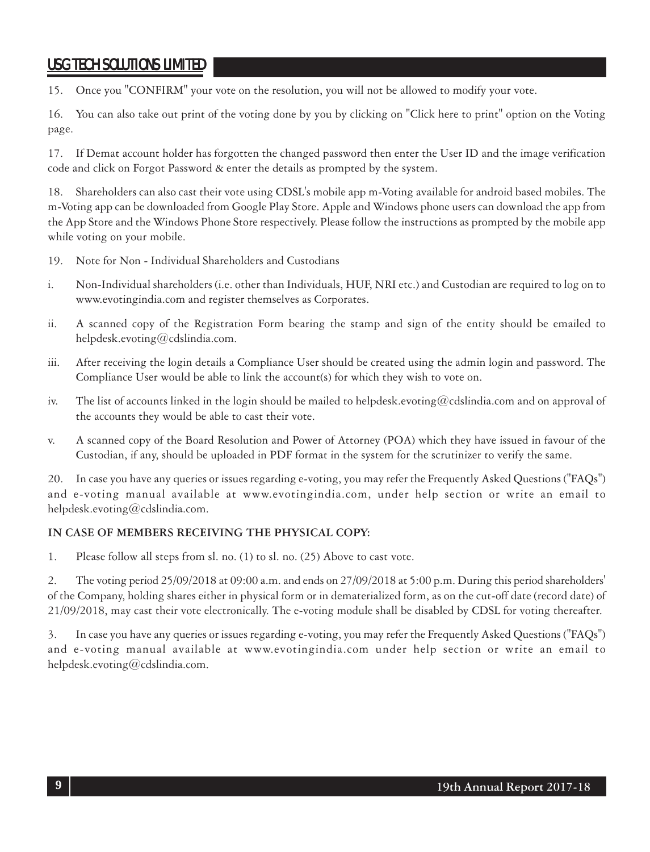15. Once you "CONFIRM" your vote on the resolution, you will not be allowed to modify your vote.

16. You can also take out print of the voting done by you by clicking on "Click here to print" option on the Voting page.

17. If Demat account holder has forgotten the changed password then enter the User ID and the image verification code and click on Forgot Password & enter the details as prompted by the system.

18. Shareholders can also cast their vote using CDSL's mobile app m-Voting available for android based mobiles. The m-Voting app can be downloaded from Google Play Store. Apple and Windows phone users can download the app from the App Store and the Windows Phone Store respectively. Please follow the instructions as prompted by the mobile app while voting on your mobile.

- 19. Note for Non Individual Shareholders and Custodians
- i. Non-Individual shareholders (i.e. other than Individuals, HUF, NRI etc.) and Custodian are required to log on to www.evotingindia.com and register themselves as Corporates.
- ii. A scanned copy of the Registration Form bearing the stamp and sign of the entity should be emailed to helpdesk.evoting@cdslindia.com.
- iii. After receiving the login details a Compliance User should be created using the admin login and password. The Compliance User would be able to link the account(s) for which they wish to vote on.
- iv. The list of accounts linked in the login should be mailed to helpdesk.evoting@cdslindia.com and on approval of the accounts they would be able to cast their vote.
- v. A scanned copy of the Board Resolution and Power of Attorney (POA) which they have issued in favour of the Custodian, if any, should be uploaded in PDF format in the system for the scrutinizer to verify the same.

20. In case you have any queries or issues regarding e-voting, you may refer the Frequently Asked Questions ("FAQs") and e-voting manual available at www.evotingindia.com, under help section or write an email to helpdesk.evoting@cdslindia.com.

#### **IN CASE OF MEMBERS RECEIVING THE PHYSICAL COPY:**

1. Please follow all steps from sl. no. (1) to sl. no. (25) Above to cast vote.

2. The voting period 25/09/2018 at 09:00 a.m. and ends on 27/09/2018 at 5:00 p.m. During this period shareholders' of the Company, holding shares either in physical form or in dematerialized form, as on the cut-off date (record date) of 21/09/2018, may cast their vote electronically. The e-voting module shall be disabled by CDSL for voting thereafter.

3. In case you have any queries or issues regarding e-voting, you may refer the Frequently Asked Questions ("FAQs") and e-voting manual available at www.evotingindia.com under help section or write an email to helpdesk.evoting@cdslindia.com.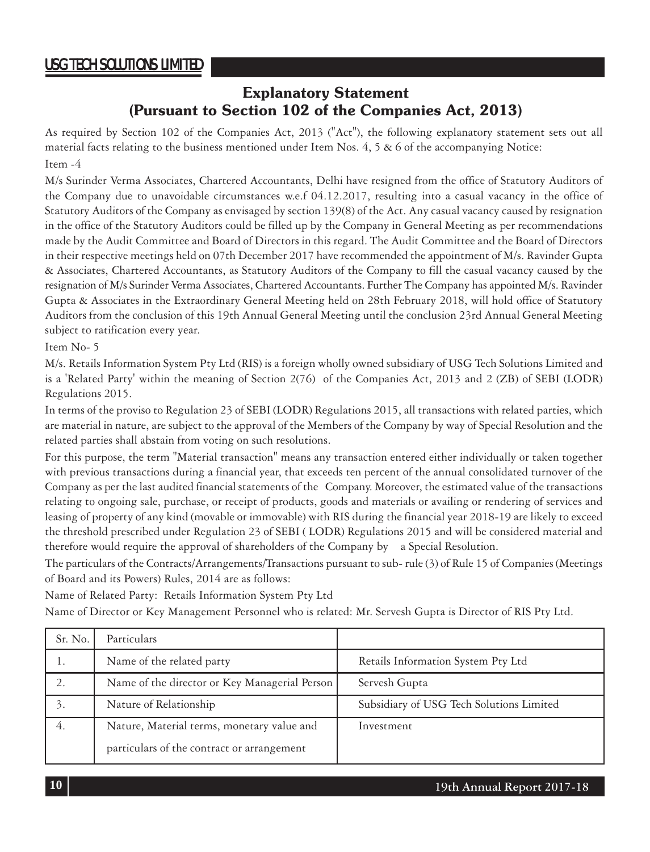### **Explanatory Statement (Pursuant to Section 102 of the Companies Act, 2013)**

As required by Section 102 of the Companies Act, 2013 ("Act"), the following explanatory statement sets out all material facts relating to the business mentioned under Item Nos. 4, 5 & 6 of the accompanying Notice: Item -4

M/s Surinder Verma Associates, Chartered Accountants, Delhi have resigned from the office of Statutory Auditors of the Company due to unavoidable circumstances w.e.f 04.12.2017, resulting into a casual vacancy in the office of Statutory Auditors of the Company as envisaged by section 139(8) of the Act. Any casual vacancy caused by resignation in the office of the Statutory Auditors could be filled up by the Company in General Meeting as per recommendations made by the Audit Committee and Board of Directors in this regard. The Audit Committee and the Board of Directors in their respective meetings held on 07th December 2017 have recommended the appointment of M/s. Ravinder Gupta & Associates, Chartered Accountants, as Statutory Auditors of the Company to fill the casual vacancy caused by the resignation of M/s Surinder Verma Associates, Chartered Accountants. Further The Company has appointed M/s. Ravinder Gupta & Associates in the Extraordinary General Meeting held on 28th February 2018, will hold office of Statutory Auditors from the conclusion of this 19th Annual General Meeting until the conclusion 23rd Annual General Meeting subject to ratification every year.

#### Item No- 5

M/s. Retails Information System Pty Ltd (RIS) is a foreign wholly owned subsidiary of USG Tech Solutions Limited and is a 'Related Party' within the meaning of Section 2(76) of the Companies Act, 2013 and 2 (ZB) of SEBI (LODR) Regulations 2015.

In terms of the proviso to Regulation 23 of SEBI (LODR) Regulations 2015, all transactions with related parties, which are material in nature, are subject to the approval of the Members of the Company by way of Special Resolution and the related parties shall abstain from voting on such resolutions.

For this purpose, the term "Material transaction" means any transaction entered either individually or taken together with previous transactions during a financial year, that exceeds ten percent of the annual consolidated turnover of the Company as per the last audited financial statements of the Company. Moreover, the estimated value of the transactions relating to ongoing sale, purchase, or receipt of products, goods and materials or availing or rendering of services and leasing of property of any kind (movable or immovable) with RIS during the financial year 2018-19 are likely to exceed the threshold prescribed under Regulation 23 of SEBI ( LODR) Regulations 2015 and will be considered material and therefore would require the approval of shareholders of the Company by a Special Resolution.

The particulars of the Contracts/Arrangements/Transactions pursuant to sub- rule (3) of Rule 15 of Companies (Meetings of Board and its Powers) Rules, 2014 are as follows:

Name of Related Party: Retails Information System Pty Ltd

Name of Director or Key Management Personnel who is related: Mr. Servesh Gupta is Director of RIS Pty Ltd.

| Sr. No. | Particulars                                   |                                          |
|---------|-----------------------------------------------|------------------------------------------|
| 1.      | Name of the related party                     | Retails Information System Pty Ltd       |
|         | Name of the director or Key Managerial Person | Servesh Gupta                            |
| 3.      | Nature of Relationship                        | Subsidiary of USG Tech Solutions Limited |
| 4.      | Nature, Material terms, monetary value and    | Investment                               |
|         | particulars of the contract or arrangement    |                                          |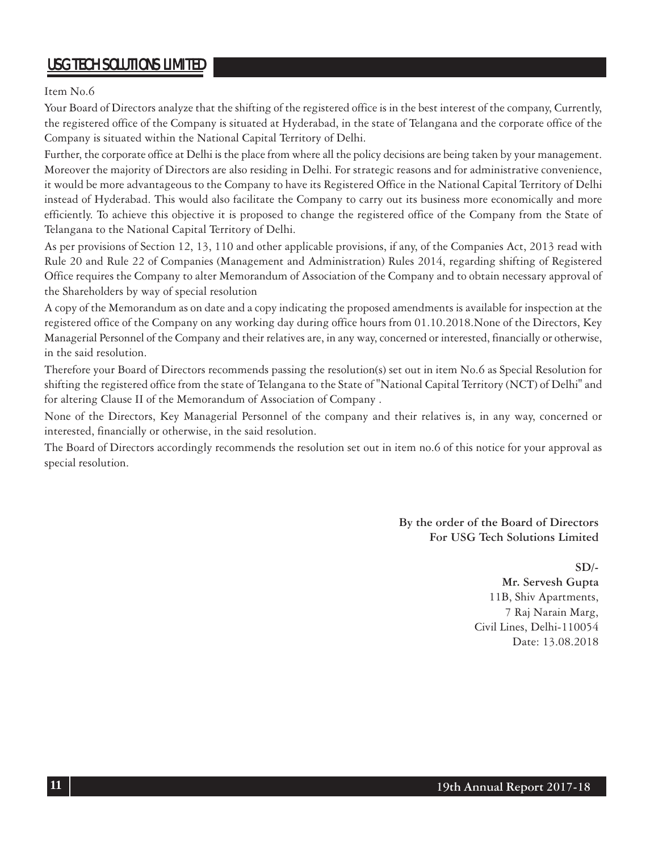Item No.6

Your Board of Directors analyze that the shifting of the registered office is in the best interest of the company, Currently, the registered office of the Company is situated at Hyderabad, in the state of Telangana and the corporate office of the Company is situated within the National Capital Territory of Delhi.

Further, the corporate office at Delhi is the place from where all the policy decisions are being taken by your management. Moreover the majority of Directors are also residing in Delhi. For strategic reasons and for administrative convenience, it would be more advantageous to the Company to have its Registered Office in the National Capital Territory of Delhi instead of Hyderabad. This would also facilitate the Company to carry out its business more economically and more efficiently. To achieve this objective it is proposed to change the registered office of the Company from the State of Telangana to the National Capital Territory of Delhi.

As per provisions of Section 12, 13, 110 and other applicable provisions, if any, of the Companies Act, 2013 read with Rule 20 and Rule 22 of Companies (Management and Administration) Rules 2014, regarding shifting of Registered Office requires the Company to alter Memorandum of Association of the Company and to obtain necessary approval of the Shareholders by way of special resolution

A copy of the Memorandum as on date and a copy indicating the proposed amendments is available for inspection at the registered office of the Company on any working day during office hours from 01.10.2018.None of the Directors, Key Managerial Personnel of the Company and their relatives are, in any way, concerned or interested, financially or otherwise, in the said resolution.

Therefore your Board of Directors recommends passing the resolution(s) set out in item No.6 as Special Resolution for shifting the registered office from the state of Telangana to the State of "National Capital Territory (NCT) of Delhi" and for altering Clause II of the Memorandum of Association of Company .

None of the Directors, Key Managerial Personnel of the company and their relatives is, in any way, concerned or interested, financially or otherwise, in the said resolution.

The Board of Directors accordingly recommends the resolution set out in item no.6 of this notice for your approval as special resolution.

> **By the order of the Board of Directors For USG Tech Solutions Limited**

> > **SD/- Mr. Servesh Gupta**

11B, Shiv Apartments, 7 Raj Narain Marg, Civil Lines, Delhi-110054 Date: 13.08.2018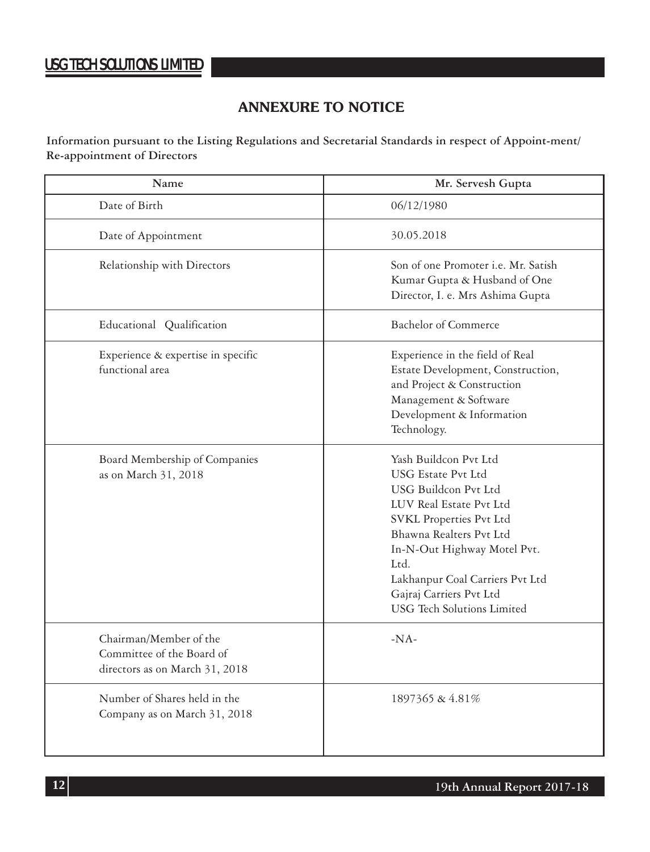### **ANNEXURE TO NOTICE**

**Information pursuant to the Listing Regulations and Secretarial Standards in respect of Appoint-ment/ Re-appointment of Directors**

| Name                                                                                  | Mr. Servesh Gupta                                                                                                                                                                                                                                                                                            |
|---------------------------------------------------------------------------------------|--------------------------------------------------------------------------------------------------------------------------------------------------------------------------------------------------------------------------------------------------------------------------------------------------------------|
| Date of Birth                                                                         | 06/12/1980                                                                                                                                                                                                                                                                                                   |
| Date of Appointment                                                                   | 30.05.2018                                                                                                                                                                                                                                                                                                   |
| Relationship with Directors                                                           | Son of one Promoter i.e. Mr. Satish<br>Kumar Gupta & Husband of One<br>Director, I. e. Mrs Ashima Gupta                                                                                                                                                                                                      |
| Educational Qualification                                                             | <b>Bachelor</b> of Commerce                                                                                                                                                                                                                                                                                  |
| Experience & expertise in specific<br>functional area                                 | Experience in the field of Real<br>Estate Development, Construction,<br>and Project & Construction<br>Management & Software<br>Development & Information<br>Technology.                                                                                                                                      |
| Board Membership of Companies<br>as on March 31, 2018                                 | Yash Buildcon Pvt Ltd<br>USG Estate Pyt Ltd<br><b>USG Buildcon Pvt Ltd</b><br>LUV Real Estate Pvt Ltd<br><b>SVKL Properties Pvt Ltd</b><br>Bhawna Realters Pvt Ltd<br>In-N-Out Highway Motel Pvt.<br>Ltd.<br>Lakhanpur Coal Carriers Pvt Ltd<br>Gajraj Carriers Pvt Ltd<br><b>USG</b> Tech Solutions Limited |
| Chairman/Member of the<br>Committee of the Board of<br>directors as on March 31, 2018 | $-NA-$                                                                                                                                                                                                                                                                                                       |
| Number of Shares held in the<br>Company as on March 31, 2018                          | 1897365 & 4.81%                                                                                                                                                                                                                                                                                              |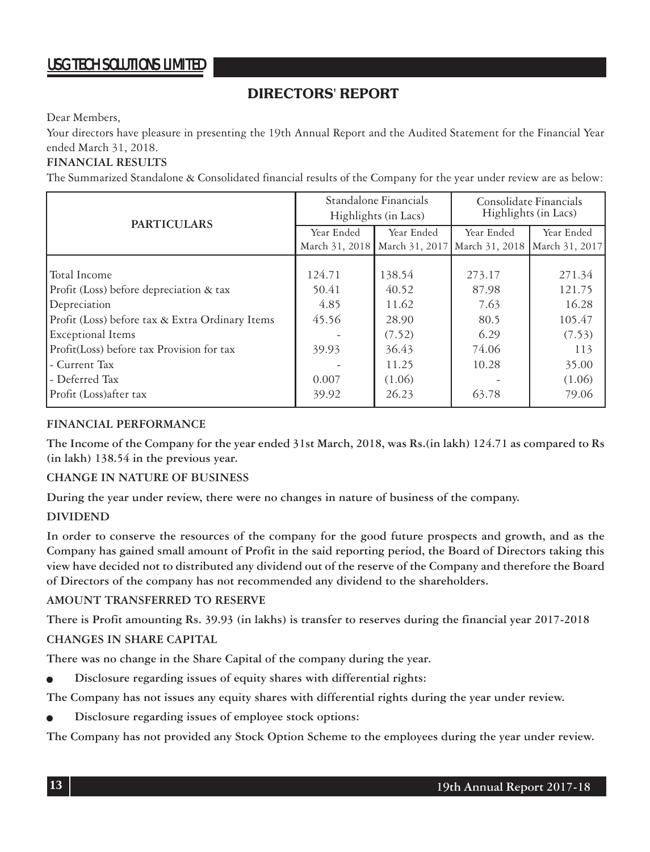### **DIRECTORS' REPORT**

Dear Members,

Your directors have pleasure in presenting the 19th Annual Report and the Audited Statement for the Financial Year ended March 31, 2018.

#### **FINANCIAL RESULTS**

The Summarized Standalone & Consolidated financial results of the Company for the year under review are as below:

| <b>PARTICULARS</b>                              | Standalone Financials<br>Highlights (in Lacs) |                                                  | Consolidate Financials<br>Highlights (in Lacs) |                |
|-------------------------------------------------|-----------------------------------------------|--------------------------------------------------|------------------------------------------------|----------------|
|                                                 | Year Ended                                    | Year Ended                                       | Year Ended                                     | Year Ended     |
|                                                 |                                               | March 31, 2018   March 31, 2017   March 31, 2018 |                                                | March 31, 2017 |
|                                                 |                                               |                                                  |                                                |                |
| Total Income                                    | 124.71                                        | 138.54                                           | 273.17                                         | 271.34         |
| Profit (Loss) before depreciation & tax         | 50.41                                         | 40.52                                            | 87.98                                          | 121.75         |
| Depreciation                                    | 4.85                                          | 11.62                                            | 7.63                                           | 16.28          |
| Profit (Loss) before tax & Extra Ordinary Items | 45.56                                         | 28.90                                            | 80.5                                           | 105.47         |
| <b>Exceptional Items</b>                        |                                               | (7.52)                                           | 6.29                                           | (7.53)         |
| Profit(Loss) before tax Provision for tax       | 39.93                                         | 36.43                                            | 74.06                                          | 113            |
| - Current Tax                                   |                                               | 11.25                                            | 10.28                                          | 35.00          |
| - Deferred Tax                                  | 0.007                                         | (1.06)                                           |                                                | (1.06)         |
| Profit (Loss) after tax                         | 39.92                                         | 26.23                                            | 63.78                                          | 79.06          |

#### **FINANCIAL PERFORMANCE**

**The Income of the Company for the year ended 31st March, 2018, was Rs.(in lakh) 124.71 as compared to Rs (in lakh) 138.54 in the previous year.**

#### **CHANGE IN NATURE OF BUSINESS**

**During the year under review, there were no changes in nature of business of the company.**

#### **DIVIDEND**

**In order to conserve the resources of the company for the good future prospects and growth, and as the Company has gained small amount of Profit in the said reporting period, the Board of Directors taking this view have decided not to distributed any dividend out of the reserve of the Company and therefore the Board of Directors of the company has not recommended any dividend to the shareholders.**

#### **AMOUNT TRANSFERRED TO RESERVE**

**There is Profit amounting Rs. 39.93 (in lakhs) is transfer to reserves during the financial year 2017-2018**

#### **CHANGES IN SHARE CAPITAL**

**There was no change in the Share Capital of the company during the year.**

<sup>Q</sup> **Disclosure regarding issues of equity shares with differential rights:**

**The Company has not issues any equity shares with differential rights during the year under review.**

Disclosure regarding issues of employee stock options:

**The Company has not provided any Stock Option Scheme to the employees during the year under review.**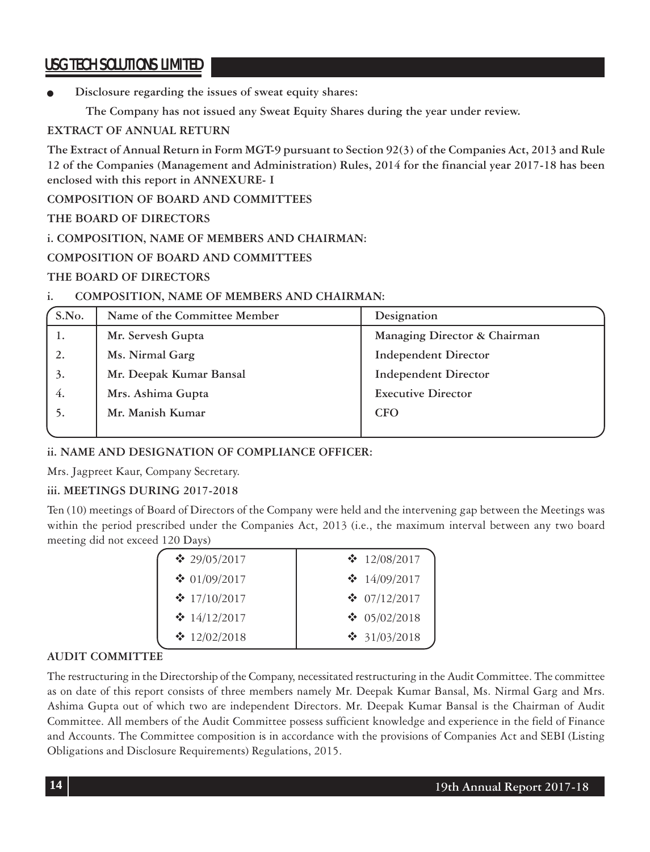Disclosure regarding the issues of sweat equity shares:

 **The Company has not issued any Sweat Equity Shares during the year under review.**

### **EXTRACT OF ANNUAL RETURN**

**The Extract of Annual Return in Form MGT-9 pursuant to Section 92(3) of the Companies Act, 2013 and Rule 12 of the Companies (Management and Administration) Rules, 2014 for the financial year 2017-18 has been enclosed with this report in ANNEXURE- I**

**COMPOSITION OF BOARD AND COMMITTEES**

#### **THE BOARD OF DIRECTORS**

#### **i. COMPOSITION, NAME OF MEMBERS AND CHAIRMAN:**

#### **COMPOSITION OF BOARD AND COMMITTEES**

#### **THE BOARD OF DIRECTORS**

#### **i. COMPOSITION, NAME OF MEMBERS AND CHAIRMAN:**

| S.No. | Name of the Committee Member | Designation                  |
|-------|------------------------------|------------------------------|
| 1.    | Mr. Servesh Gupta            | Managing Director & Chairman |
|       | Ms. Nirmal Garg              | <b>Independent Director</b>  |
| 3.    | Mr. Deepak Kumar Bansal      | <b>Independent Director</b>  |
| 4.    | Mrs. Ashima Gupta            | <b>Executive Director</b>    |
| 5.    | Mr. Manish Kumar             | <b>CFO</b>                   |
|       |                              |                              |

### **ii. NAME AND DESIGNATION OF COMPLIANCE OFFICER:**

Mrs. Jagpreet Kaur, Company Secretary.

### **iii. MEETINGS DURING 2017-2018**

Ten (10) meetings of Board of Directors of the Company were held and the intervening gap between the Meetings was within the period prescribed under the Companies Act, 2013 (i.e., the maximum interval between any two board meeting did not exceed 120 Days)

| $\cdot$ 12/08/2017       |
|--------------------------|
| $\cdot \cdot 14/09/2017$ |
| $\cdot$ 07/12/2017       |
| ❖ 05/02/2018             |
| ❖ 31/03/2018             |
|                          |

### **AUDIT COMMITTEE**

The restructuring in the Directorship of the Company, necessitated restructuring in the Audit Committee. The committee as on date of this report consists of three members namely Mr. Deepak Kumar Bansal, Ms. Nirmal Garg and Mrs. Ashima Gupta out of which two are independent Directors. Mr. Deepak Kumar Bansal is the Chairman of Audit Committee. All members of the Audit Committee possess sufficient knowledge and experience in the field of Finance and Accounts. The Committee composition is in accordance with the provisions of Companies Act and SEBI (Listing Obligations and Disclosure Requirements) Regulations, 2015.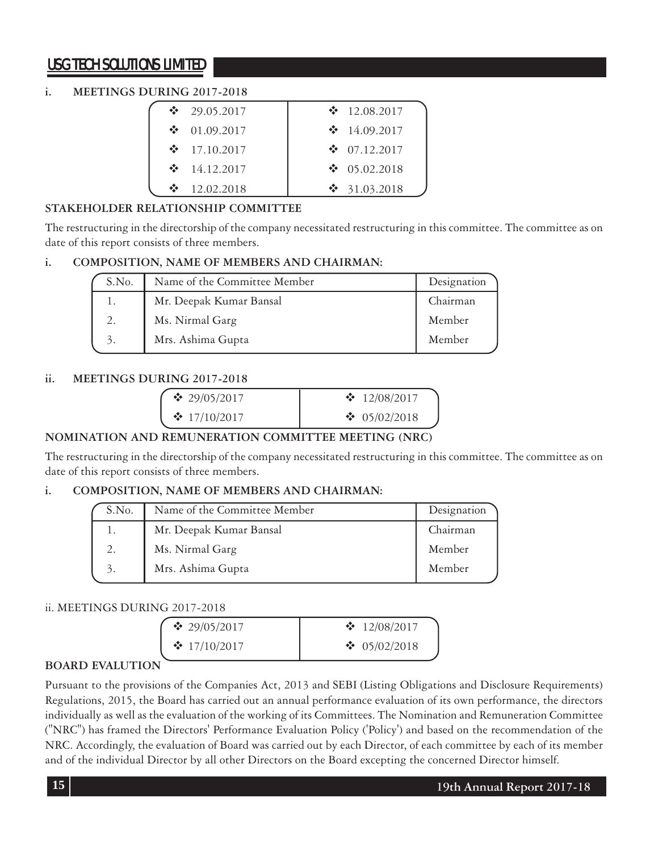### **i. MEETINGS DURING 2017-2018**

| ❖  | 29.05.2017 | $\cdot$ 12.08.2017       |
|----|------------|--------------------------|
| ❖  | 01.09.2017 | $\cdot \cdot 14.09.2017$ |
| ÷  | 17.10.2017 | $\div$ 07.12.2017        |
| ∙⊱ | 14.12.2017 | $\bullet$ 05.02.2018     |
|    | 12.02.2018 | $\frac{1}{2}$ 31.03.2018 |

### **STAKEHOLDER RELATIONSHIP COMMITTEE**

The restructuring in the directorship of the company necessitated restructuring in this committee. The committee as on date of this report consists of three members.

### **i. COMPOSITION, NAME OF MEMBERS AND CHAIRMAN:**

| S.No. | Name of the Committee Member | Designation |
|-------|------------------------------|-------------|
|       | Mr. Deepak Kumar Bansal      | Chairman    |
|       | Ms. Nirmal Garg              | Member      |
| 3.    | Mrs. Ashima Gupta            | Member      |

### **ii. MEETINGS DURING 2017-2018**

| $\cdot$ 29/05/2017 | $\cdot$ 12/08/2017 |
|--------------------|--------------------|
| $\cdot$ 17/10/2017 | ❖ 05/02/2018       |

### **NOMINATION AND REMUNERATION COMMITTEE MEETING (NRC)**

The restructuring in the directorship of the company necessitated restructuring in this committee. The committee as on date of this report consists of three members.

### **i. COMPOSITION, NAME OF MEMBERS AND CHAIRMAN:**

| S.No. | Name of the Committee Member | Designation |
|-------|------------------------------|-------------|
|       | Mr. Deepak Kumar Bansal      | Chairman    |
| 2.    | Ms. Nirmal Garg              | Member      |
| 3.    | Mrs. Ashima Gupta            | Member      |

### ii. MEETINGS DURING 2017-2018

| $\cdot$ 29/05/2017 | $\cdot$ 12/08/2017 |
|--------------------|--------------------|
| $\cdot$ 17/10/2017 | $\cdot$ 05/02/2018 |

### **BOARD EVALUTION**

Pursuant to the provisions of the Companies Act, 2013 and SEBI (Listing Obligations and Disclosure Requirements) Regulations, 2015, the Board has carried out an annual performance evaluation of its own performance, the directors individually as well as the evaluation of the working of its Committees. The Nomination and Remuneration Committee ("NRC") has framed the Directors' Performance Evaluation Policy ('Policy') and based on the recommendation of the NRC. Accordingly, the evaluation of Board was carried out by each Director, of each committee by each of its member and of the individual Director by all other Directors on the Board excepting the concerned Director himself.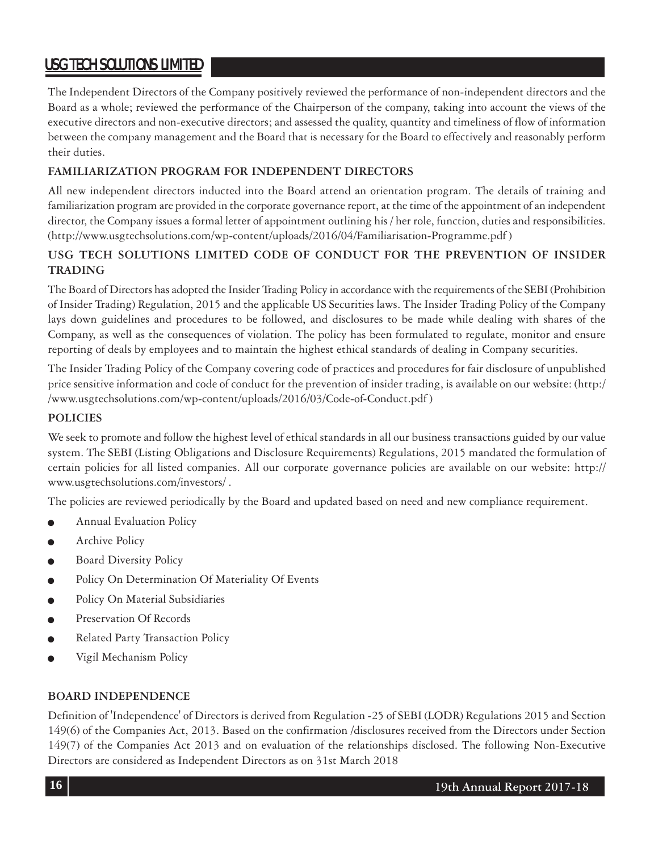The Independent Directors of the Company positively reviewed the performance of non-independent directors and the Board as a whole; reviewed the performance of the Chairperson of the company, taking into account the views of the executive directors and non-executive directors; and assessed the quality, quantity and timeliness of flow of information between the company management and the Board that is necessary for the Board to effectively and reasonably perform their duties.

#### **FAMILIARIZATION PROGRAM FOR INDEPENDENT DIRECTORS**

All new independent directors inducted into the Board attend an orientation program. The details of training and familiarization program are provided in the corporate governance report, at the time of the appointment of an independent director, the Company issues a formal letter of appointment outlining his / her role, function, duties and responsibilities. (http://www.usgtechsolutions.com/wp-content/uploads/2016/04/Familiarisation-Programme.pdf )

### **USG TECH SOLUTIONS LIMITED CODE OF CONDUCT FOR THE PREVENTION OF INSIDER TRADING**

The Board of Directors has adopted the Insider Trading Policy in accordance with the requirements of the SEBI (Prohibition of Insider Trading) Regulation, 2015 and the applicable US Securities laws. The Insider Trading Policy of the Company lays down guidelines and procedures to be followed, and disclosures to be made while dealing with shares of the Company, as well as the consequences of violation. The policy has been formulated to regulate, monitor and ensure reporting of deals by employees and to maintain the highest ethical standards of dealing in Company securities.

The Insider Trading Policy of the Company covering code of practices and procedures for fair disclosure of unpublished price sensitive information and code of conduct for the prevention of insider trading, is available on our website: (http:/ /www.usgtechsolutions.com/wp-content/uploads/2016/03/Code-of-Conduct.pdf )

#### **POLICIES**

We seek to promote and follow the highest level of ethical standards in all our business transactions guided by our value system. The SEBI (Listing Obligations and Disclosure Requirements) Regulations, 2015 mandated the formulation of certain policies for all listed companies. All our corporate governance policies are available on our website: http:// www.usgtechsolutions.com/investors/ .

The policies are reviewed periodically by the Board and updated based on need and new compliance requirement.

- Annual Evaluation Policy
- Archive Policy
- Board Diversity Policy
- Policy On Determination Of Materiality Of Events
- Policy On Material Subsidiaries
- Preservation Of Records
- Related Party Transaction Policy
- Vigil Mechanism Policy

#### **BOARD INDEPENDENCE**

Definition of 'Independence' of Directors is derived from Regulation -25 of SEBI (LODR) Regulations 2015 and Section 149(6) of the Companies Act, 2013. Based on the confirmation /disclosures received from the Directors under Section 149(7) of the Companies Act 2013 and on evaluation of the relationships disclosed. The following Non-Executive Directors are considered as Independent Directors as on 31st March 2018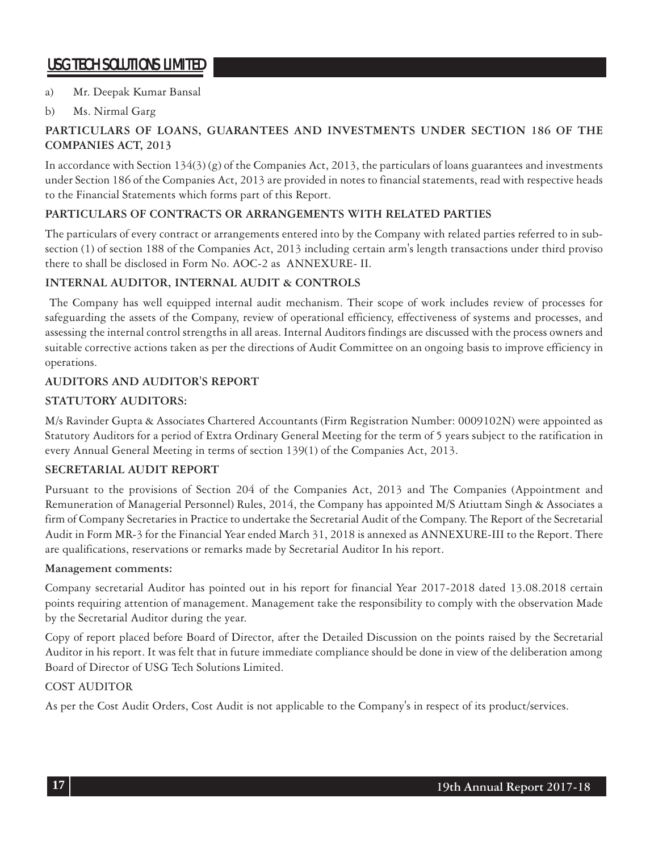#### a) Mr. Deepak Kumar Bansal

#### b) Ms. Nirmal Garg

### **PARTICULARS OF LOANS, GUARANTEES AND INVESTMENTS UNDER SECTION 186 OF THE COMPANIES ACT, 2013**

In accordance with Section 134(3) (g) of the Companies Act, 2013, the particulars of loans guarantees and investments under Section 186 of the Companies Act, 2013 are provided in notes to financial statements, read with respective heads to the Financial Statements which forms part of this Report.

#### **PARTICULARS OF CONTRACTS OR ARRANGEMENTS WITH RELATED PARTIES**

The particulars of every contract or arrangements entered into by the Company with related parties referred to in subsection (1) of section 188 of the Companies Act, 2013 including certain arm's length transactions under third proviso there to shall be disclosed in Form No. AOC-2 as ANNEXURE- II.

### **INTERNAL AUDITOR, INTERNAL AUDIT & CONTROLS**

 The Company has well equipped internal audit mechanism. Their scope of work includes review of processes for safeguarding the assets of the Company, review of operational efficiency, effectiveness of systems and processes, and assessing the internal control strengths in all areas. Internal Auditors findings are discussed with the process owners and suitable corrective actions taken as per the directions of Audit Committee on an ongoing basis to improve efficiency in operations.

#### **AUDITORS AND AUDITOR'S REPORT**

#### **STATUTORY AUDITORS:**

M/s Ravinder Gupta & Associates Chartered Accountants (Firm Registration Number: 0009102N) were appointed as Statutory Auditors for a period of Extra Ordinary General Meeting for the term of 5 years subject to the ratification in every Annual General Meeting in terms of section 139(1) of the Companies Act, 2013.

#### **SECRETARIAL AUDIT REPORT**

Pursuant to the provisions of Section 204 of the Companies Act, 2013 and The Companies (Appointment and Remuneration of Managerial Personnel) Rules, 2014, the Company has appointed M/S Atiuttam Singh & Associates a firm of Company Secretaries in Practice to undertake the Secretarial Audit of the Company. The Report of the Secretarial Audit in Form MR-3 for the Financial Year ended March 31, 2018 is annexed as ANNEXURE-III to the Report. There are qualifications, reservations or remarks made by Secretarial Auditor In his report.

#### **Management comments:**

Company secretarial Auditor has pointed out in his report for financial Year 2017-2018 dated 13.08.2018 certain points requiring attention of management. Management take the responsibility to comply with the observation Made by the Secretarial Auditor during the year.

Copy of report placed before Board of Director, after the Detailed Discussion on the points raised by the Secretarial Auditor in his report. It was felt that in future immediate compliance should be done in view of the deliberation among Board of Director of USG Tech Solutions Limited.

#### COST AUDITOR

As per the Cost Audit Orders, Cost Audit is not applicable to the Company's in respect of its product/services.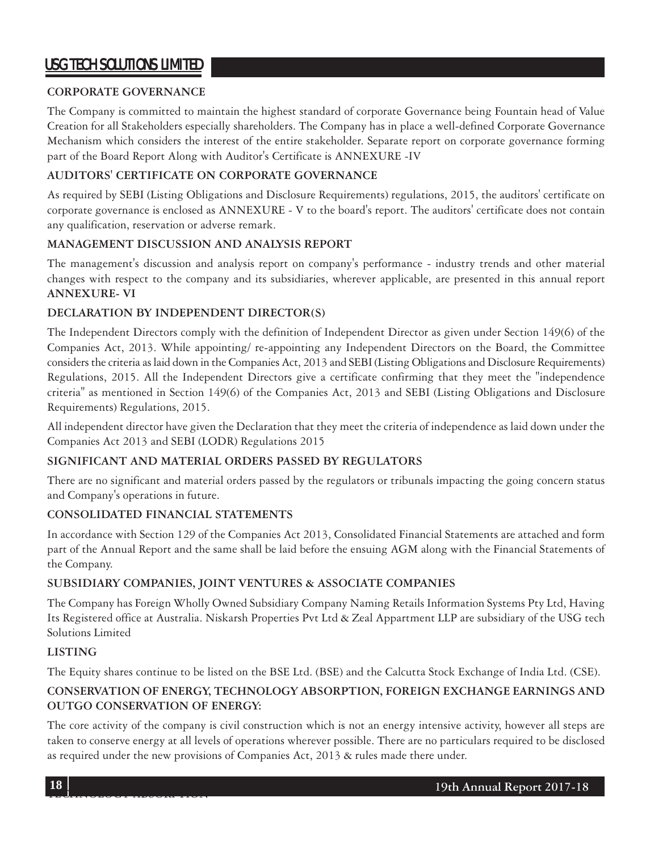#### **CORPORATE GOVERNANCE**

The Company is committed to maintain the highest standard of corporate Governance being Fountain head of Value Creation for all Stakeholders especially shareholders. The Company has in place a well-defined Corporate Governance Mechanism which considers the interest of the entire stakeholder. Separate report on corporate governance forming part of the Board Report Along with Auditor's Certificate is ANNEXURE -IV

### **AUDITORS' CERTIFICATE ON CORPORATE GOVERNANCE**

As required by SEBI (Listing Obligations and Disclosure Requirements) regulations, 2015, the auditors' certificate on corporate governance is enclosed as ANNEXURE - V to the board's report. The auditors' certificate does not contain any qualification, reservation or adverse remark.

#### **MANAGEMENT DISCUSSION AND ANALYSIS REPORT**

The management's discussion and analysis report on company's performance - industry trends and other material changes with respect to the company and its subsidiaries, wherever applicable, are presented in this annual report **ANNEXURE- VI**

#### **DECLARATION BY INDEPENDENT DIRECTOR(S)**

The Independent Directors comply with the definition of Independent Director as given under Section 149(6) of the Companies Act, 2013. While appointing/ re-appointing any Independent Directors on the Board, the Committee considers the criteria as laid down in the Companies Act, 2013 and SEBI (Listing Obligations and Disclosure Requirements) Regulations, 2015. All the Independent Directors give a certificate confirming that they meet the "independence criteria" as mentioned in Section 149(6) of the Companies Act, 2013 and SEBI (Listing Obligations and Disclosure Requirements) Regulations, 2015.

All independent director have given the Declaration that they meet the criteria of independence as laid down under the Companies Act 2013 and SEBI (LODR) Regulations 2015

### **SIGNIFICANT AND MATERIAL ORDERS PASSED BY REGULATORS**

There are no significant and material orders passed by the regulators or tribunals impacting the going concern status and Company's operations in future.

#### **CONSOLIDATED FINANCIAL STATEMENTS**

In accordance with Section 129 of the Companies Act 2013, Consolidated Financial Statements are attached and form part of the Annual Report and the same shall be laid before the ensuing AGM along with the Financial Statements of the Company.

#### **SUBSIDIARY COMPANIES, JOINT VENTURES & ASSOCIATE COMPANIES**

The Company has Foreign Wholly Owned Subsidiary Company Naming Retails Information Systems Pty Ltd, Having Its Registered office at Australia. Niskarsh Properties Pvt Ltd & Zeal Appartment LLP are subsidiary of the USG tech Solutions Limited

#### **LISTING**

The Equity shares continue to be listed on the BSE Ltd. (BSE) and the Calcutta Stock Exchange of India Ltd. (CSE).

### **CONSERVATION OF ENERGY, TECHNOLOGY ABSORPTION, FOREIGN EXCHANGE EARNINGS AND OUTGO CONSERVATION OF ENERGY:**

The core activity of the company is civil construction which is not an energy intensive activity, however all steps are taken to conserve energy at all levels of operations wherever possible. There are no particulars required to be disclosed as required under the new provisions of Companies Act, 2013 & rules made there under.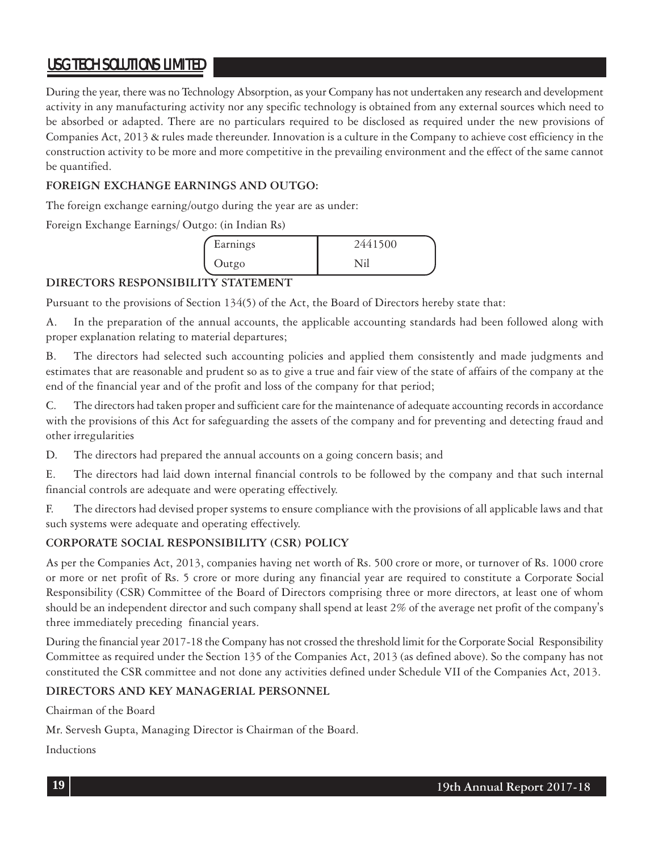During the year, there was no Technology Absorption, as your Company has not undertaken any research and development activity in any manufacturing activity nor any specific technology is obtained from any external sources which need to be absorbed or adapted. There are no particulars required to be disclosed as required under the new provisions of Companies Act, 2013 & rules made thereunder. Innovation is a culture in the Company to achieve cost efficiency in the construction activity to be more and more competitive in the prevailing environment and the effect of the same cannot be quantified.

#### **FOREIGN EXCHANGE EARNINGS AND OUTGO:**

The foreign exchange earning/outgo during the year are as under:

Foreign Exchange Earnings/ Outgo: (in Indian Rs)

| Earnings | 2441500 |  |
|----------|---------|--|
| Outgo    |         |  |

### **DIRECTORS RESPONSIBILITY STATEMENT**

Pursuant to the provisions of Section 134(5) of the Act, the Board of Directors hereby state that:

A. In the preparation of the annual accounts, the applicable accounting standards had been followed along with proper explanation relating to material departures;

B. The directors had selected such accounting policies and applied them consistently and made judgments and estimates that are reasonable and prudent so as to give a true and fair view of the state of affairs of the company at the end of the financial year and of the profit and loss of the company for that period;

C. The directors had taken proper and sufficient care for the maintenance of adequate accounting records in accordance with the provisions of this Act for safeguarding the assets of the company and for preventing and detecting fraud and other irregularities

D. The directors had prepared the annual accounts on a going concern basis; and

E. The directors had laid down internal financial controls to be followed by the company and that such internal financial controls are adequate and were operating effectively.

F. The directors had devised proper systems to ensure compliance with the provisions of all applicable laws and that such systems were adequate and operating effectively.

### **CORPORATE SOCIAL RESPONSIBILITY (CSR) POLICY**

As per the Companies Act, 2013, companies having net worth of Rs. 500 crore or more, or turnover of Rs. 1000 crore or more or net profit of Rs. 5 crore or more during any financial year are required to constitute a Corporate Social Responsibility (CSR) Committee of the Board of Directors comprising three or more directors, at least one of whom should be an independent director and such company shall spend at least 2% of the average net profit of the company's three immediately preceding financial years.

During the financial year 2017-18 the Company has not crossed the threshold limit for the Corporate Social Responsibility Committee as required under the Section 135 of the Companies Act, 2013 (as defined above). So the company has not constituted the CSR committee and not done any activities defined under Schedule VII of the Companies Act, 2013.

### **DIRECTORS AND KEY MANAGERIAL PERSONNEL**

Chairman of the Board

Mr. Servesh Gupta, Managing Director is Chairman of the Board.

Inductions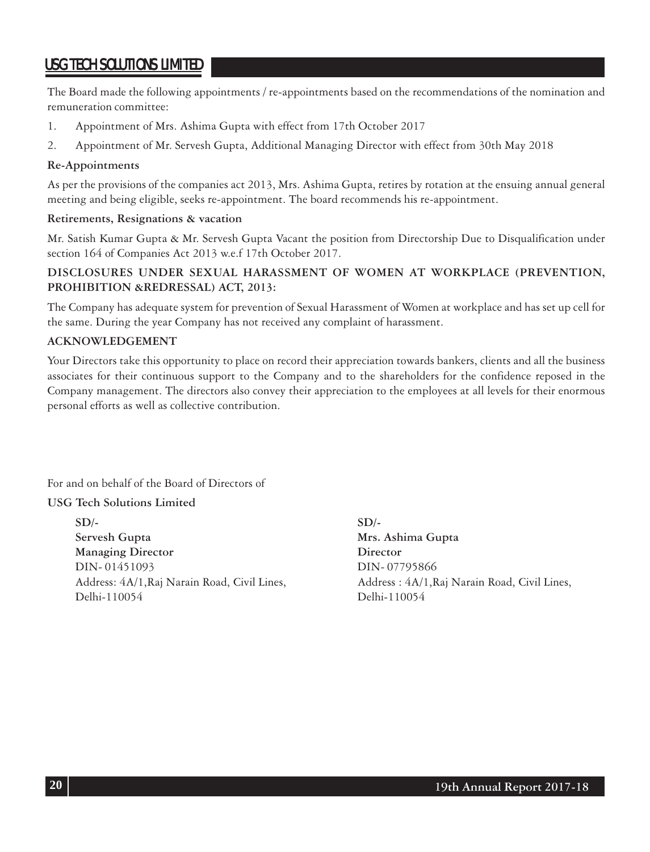The Board made the following appointments / re-appointments based on the recommendations of the nomination and remuneration committee:

- 1. Appointment of Mrs. Ashima Gupta with effect from 17th October 2017
- 2. Appointment of Mr. Servesh Gupta, Additional Managing Director with effect from 30th May 2018

#### **Re-Appointments**

As per the provisions of the companies act 2013, Mrs. Ashima Gupta, retires by rotation at the ensuing annual general meeting and being eligible, seeks re-appointment. The board recommends his re-appointment.

#### **Retirements, Resignations & vacation**

Mr. Satish Kumar Gupta & Mr. Servesh Gupta Vacant the position from Directorship Due to Disqualification under section 164 of Companies Act 2013 w.e.f 17th October 2017.

#### **DISCLOSURES UNDER SEXUAL HARASSMENT OF WOMEN AT WORKPLACE (PREVENTION, PROHIBITION &REDRESSAL) ACT, 2013:**

The Company has adequate system for prevention of Sexual Harassment of Women at workplace and has set up cell for the same. During the year Company has not received any complaint of harassment.

#### **ACKNOWLEDGEMENT**

Your Directors take this opportunity to place on record their appreciation towards bankers, clients and all the business associates for their continuous support to the Company and to the shareholders for the confidence reposed in the Company management. The directors also convey their appreciation to the employees at all levels for their enormous personal efforts as well as collective contribution.

For and on behalf of the Board of Directors of

#### **USG Tech Solutions Limited**

**SD/- SD/- Servesh Gupta Mrs. Ashima Gupta Managing Director** Director DIN- 01451093 DIN- 07795866 Delhi-110054 Delhi-110054

Address: 4A/1, Raj Narain Road, Civil Lines, Address : 4A/1, Raj Narain Road, Civil Lines,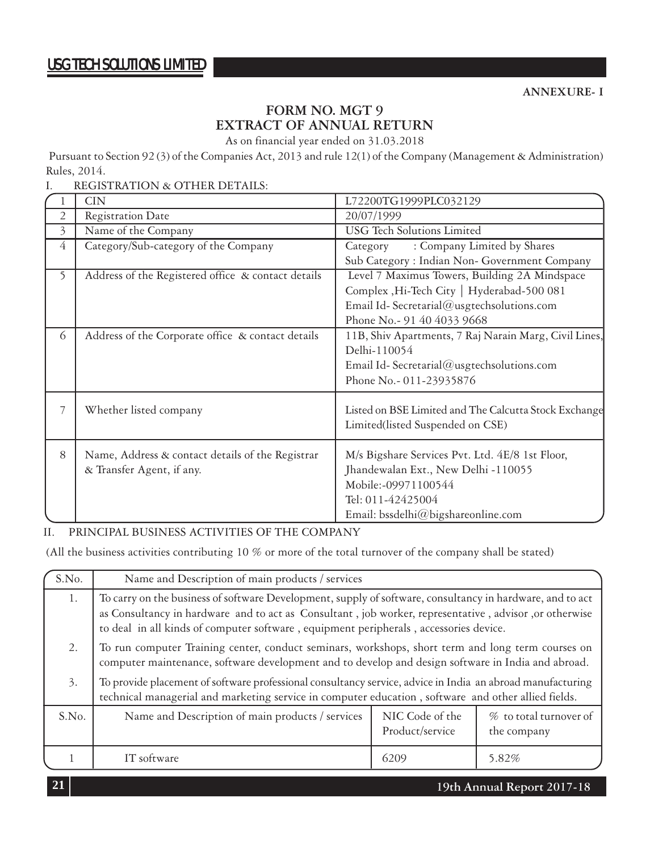### **FORM NO. MGT 9 EXTRACT OF ANNUAL RETURN**

As on financial year ended on 31.03.2018

Pursuant to Section 92 (3) of the Companies Act, 2013 and rule 12(1) of the Company (Management & Administration) Rules, 2014.

I. REGISTRATION & OTHER DETAILS:

| <b>CIN</b>                                         | L72200TG1999PLC032129                                                                                   |
|----------------------------------------------------|---------------------------------------------------------------------------------------------------------|
| <b>Registration Date</b>                           | 20/07/1999                                                                                              |
| Name of the Company                                | <b>USG</b> Tech Solutions Limited                                                                       |
| Category/Sub-category of the Company               | : Company Limited by Shares<br>Category                                                                 |
|                                                    | Sub Category: Indian Non- Government Company                                                            |
| Address of the Registered office & contact details | Level 7 Maximus Towers, Building 2A Mindspace                                                           |
|                                                    | Complex ,Hi-Tech City   Hyderabad-500 081                                                               |
|                                                    | Email Id-Secretarial@usgtechsolutions.com                                                               |
|                                                    | Phone No.- 91 40 4033 9668                                                                              |
| Address of the Corporate office & contact details  | 11B, Shiv Apartments, 7 Raj Narain Marg, Civil Lines,                                                   |
|                                                    | Delhi-110054                                                                                            |
|                                                    | Email Id-Secretarial@usgtechsolutions.com                                                               |
|                                                    | Phone No.- 011-23935876                                                                                 |
|                                                    |                                                                                                         |
|                                                    | Listed on BSE Limited and The Calcutta Stock Exchange                                                   |
|                                                    | Limited(listed Suspended on CSE)                                                                        |
|                                                    | M/s Bigshare Services Pvt. Ltd. 4E/8 1st Floor,                                                         |
|                                                    | Jhandewalan Ext., New Delhi -110055                                                                     |
|                                                    | Mobile:-09971100544                                                                                     |
|                                                    | Tel: 011-42425004                                                                                       |
|                                                    | Email: bssdelhi@bigshareonline.com                                                                      |
|                                                    | Whether listed company<br>Name, Address & contact details of the Registrar<br>& Transfer Agent, if any. |

#### II. PRINCIPAL BUSINESS ACTIVITIES OF THE COMPANY

(All the business activities contributing 10 % or more of the total turnover of the company shall be stated)

| S.No. | Name and Description of main products / services                                                                                                                                                                                                                                                             |                                    |                                       |  |  |  |  |
|-------|--------------------------------------------------------------------------------------------------------------------------------------------------------------------------------------------------------------------------------------------------------------------------------------------------------------|------------------------------------|---------------------------------------|--|--|--|--|
| 1.    | To carry on the business of software Development, supply of software, consultancy in hardware, and to act<br>as Consultancy in hardware and to act as Consultant, job worker, representative, advisor, or otherwise<br>to deal in all kinds of computer software, equipment peripherals, accessories device. |                                    |                                       |  |  |  |  |
| 2.    | To run computer Training center, conduct seminars, workshops, short term and long term courses on<br>computer maintenance, software development and to develop and design software in India and abroad.                                                                                                      |                                    |                                       |  |  |  |  |
| 3.    | To provide placement of software professional consultancy service, advice in India an abroad manufacturing<br>technical managerial and marketing service in computer education, software and other allied fields.                                                                                            |                                    |                                       |  |  |  |  |
| S.No. | Name and Description of main products / services                                                                                                                                                                                                                                                             | NIC Code of the<br>Product/service | % to total turnover of<br>the company |  |  |  |  |
|       | IT software                                                                                                                                                                                                                                                                                                  | 6209                               | 5.82%                                 |  |  |  |  |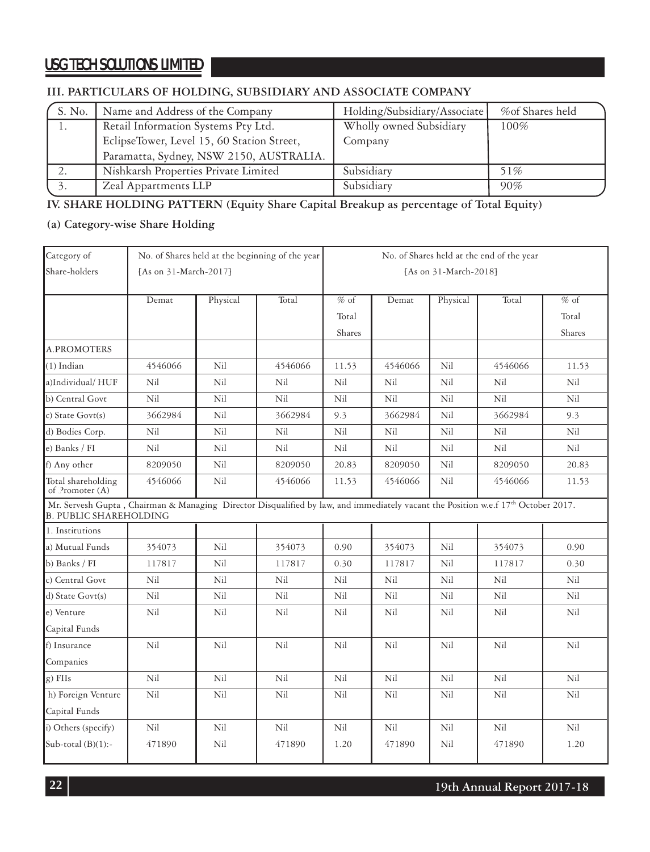### **III. PARTICULARS OF HOLDING, SUBSIDIARY AND ASSOCIATE COMPANY**

| S. No. | Name and Address of the Company            | Holding/Subsidiary/Associate | %of Shares held |
|--------|--------------------------------------------|------------------------------|-----------------|
|        | Retail Information Systems Pty Ltd.        | Wholly owned Subsidiary      |                 |
|        | EclipseTower, Level 15, 60 Station Street, | Company                      |                 |
|        | Paramatta, Sydney, NSW 2150, AUSTRALIA.    |                              |                 |
|        | Nishkarsh Properties Private Limited       | Subsidiary                   | 51%             |
|        | Zeal Appartments LLP                       | Subsidiary                   | 90%             |

### **IV. SHARE HOLDING PATTERN (Equity Share Capital Breakup as percentage of Total Equity)**

#### **(a) Category-wise Share Holding**

| Category of                                                                                                                                                        |                       |          | No. of Shares held at the beginning of the year | No. of Shares held at the end of the year |         |          |         |        |  |
|--------------------------------------------------------------------------------------------------------------------------------------------------------------------|-----------------------|----------|-------------------------------------------------|-------------------------------------------|---------|----------|---------|--------|--|
| Share-holders                                                                                                                                                      | [As on 31-March-2017] |          |                                                 | [As on 31-March-2018]                     |         |          |         |        |  |
|                                                                                                                                                                    | Demat                 | Physical | Total                                           | $%$ of                                    | Demat   | Physical | Total   | $%$ of |  |
|                                                                                                                                                                    |                       |          |                                                 | Total                                     |         |          |         | Total  |  |
|                                                                                                                                                                    |                       |          |                                                 | Shares                                    |         |          |         | Shares |  |
| A.PROMOTERS                                                                                                                                                        |                       |          |                                                 |                                           |         |          |         |        |  |
| $(1)$ Indian                                                                                                                                                       | 4546066               | Nil      | 4546066                                         | 11.53                                     | 4546066 | Nil      | 4546066 | 11.53  |  |
| a)Individual/HUF                                                                                                                                                   | Nil                   | Nil      | Nil                                             | Nil                                       | Nil     | Nil      | Nil     | Nil    |  |
| b) Central Govt                                                                                                                                                    | Nil                   | Nil      | Nil                                             | Nil                                       | Nil     | Nil      | Nil     | Nil    |  |
| c) State $Govt(s)$                                                                                                                                                 | 3662984               | Nil      | 3662984                                         | 9.3                                       | 3662984 | Nil      | 3662984 | 9.3    |  |
| d) Bodies Corp.                                                                                                                                                    | Nil                   | Nil      | Nil                                             | Nil                                       | Nil     | Nil      | Nil     | Nil    |  |
| e) Banks / FI                                                                                                                                                      | Nil                   | Nil      | Nil                                             | Nil                                       | Nil     | Nil      | Nil     | Nil    |  |
| f) Any other                                                                                                                                                       | 8209050               | Nil      | 8209050                                         | 20.83                                     | 8209050 | Nil      | 8209050 | 20.83  |  |
| Total shareholding<br>of Promoter (A)                                                                                                                              | 4546066               | Nil      | 4546066                                         | 11.53                                     | 4546066 | Nil      | 4546066 | 11.53  |  |
| Mr. Servesh Gupta, Chairman & Managing Director Disqualified by law, and immediately vacant the Position w.e.f 17th October 2017.<br><b>B. PUBLIC SHAREHOLDING</b> |                       |          |                                                 |                                           |         |          |         |        |  |
| 1. Institutions                                                                                                                                                    |                       |          |                                                 |                                           |         |          |         |        |  |
| a) Mutual Funds                                                                                                                                                    | 354073                | Nil      | 354073                                          | 0.90                                      | 354073  | Nil      | 354073  | 0.90   |  |
| b) Banks / FI                                                                                                                                                      | 117817                | Nil      | 117817                                          | 0.30                                      | 117817  | Nil      | 117817  | 0.30   |  |
| c) Central Govt                                                                                                                                                    | Nil                   | Nil      | Nil                                             | Nil                                       | Nil     | Nil      | Nil     | Nil    |  |
| d) State Govt(s)                                                                                                                                                   | Nil                   | Nil      | Nil                                             | Nil                                       | Nil     | Nil      | Nil     | Nil    |  |
| e) Venture                                                                                                                                                         | Nil                   | Nil      | Nil                                             | Nil                                       | Nil     | Nil      | Nil     | Nil    |  |
| Capital Funds                                                                                                                                                      |                       |          |                                                 |                                           |         |          |         |        |  |
| f) Insurance                                                                                                                                                       | Nil                   | Nil      | Nil                                             | Nil                                       | Nil     | Nil      | Nil     | Nil    |  |
| Companies                                                                                                                                                          |                       |          |                                                 |                                           |         |          |         |        |  |
| g) FIIs                                                                                                                                                            | Nil                   | Nil      | Nil                                             | Nil                                       | Nil     | Nil      | Nil     | Nil    |  |
| h) Foreign Venture                                                                                                                                                 | Nil                   | Nil      | Nil                                             | Nil                                       | Nil     | Nil      | Nil     | Nil    |  |
| Capital Funds                                                                                                                                                      |                       |          |                                                 |                                           |         |          |         |        |  |
| i) Others (specify)                                                                                                                                                | Nil                   | Nil      | Nil                                             | Nil                                       | Nil     | Nil      | Nil     | Nil    |  |
| Sub-total $(B)(1)$ :-                                                                                                                                              | 471890                | Nil      | 471890                                          | 1.20                                      | 471890  | Nil      | 471890  | 1.20   |  |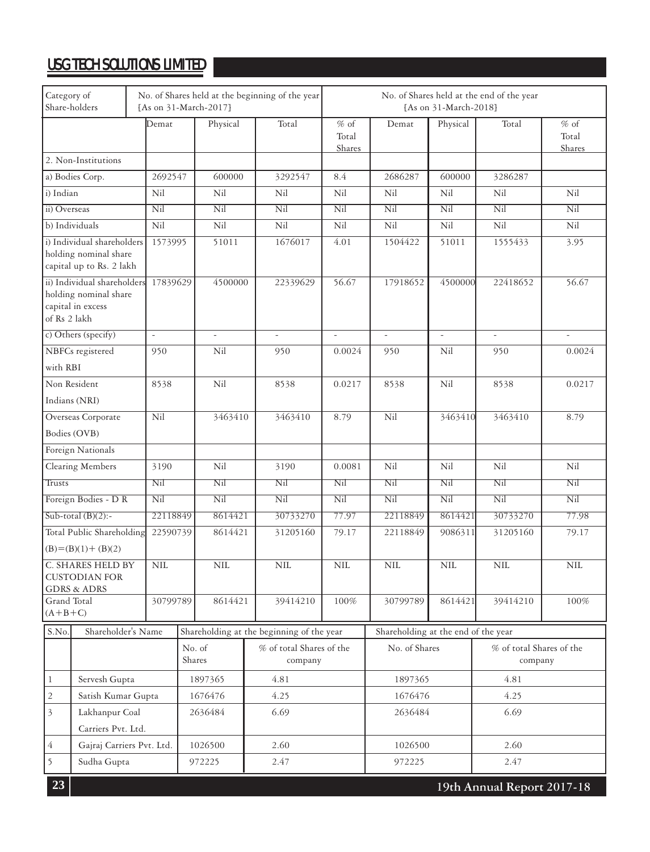| Category of<br>Share-holders         |                                                                                 | No. of Shares held at the beginning of the year<br>[As on 31-March-2017] |                                |                                     |                          | No. of Shares held at the end of the year<br>[As on 31-March-2018] |                           |                                     |            |           |                           |
|--------------------------------------|---------------------------------------------------------------------------------|--------------------------------------------------------------------------|--------------------------------|-------------------------------------|--------------------------|--------------------------------------------------------------------|---------------------------|-------------------------------------|------------|-----------|---------------------------|
|                                      |                                                                                 |                                                                          | Demat                          |                                     | Physical                 | Total                                                              | $%$ of<br>Total<br>Shares | Demat                               | Physical   | Total     | $%$ of<br>Total<br>Shares |
|                                      | 2. Non-Institutions                                                             |                                                                          |                                |                                     |                          |                                                                    |                           |                                     |            |           |                           |
|                                      | a) Bodies Corp.                                                                 |                                                                          | 2692547                        |                                     | 600000                   | 3292547                                                            | 8.4                       | 2686287                             | 600000     | 3286287   |                           |
| i) Indian                            |                                                                                 |                                                                          | Nil                            |                                     | Nil                      | Nil                                                                | Nil                       | Nil                                 | Nil        | Nil       | Nil                       |
| ii) Overseas                         |                                                                                 |                                                                          | Nil                            |                                     | Nil                      | Nil                                                                | Nil                       | Nil                                 | Nil        | Nil       | Nil                       |
| b) Individuals                       |                                                                                 |                                                                          | Nil                            |                                     | Nil                      | Nil                                                                | Nil                       | Nil                                 | Nil        | Nil       | Nil                       |
|                                      | i) Individual shareholders<br>holding nominal share<br>capital up to Rs. 2 lakh |                                                                          | 1573995                        |                                     | 51011                    | 1676017                                                            | 4.01                      | 1504422                             | 51011      | 1555433   | 3.95                      |
| of Rs 2 lakh                         | ii) Individual shareholders<br>holding nominal share<br>capital in excess       |                                                                          | 17839629                       |                                     | 4500000                  | 22339629                                                           | 56.67                     | 17918652                            | 4500000    | 22418652  | 56.67                     |
|                                      | c) Others (specify)                                                             |                                                                          | $\Box$                         |                                     | $\overline{\phantom{a}}$ |                                                                    | $\overline{\phantom{a}}$  | ÷,                                  | $\sim$     |           |                           |
|                                      | NBFCs registered                                                                |                                                                          | 950                            |                                     | Nil                      | 950                                                                | 0.0024                    | 950                                 | Nil        | 950       | 0.0024                    |
| with RBI                             |                                                                                 |                                                                          |                                |                                     |                          |                                                                    |                           |                                     |            |           |                           |
| Non Resident                         |                                                                                 |                                                                          | 8538                           |                                     | Nil                      | 8538                                                               | 0.0217                    | 8538                                | Nil        | 8538      | 0.0217                    |
| Indians (NRI)                        |                                                                                 |                                                                          |                                |                                     |                          |                                                                    |                           |                                     |            |           |                           |
|                                      | Overseas Corporate                                                              |                                                                          | Nil                            | 3463410                             |                          | 3463410                                                            | 8.79                      | Nil                                 | 3463410    | 3463410   | 8.79                      |
| Bodies (OVB)                         |                                                                                 |                                                                          |                                |                                     |                          |                                                                    |                           |                                     |            |           |                           |
|                                      | Foreign Nationals                                                               |                                                                          |                                |                                     |                          |                                                                    |                           |                                     |            |           |                           |
|                                      | Clearing Members                                                                |                                                                          | 3190                           | Nil                                 |                          | 3190                                                               | 0.0081                    | Nil                                 | Nil        | Nil       | Nil                       |
| Trusts                               |                                                                                 |                                                                          | Nil                            | Nil                                 |                          | Nil                                                                | Nil                       | Nil                                 | Nil        | Nil       | Nil                       |
|                                      | Foreign Bodies - D R                                                            |                                                                          | $\overline{\text{Nil}}$<br>Nil |                                     |                          | $\overline{\text{Nil}}$                                            | $\overline{\text{Nil}}$   | Nil                                 | Nil        | Nil       | Nil                       |
|                                      | Sub-total $(B)(2)$ :-                                                           |                                                                          | 22118849                       |                                     | 8614421                  | 30733270                                                           | 77.97                     | 22118849                            | 8614421    | 30733270  | 77.98                     |
|                                      | Total Public Shareholding<br>$(B)=(B)(1)+(B)(2)$                                |                                                                          | 22590739                       |                                     | 8614421                  | 31205160                                                           | 79.17                     | 22118849                            | 9086311    | 31205160  | 79.17                     |
|                                      | C. SHARES HELD BY<br><b>CUSTODIAN FOR</b><br><b>GDRS &amp; ADRS</b>             |                                                                          | <b>NIL</b>                     |                                     | <b>NIL</b>               | <b>NIL</b>                                                         | <b>NIL</b>                | <b>NIL</b>                          | <b>NIL</b> | $\rm NIL$ | <b>NIL</b>                |
| Grand Total<br>$(A+B+C)$             |                                                                                 |                                                                          | 30799789                       |                                     | 8614421                  | 39414210                                                           | 100%                      | 30799789                            | 8614421    | 39414210  | 100%                      |
| S.No.                                | Shareholder's Name                                                              |                                                                          |                                |                                     |                          | Shareholding at the beginning of the year                          |                           | Shareholding at the end of the year |            |           |                           |
|                                      |                                                                                 | No. of<br>Shares                                                         |                                | % of total Shares of the<br>company |                          | No. of Shares                                                      |                           | % of total Shares of the<br>company |            |           |                           |
| $\,1$<br>Servesh Gupta               |                                                                                 |                                                                          | 1897365                        | 4.81                                |                          | 1897365                                                            |                           | 4.81                                |            |           |                           |
| $\overline{c}$<br>Satish Kumar Gupta |                                                                                 |                                                                          | 1676476                        | 4.25                                |                          | 1676476                                                            |                           | 4.25                                |            |           |                           |
| $\overline{3}$<br>Lakhanpur Coal     |                                                                                 |                                                                          | 2636484                        | 6.69                                |                          | 2636484                                                            |                           | 6.69                                |            |           |                           |
|                                      | Carriers Pvt. Ltd.                                                              |                                                                          |                                |                                     |                          |                                                                    |                           |                                     |            |           |                           |
| $\overline{4}$                       | Gajraj Carriers Pvt. Ltd.                                                       |                                                                          |                                |                                     | 1026500                  | 2.60                                                               |                           | 1026500                             |            | 2.60      |                           |
| 5                                    | Sudha Gupta                                                                     |                                                                          |                                |                                     | 972225                   | 2.47                                                               |                           | 972225                              |            | 2.47      |                           |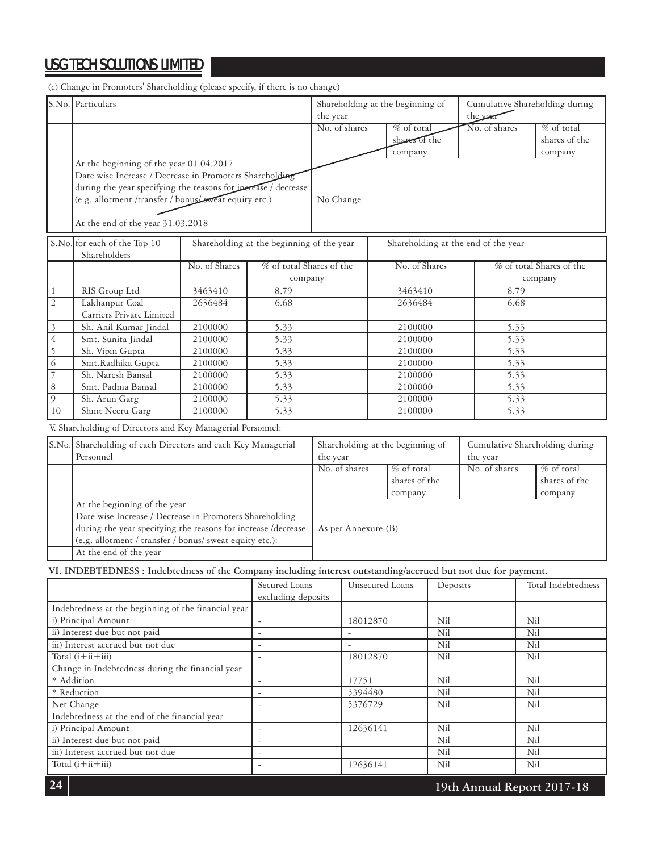(c) Change in Promoters' Shareholding (please specify, if there is no change)

|                                                  | S.No. Particulars                                                                                              |               |                                            | Shareholding at the beginning of |                                     |               |                                  | Cumulative Shareholding during |               |                         |                                |
|--------------------------------------------------|----------------------------------------------------------------------------------------------------------------|---------------|--------------------------------------------|----------------------------------|-------------------------------------|---------------|----------------------------------|--------------------------------|---------------|-------------------------|--------------------------------|
|                                                  |                                                                                                                |               |                                            | the year                         |                                     |               | the yea                          |                                |               |                         |                                |
|                                                  |                                                                                                                |               |                                            |                                  | No. of shares                       |               | % of total                       |                                | No. of shares |                         | % of total                     |
|                                                  |                                                                                                                |               |                                            |                                  |                                     |               | shares of the                    |                                |               |                         | shares of the                  |
|                                                  |                                                                                                                |               |                                            |                                  |                                     | company       |                                  |                                |               | company                 |                                |
|                                                  | At the beginning of the year 01.04.2017                                                                        |               |                                            |                                  |                                     |               |                                  |                                |               |                         |                                |
|                                                  | Date wise Increase / Decrease in Promoters Shareholding                                                        |               |                                            |                                  |                                     |               |                                  |                                |               |                         |                                |
|                                                  | during the year specifying the reasons for inerease / decrease                                                 |               |                                            |                                  |                                     |               |                                  |                                |               |                         |                                |
|                                                  | (e.g. allotment /transfer / bonus/sweat equity etc.)                                                           |               |                                            | No Change                        |                                     |               |                                  |                                |               |                         |                                |
|                                                  | At the end of the year 31.03.2018                                                                              |               |                                            |                                  |                                     |               |                                  |                                |               |                         |                                |
|                                                  | S.No. for each of the Top 10<br>Shareholders                                                                   |               | Shareholding at the beginning of the year  |                                  | Shareholding at the end of the year |               |                                  |                                |               |                         |                                |
|                                                  |                                                                                                                | No. of Shares | % of total Shares of the                   |                                  |                                     |               | No. of Shares                    |                                |               |                         | % of total Shares of the       |
|                                                  |                                                                                                                |               | company                                    |                                  |                                     |               |                                  |                                |               |                         | company                        |
| $\mathbf{1}$                                     | RIS Group Ltd                                                                                                  | 3463410       | 8.79                                       |                                  |                                     |               | 3463410                          |                                |               | 8.79                    |                                |
| $\mathbf{2}$                                     | Lakhanpur Coal                                                                                                 | 2636484       | 6.68                                       |                                  |                                     |               | 2636484                          |                                |               | 6.68                    |                                |
|                                                  | Carriers Private Limited                                                                                       |               |                                            |                                  |                                     |               |                                  |                                |               |                         |                                |
| 3                                                | Sh. Anil Kumar Jindal                                                                                          | 2100000       | 5.33                                       |                                  |                                     |               | 2100000                          |                                |               | 5.33                    |                                |
| $\overline{4}$                                   | Smt. Sunita Jindal                                                                                             | 2100000       | 5.33                                       |                                  |                                     |               | 2100000                          |                                |               | 5.33                    |                                |
| 5                                                | Sh. Vipin Gupta                                                                                                | 2100000       | 5.33                                       |                                  |                                     |               | 2100000                          |                                |               | 5.33                    |                                |
| 6                                                | Smt.Radhika Gupta                                                                                              | 2100000       | 5.33                                       |                                  |                                     |               | 2100000                          |                                |               | 5.33                    |                                |
| 7                                                | Sh. Naresh Bansal                                                                                              | 2100000       | 5.33                                       |                                  |                                     |               | 2100000                          |                                |               | 5.33                    |                                |
| 8                                                | Smt. Padma Bansal                                                                                              | 2100000       | 5.33                                       |                                  |                                     |               | 2100000                          |                                |               | 5.33                    |                                |
| 9                                                | Sh. Arun Garg                                                                                                  | 2100000       | 5.33                                       |                                  |                                     | 2100000       |                                  |                                | 5.33          |                         |                                |
| 10                                               | Shmt Neeru Garg                                                                                                | 2100000       | 5.33                                       |                                  |                                     | 2100000       |                                  |                                | 5.33          |                         |                                |
|                                                  | V. Shareholding of Directors and Key Managerial Personnel:                                                     |               |                                            |                                  |                                     |               |                                  |                                |               |                         |                                |
|                                                  | S.No. Shareholding of each Directors and each Key Managerial                                                   |               |                                            |                                  |                                     |               | Shareholding at the beginning of |                                |               |                         | Cumulative Shareholding during |
|                                                  | Personnel                                                                                                      |               |                                            |                                  | the year<br>the year                |               |                                  |                                |               |                         |                                |
|                                                  |                                                                                                                |               |                                            | No. of shares<br>% of total      |                                     | No. of shares |                                  |                                | % of total    |                         |                                |
|                                                  |                                                                                                                |               |                                            |                                  |                                     | shares of the |                                  |                                |               | shares of the           |                                |
|                                                  |                                                                                                                |               |                                            |                                  |                                     |               | company                          |                                |               |                         | company                        |
|                                                  | At the beginning of the year                                                                                   |               |                                            |                                  |                                     |               |                                  |                                |               |                         |                                |
|                                                  | Date wise Increase / Decrease in Promoters Shareholding                                                        |               |                                            |                                  |                                     |               |                                  |                                |               |                         |                                |
|                                                  | during the year specifying the reasons for increase /decrease                                                  |               |                                            |                                  | As per Annexure-(B)                 |               |                                  |                                |               |                         |                                |
|                                                  | (e.g. allotment / transfer / bonus/ sweat equity etc.):                                                        |               |                                            |                                  |                                     |               |                                  |                                |               |                         |                                |
|                                                  | At the end of the year                                                                                         |               |                                            |                                  |                                     |               |                                  |                                |               |                         |                                |
|                                                  | VI. INDEBTEDNESS : Indebtedness of the Company including interest outstanding/accrued but not due for payment. |               |                                            |                                  |                                     |               |                                  |                                |               |                         |                                |
|                                                  |                                                                                                                |               | Secured Loans                              |                                  | Unsecured Loans                     |               |                                  | Deposits                       |               |                         | Total Indebtedness             |
|                                                  |                                                                                                                |               | excluding deposits                         |                                  |                                     |               |                                  |                                |               |                         |                                |
|                                                  | Indebtedness at the beginning of the financial year                                                            |               |                                            |                                  |                                     |               |                                  |                                |               |                         |                                |
|                                                  | i) Principal Amount                                                                                            |               | $\overline{\phantom{a}}$                   |                                  | 18012870                            |               |                                  | Nil                            |               | Nil                     |                                |
|                                                  | ii) Interest due but not paid                                                                                  |               | $\overline{\phantom{a}}$                   |                                  | $\overline{\phantom{a}}$            |               |                                  | Nil                            |               | Nil                     |                                |
| iii) Interest accrued but not due                |                                                                                                                |               | $\overline{\phantom{a}}$                   |                                  | ÷,                                  |               |                                  | Nil                            |               | Nil                     |                                |
| Total $(i+ii+iii)$                               |                                                                                                                |               |                                            |                                  | 18012870                            |               |                                  | $\overline{\text{Nil}}$        |               | $\overline{\text{Nil}}$ |                                |
| Change in Indebtedness during the financial year |                                                                                                                |               |                                            |                                  |                                     |               |                                  |                                |               |                         |                                |
| * Addition                                       |                                                                                                                |               | $\blacksquare$                             |                                  | 17751                               |               |                                  | Nil                            |               | Nil                     |                                |
| * Reduction                                      |                                                                                                                |               | $\blacksquare$                             |                                  | 5394480                             |               |                                  | Nil                            |               | Nil                     |                                |
| Net Change                                       |                                                                                                                |               | $\blacksquare$                             |                                  | 5376729                             |               |                                  | Nil                            |               | Nil                     |                                |
|                                                  | Indebtedness at the end of the financial year                                                                  |               |                                            |                                  |                                     |               |                                  |                                |               |                         |                                |
|                                                  | i) Principal Amount                                                                                            |               | $\omega$                                   |                                  | 12636141                            |               |                                  | Nil                            |               | Nil                     |                                |
|                                                  | ii) Interest due but not paid                                                                                  |               | $\overline{\phantom{a}}$                   |                                  |                                     |               |                                  | Nil                            |               | Nil                     |                                |
|                                                  | iii) Interest accrued but not due<br>Total $(i + ii + iii)$                                                    |               | $\blacksquare$<br>$\overline{\phantom{a}}$ |                                  |                                     |               |                                  | Nil                            |               | Nil                     |                                |
|                                                  |                                                                                                                |               |                                            |                                  | 12636141                            |               |                                  | Nil                            |               | Nil                     |                                |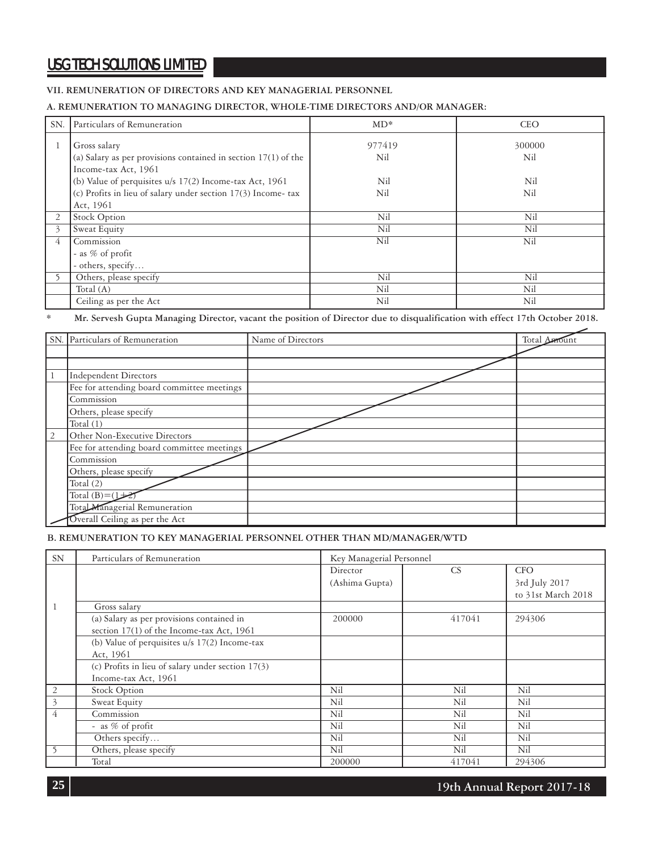#### **VII. REMUNERATION OF DIRECTORS AND KEY MANAGERIAL PERSONNEL**

#### **A. REMUNERATION TO MANAGING DIRECTOR, WHOLE-TIME DIRECTORS AND/OR MANAGER:**

| SN.            | Particulars of Remuneration                                                                                                                                                                                                                        | $MD*$                       | <b>CEO</b>                  |
|----------------|----------------------------------------------------------------------------------------------------------------------------------------------------------------------------------------------------------------------------------------------------|-----------------------------|-----------------------------|
| 1              | Gross salary<br>(a) Salary as per provisions contained in section $17(1)$ of the<br>Income-tax Act, 1961<br>(b) Value of perquisites $u/s$ 17(2) Income-tax Act, 1961<br>(c) Profits in lieu of salary under section 17(3) Income-tax<br>Act, 1961 | 977419<br>Nil<br>Nil<br>Nil | 300000<br>Nil<br>Nil<br>Nil |
| $\overline{2}$ | <b>Stock Option</b>                                                                                                                                                                                                                                | Nil                         | Nil                         |
| 3              | Sweat Equity                                                                                                                                                                                                                                       | Nil                         | Nil                         |
| $\overline{4}$ | Commission<br>- as % of profit<br>- others, specify                                                                                                                                                                                                | Nil                         | Nil                         |
|                | Others, please specify                                                                                                                                                                                                                             | Nil                         | Nil                         |
|                | Total $(A)$                                                                                                                                                                                                                                        | Nil                         | Nil                         |
|                | Ceiling as per the Act                                                                                                                                                                                                                             | Nil                         | Nil                         |

\* **Mr. Servesh Gupta Managing Director, vacant the position of Director due to disqualification with effect 17th October 2018.**

|   | SN. Particulars of Remuneration            | Name of Directors | Total Amount |
|---|--------------------------------------------|-------------------|--------------|
|   |                                            |                   |              |
|   |                                            |                   |              |
|   | <b>Independent Directors</b>               |                   |              |
|   | Fee for attending board committee meetings |                   |              |
|   | Commission                                 |                   |              |
|   | Others, please specify                     |                   |              |
|   | Total $(1)$                                |                   |              |
| 2 | Other Non-Executive Directors              |                   |              |
|   | Fee for attending board committee meetings |                   |              |
|   | Commission                                 |                   |              |
|   | Others, please specify                     |                   |              |
|   | Total $(2)$                                |                   |              |
|   | Total $(B)=(1+$                            |                   |              |
|   | Total Managerial Remuneration              |                   |              |
|   | Overall Ceiling as per the Act             |                   |              |

#### **B. REMUNERATION TO KEY MANAGERIAL PERSONNEL OTHER THAN MD/MANAGER/WTD**

| <b>SN</b>      | Particulars of Remuneration<br>Key Managerial Personnel |                |        |                    |  |
|----------------|---------------------------------------------------------|----------------|--------|--------------------|--|
|                |                                                         | Director       | CS     | <b>CFO</b>         |  |
|                |                                                         | (Ashima Gupta) |        | 3rd July 2017      |  |
|                |                                                         |                |        | to 31st March 2018 |  |
|                | Gross salary                                            |                |        |                    |  |
|                | (a) Salary as per provisions contained in               | 200000         | 417041 | 294306             |  |
|                | section 17(1) of the Income-tax Act, 1961               |                |        |                    |  |
|                | (b) Value of perquisites u/s 17(2) Income-tax           |                |        |                    |  |
|                | Act, 1961                                               |                |        |                    |  |
|                | (c) Profits in lieu of salary under section $17(3)$     |                |        |                    |  |
|                | Income-tax Act, 1961                                    |                |        |                    |  |
| 2              | <b>Stock Option</b>                                     | Nil            | Nil    | Nil                |  |
| $\overline{3}$ | Sweat Equity                                            | Nil            | Nil    | Nil                |  |
| $\overline{4}$ | Commission                                              | Nil            | Nil    | Nil                |  |
|                | - as % of profit                                        | Nil            | Nil    | Nil                |  |
|                | Others specify                                          | Nil            | Nil    | Nil                |  |
|                | Others, please specify                                  | Nil            | Nil    | Nil                |  |
|                | Total                                                   | 200000         | 417041 | 294306             |  |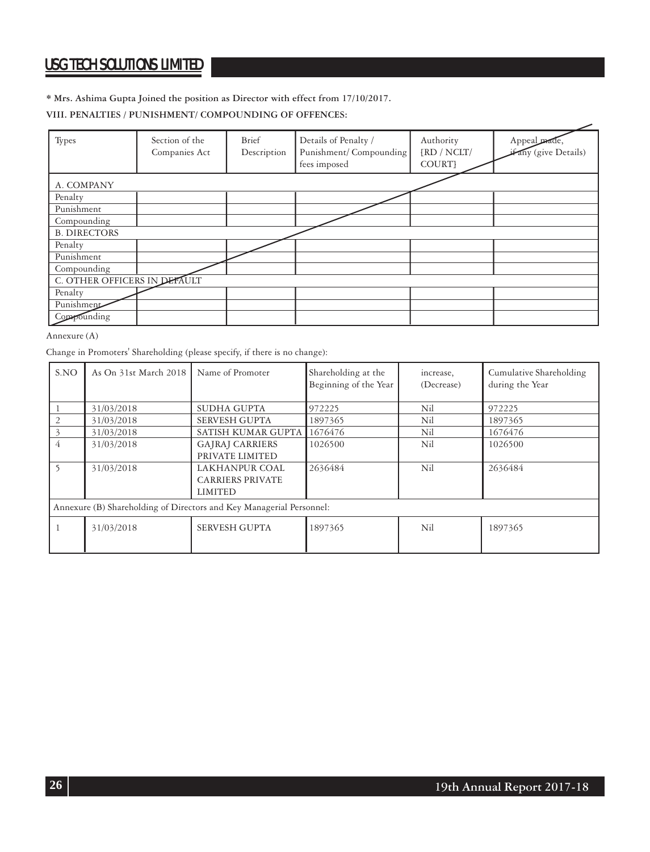#### **\* Mrs. Ashima Gupta Joined the position as Director with effect from 17/10/2017.**

#### **VIII. PENALTIES / PUNISHMENT/ COMPOUNDING OF OFFENCES:**

| Types                        | Section of the<br>Companies Act | Brief<br>Description | Details of Penalty /<br>Punishment/Compounding<br>fees imposed | Authority<br>$\{RD / NCLT /$<br>COURT} | Appeal prade<br>any (give Details) |
|------------------------------|---------------------------------|----------------------|----------------------------------------------------------------|----------------------------------------|------------------------------------|
| A. COMPANY                   |                                 |                      |                                                                |                                        |                                    |
| Penalty                      |                                 |                      |                                                                |                                        |                                    |
| Punishment                   |                                 |                      |                                                                |                                        |                                    |
| Compounding                  |                                 |                      |                                                                |                                        |                                    |
| <b>B. DIRECTORS</b>          |                                 |                      |                                                                |                                        |                                    |
| Penalty                      |                                 |                      |                                                                |                                        |                                    |
| Punishment                   |                                 |                      |                                                                |                                        |                                    |
| Compounding                  |                                 |                      |                                                                |                                        |                                    |
| C. OTHER OFFICERS IN DEFAULT |                                 |                      |                                                                |                                        |                                    |
| Penalty                      |                                 |                      |                                                                |                                        |                                    |
| Punishment                   |                                 |                      |                                                                |                                        |                                    |
| Compounding                  |                                 |                      |                                                                |                                        |                                    |

#### Annexure (A)

Change in Promoters' Shareholding (please specify, if there is no change):

| S.NO | As On 31st March 2018                                                | Name of Promoter        | Shareholding at the<br>Beginning of the Year | increase,<br>(Decrease) | Cumulative Shareholding<br>during the Year |  |  |  |  |
|------|----------------------------------------------------------------------|-------------------------|----------------------------------------------|-------------------------|--------------------------------------------|--|--|--|--|
|      | 31/03/2018                                                           | SUDHA GUPTA             | 972225                                       | Nil                     | 972225                                     |  |  |  |  |
|      | 31/03/2018                                                           | <b>SERVESH GUPTA</b>    | 1897365                                      | Nil                     | 1897365                                    |  |  |  |  |
|      | 31/03/2018                                                           | SATISH KUMAR GUPTA      | 1676476                                      | Nil                     | 1676476                                    |  |  |  |  |
| 4    | 31/03/2018                                                           | <b>GAJRAJ CARRIERS</b>  | 1026500                                      | Nil                     | 1026500                                    |  |  |  |  |
|      |                                                                      | PRIVATE LIMITED         |                                              |                         |                                            |  |  |  |  |
|      | 31/03/2018                                                           | LAKHANPUR COAL          | 2636484                                      | Nil                     | 2636484                                    |  |  |  |  |
|      |                                                                      | <b>CARRIERS PRIVATE</b> |                                              |                         |                                            |  |  |  |  |
|      |                                                                      | LIMITED                 |                                              |                         |                                            |  |  |  |  |
|      | Annexure (B) Shareholding of Directors and Key Managerial Personnel: |                         |                                              |                         |                                            |  |  |  |  |
|      | 31/03/2018                                                           | <b>SERVESH GUPTA</b>    | 1897365                                      | Nil                     | 1897365                                    |  |  |  |  |
|      |                                                                      |                         |                                              |                         |                                            |  |  |  |  |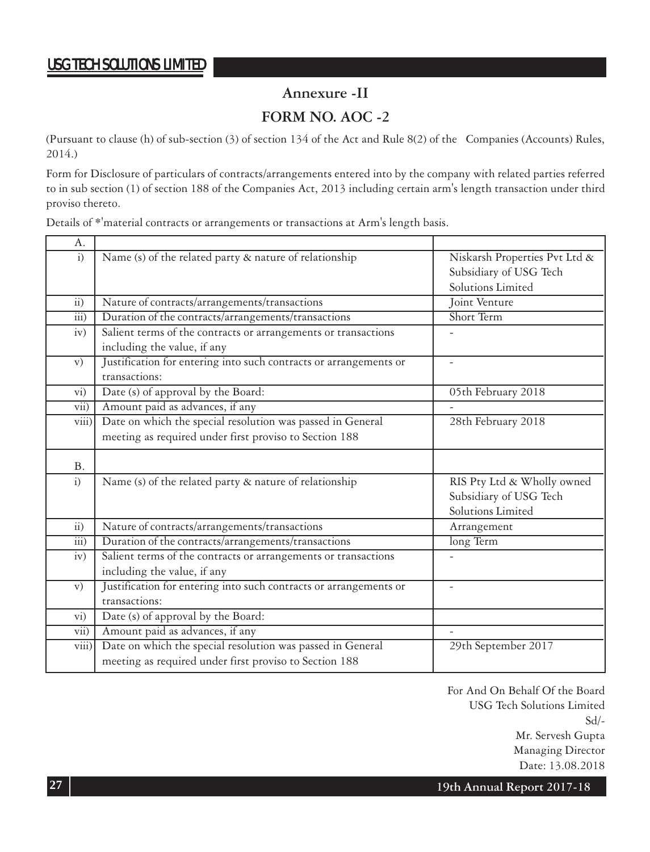### **Annexure -II**

### **FORM NO. AOC -2**

(Pursuant to clause (h) of sub-section (3) of section 134 of the Act and Rule 8(2) of the Companies (Accounts) Rules, 2014.)

Form for Disclosure of particulars of contracts/arrangements entered into by the company with related parties referred to in sub section (1) of section 188 of the Companies Act, 2013 including certain arm's length transaction under third proviso thereto.

Details of \*'material contracts or arrangements or transactions at Arm's length basis.

| А.                      |                                                                   |                               |
|-------------------------|-------------------------------------------------------------------|-------------------------------|
| $\overline{1}$          | Name (s) of the related party & nature of relationship            | Niskarsh Properties Pvt Ltd & |
|                         |                                                                   | Subsidiary of USG Tech        |
|                         |                                                                   | Solutions Limited             |
| $\overline{11}$ )       | Nature of contracts/arrangements/transactions                     | Joint Venture                 |
| $\overline{111}$ )      | Duration of the contracts/arrangements/transactions               | Short Term                    |
| iv)                     | Salient terms of the contracts or arrangements or transactions    |                               |
|                         | including the value, if any                                       |                               |
| $\mathbf{v})$           | Justification for entering into such contracts or arrangements or |                               |
|                         | transactions:                                                     |                               |
| $\rm{vi})$              | Date (s) of approval by the Board:                                | 05th February 2018            |
| vii)                    | Amount paid as advances, if any                                   |                               |
| viii)                   | Date on which the special resolution was passed in General        | 28th February 2018            |
|                         | meeting as required under first proviso to Section 188            |                               |
|                         |                                                                   |                               |
| <b>B.</b>               |                                                                   |                               |
| $\mathbf{i}$            | Name (s) of the related party & nature of relationship            | RIS Pty Ltd & Wholly owned    |
|                         |                                                                   | Subsidiary of USG Tech        |
|                         |                                                                   | Solutions Limited             |
| $\overline{ii}$         | Nature of contracts/arrangements/transactions                     | Arrangement                   |
| $\overline{111}$ )      | Duration of the contracts/arrangements/transactions               | long Term                     |
| iv)                     | Salient terms of the contracts or arrangements or transactions    |                               |
|                         | including the value, if any                                       |                               |
| $\mathbf{v})$           | Justification for entering into such contracts or arrangements or | $\overline{\phantom{a}}$      |
|                         | transactions:                                                     |                               |
| $\overline{vi}$ )       | Date (s) of approval by the Board:                                |                               |
| $\overline{\text{vii}}$ | Amount paid as advances, if any                                   | $\overline{\phantom{a}}$      |
| viii)                   | Date on which the special resolution was passed in General        | 29th September 2017           |
|                         | meeting as required under first proviso to Section 188            |                               |

 For And On Behalf Of the Board USG Tech Solutions Limited Sd/- Mr. Servesh Gupta Managing Director Date: 13.08.2018

**27 19th Annual Report 2017-18**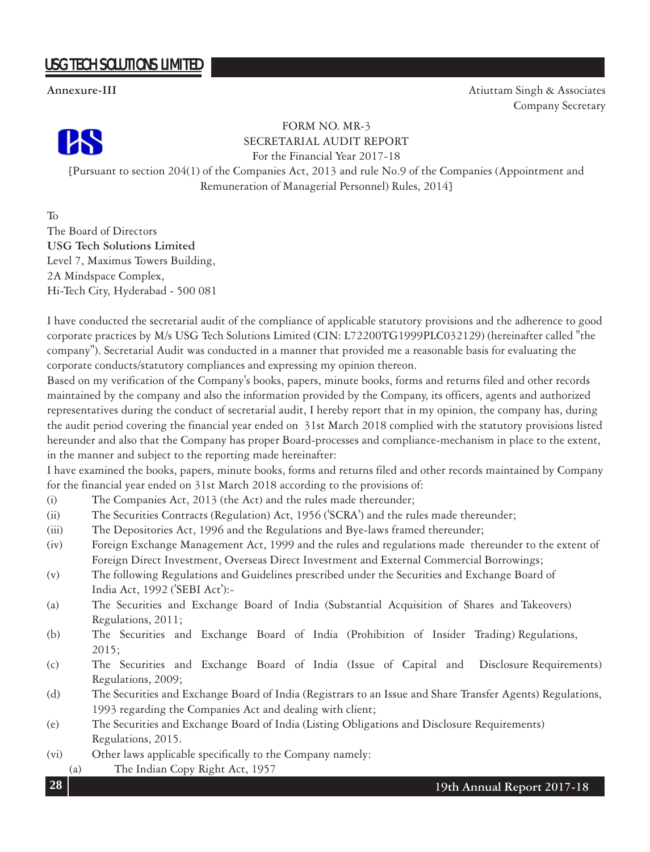**Annexure-III** Atiuttam Singh & Associates



FORM NO. MR-3 SECRETARIAL AUDIT REPORT

For the Financial Year 2017-18

[Pursuant to section 204(1) of the Companies Act, 2013 and rule No.9 of the Companies (Appointment and Remuneration of Managerial Personnel) Rules, 2014]

To The Board of Directors **USG Tech Solutions Limited** Level 7, Maximus Towers Building, 2A Mindspace Complex, Hi-Tech City, Hyderabad - 500 081

I have conducted the secretarial audit of the compliance of applicable statutory provisions and the adherence to good corporate practices by M/s USG Tech Solutions Limited (CIN: L72200TG1999PLC032129) (hereinafter called "the company"). Secretarial Audit was conducted in a manner that provided me a reasonable basis for evaluating the corporate conducts/statutory compliances and expressing my opinion thereon.

Based on my verification of the Company's books, papers, minute books, forms and returns filed and other records maintained by the company and also the information provided by the Company, its officers, agents and authorized representatives during the conduct of secretarial audit, I hereby report that in my opinion, the company has, during the audit period covering the financial year ended on 31st March 2018 complied with the statutory provisions listed hereunder and also that the Company has proper Board-processes and compliance-mechanism in place to the extent, in the manner and subject to the reporting made hereinafter:

I have examined the books, papers, minute books, forms and returns filed and other records maintained by Company for the financial year ended on 31st March 2018 according to the provisions of:

- (i) The Companies Act, 2013 (the Act) and the rules made thereunder;
- (ii) The Securities Contracts (Regulation) Act, 1956 ('SCRA') and the rules made thereunder;
- (iii) The Depositories Act, 1996 and the Regulations and Bye-laws framed thereunder;
- (iv) Foreign Exchange Management Act, 1999 and the rules and regulations made thereunder to the extent of Foreign Direct Investment, Overseas Direct Investment and External Commercial Borrowings;
- (v) The following Regulations and Guidelines prescribed under the Securities and Exchange Board of India Act, 1992 ('SEBI Act'):-
- (a) The Securities and Exchange Board of India (Substantial Acquisition of Shares and Takeovers) Regulations, 2011;
- (b) The Securities and Exchange Board of India (Prohibition of Insider Trading) Regulations, 2015;
- (c) The Securities and Exchange Board of India (Issue of Capital and Disclosure Requirements) Regulations, 2009;
- (d) The Securities and Exchange Board of India (Registrars to an Issue and Share Transfer Agents) Regulations, 1993 regarding the Companies Act and dealing with client;
- (e) The Securities and Exchange Board of India (Listing Obligations and Disclosure Requirements) Regulations, 2015.
- (vi) Other laws applicable specifically to the Company namely:
	- (a) The Indian Copy Right Act, 1957

Company Secretary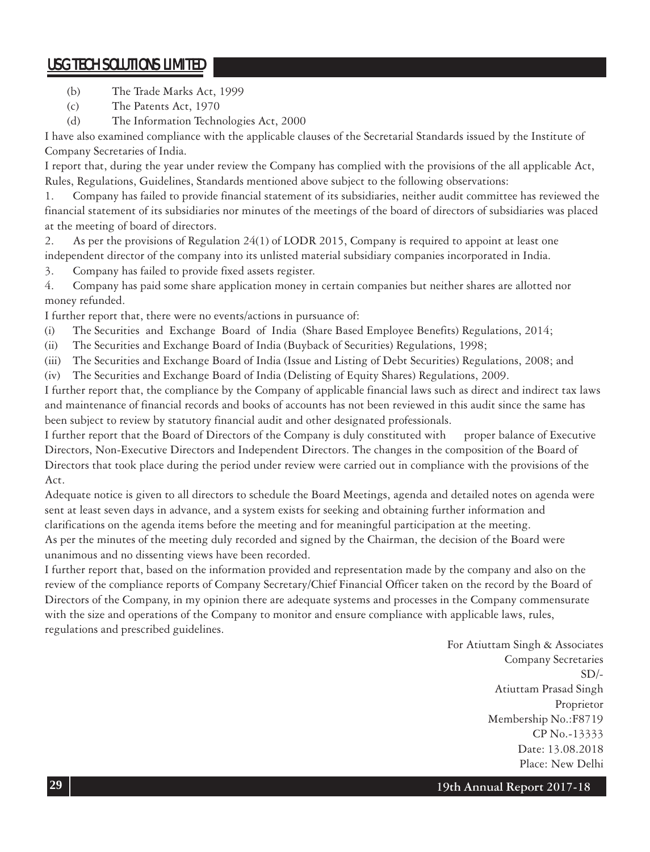- (b) The Trade Marks Act, 1999
- (c) The Patents Act, 1970

(d) The Information Technologies Act, 2000

I have also examined compliance with the applicable clauses of the Secretarial Standards issued by the Institute of Company Secretaries of India.

I report that, during the year under review the Company has complied with the provisions of the all applicable Act, Rules, Regulations, Guidelines, Standards mentioned above subject to the following observations:

1. Company has failed to provide financial statement of its subsidiaries, neither audit committee has reviewed the financial statement of its subsidiaries nor minutes of the meetings of the board of directors of subsidiaries was placed at the meeting of board of directors.

2. As per the provisions of Regulation 24(1) of LODR 2015, Company is required to appoint at least one independent director of the company into its unlisted material subsidiary companies incorporated in India.

3. Company has failed to provide fixed assets register.

4. Company has paid some share application money in certain companies but neither shares are allotted nor money refunded.

I further report that, there were no events/actions in pursuance of:

- (i) The Securities and Exchange Board of India (Share Based Employee Benefits) Regulations, 2014;
- (ii) The Securities and Exchange Board of India (Buyback of Securities) Regulations, 1998;
- (iii) The Securities and Exchange Board of India (Issue and Listing of Debt Securities) Regulations, 2008; and
- (iv) The Securities and Exchange Board of India (Delisting of Equity Shares) Regulations, 2009.

I further report that, the compliance by the Company of applicable financial laws such as direct and indirect tax laws and maintenance of financial records and books of accounts has not been reviewed in this audit since the same has been subject to review by statutory financial audit and other designated professionals.

I further report that the Board of Directors of the Company is duly constituted with proper balance of Executive Directors, Non-Executive Directors and Independent Directors. The changes in the composition of the Board of Directors that took place during the period under review were carried out in compliance with the provisions of the Act.

Adequate notice is given to all directors to schedule the Board Meetings, agenda and detailed notes on agenda were sent at least seven days in advance, and a system exists for seeking and obtaining further information and clarifications on the agenda items before the meeting and for meaningful participation at the meeting.

As per the minutes of the meeting duly recorded and signed by the Chairman, the decision of the Board were unanimous and no dissenting views have been recorded.

I further report that, based on the information provided and representation made by the company and also on the review of the compliance reports of Company Secretary/Chief Financial Officer taken on the record by the Board of Directors of the Company, in my opinion there are adequate systems and processes in the Company commensurate with the size and operations of the Company to monitor and ensure compliance with applicable laws, rules, regulations and prescribed guidelines.

> For Atiuttam Singh & Associates Company Secretaries  $SD/-$ Atiuttam Prasad Singh Proprietor Membership No.:F8719 CP No.-13333 Date: 13.08.2018 Place: New Delhi

**29 19th Annual Report 2017-18**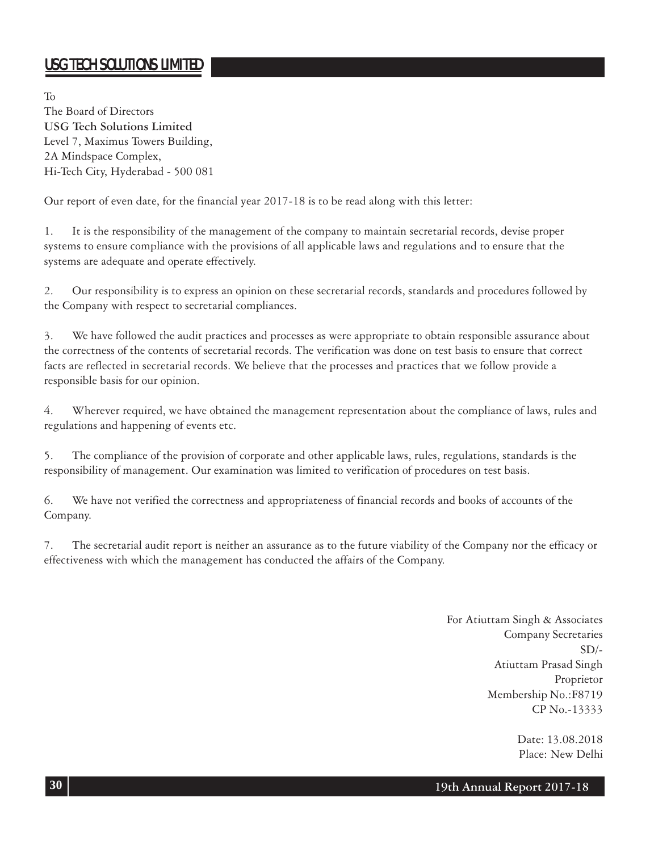To The Board of Directors **USG Tech Solutions Limited** Level 7, Maximus Towers Building, 2A Mindspace Complex, Hi-Tech City, Hyderabad - 500 081

Our report of even date, for the financial year 2017-18 is to be read along with this letter:

1. It is the responsibility of the management of the company to maintain secretarial records, devise proper systems to ensure compliance with the provisions of all applicable laws and regulations and to ensure that the systems are adequate and operate effectively.

2. Our responsibility is to express an opinion on these secretarial records, standards and procedures followed by the Company with respect to secretarial compliances.

3. We have followed the audit practices and processes as were appropriate to obtain responsible assurance about the correctness of the contents of secretarial records. The verification was done on test basis to ensure that correct facts are reflected in secretarial records. We believe that the processes and practices that we follow provide a responsible basis for our opinion.

4. Wherever required, we have obtained the management representation about the compliance of laws, rules and regulations and happening of events etc.

5. The compliance of the provision of corporate and other applicable laws, rules, regulations, standards is the responsibility of management. Our examination was limited to verification of procedures on test basis.

6. We have not verified the correctness and appropriateness of financial records and books of accounts of the Company.

7. The secretarial audit report is neither an assurance as to the future viability of the Company nor the efficacy or effectiveness with which the management has conducted the affairs of the Company.

> For Atiuttam Singh & Associates Company Secretaries  $SD/-$ Atiuttam Prasad Singh Proprietor Membership No.:F8719 CP No.-13333

> > Date: 13.08.2018 Place: New Delhi

### **19th Annual Report 2017-18**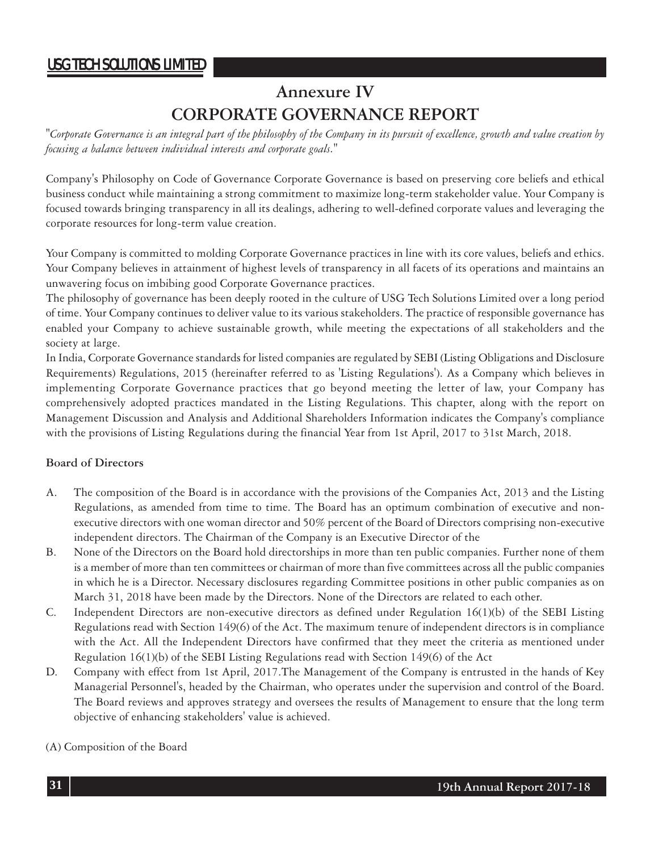# **Annexure IV CORPORATE GOVERNANCE REPORT**

*"Corporate Governance is an integral part of the philosophy of the Company in its pursuit of excellence, growth and value creation by focusing a balance between individual interests and corporate goals."*

Company's Philosophy on Code of Governance Corporate Governance is based on preserving core beliefs and ethical business conduct while maintaining a strong commitment to maximize long-term stakeholder value. Your Company is focused towards bringing transparency in all its dealings, adhering to well-defined corporate values and leveraging the corporate resources for long-term value creation.

Your Company is committed to molding Corporate Governance practices in line with its core values, beliefs and ethics. Your Company believes in attainment of highest levels of transparency in all facets of its operations and maintains an unwavering focus on imbibing good Corporate Governance practices.

The philosophy of governance has been deeply rooted in the culture of USG Tech Solutions Limited over a long period of time. Your Company continues to deliver value to its various stakeholders. The practice of responsible governance has enabled your Company to achieve sustainable growth, while meeting the expectations of all stakeholders and the society at large.

In India, Corporate Governance standards for listed companies are regulated by SEBI (Listing Obligations and Disclosure Requirements) Regulations, 2015 (hereinafter referred to as 'Listing Regulations'). As a Company which believes in implementing Corporate Governance practices that go beyond meeting the letter of law, your Company has comprehensively adopted practices mandated in the Listing Regulations. This chapter, along with the report on Management Discussion and Analysis and Additional Shareholders Information indicates the Company's compliance with the provisions of Listing Regulations during the financial Year from 1st April, 2017 to 31st March, 2018.

#### **Board of Directors**

- A. The composition of the Board is in accordance with the provisions of the Companies Act, 2013 and the Listing Regulations, as amended from time to time. The Board has an optimum combination of executive and nonexecutive directors with one woman director and 50% percent of the Board of Directors comprising non-executive independent directors. The Chairman of the Company is an Executive Director of the
- B. None of the Directors on the Board hold directorships in more than ten public companies. Further none of them is a member of more than ten committees or chairman of more than five committees across all the public companies in which he is a Director. Necessary disclosures regarding Committee positions in other public companies as on March 31, 2018 have been made by the Directors. None of the Directors are related to each other.
- C. Independent Directors are non-executive directors as defined under Regulation 16(1)(b) of the SEBI Listing Regulations read with Section 149(6) of the Act. The maximum tenure of independent directors is in compliance with the Act. All the Independent Directors have confirmed that they meet the criteria as mentioned under Regulation 16(1)(b) of the SEBI Listing Regulations read with Section 149(6) of the Act
- D. Company with effect from 1st April, 2017.The Management of the Company is entrusted in the hands of Key Managerial Personnel's, headed by the Chairman, who operates under the supervision and control of the Board. The Board reviews and approves strategy and oversees the results of Management to ensure that the long term objective of enhancing stakeholders' value is achieved.
- (A) Composition of the Board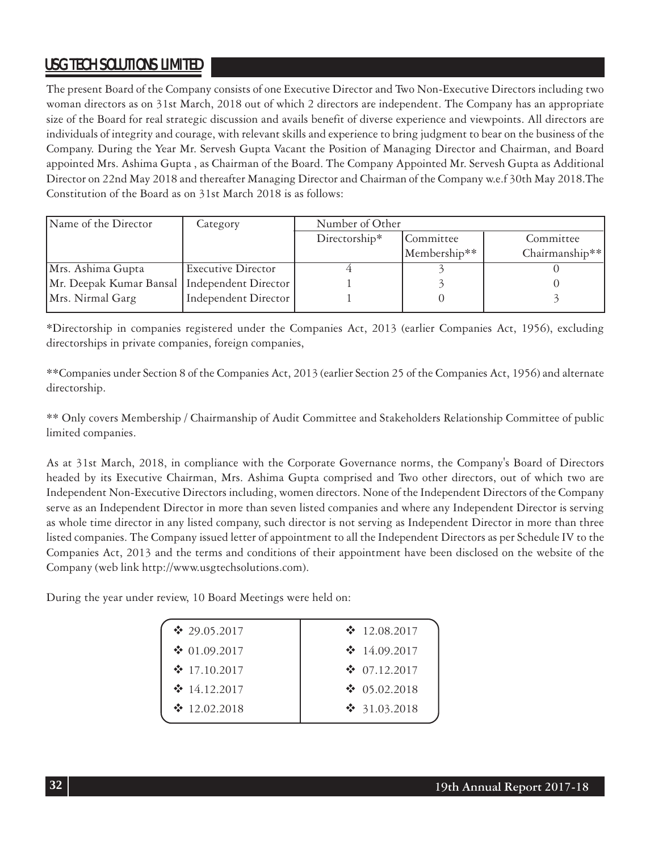The present Board of the Company consists of one Executive Director and Two Non-Executive Directors including two woman directors as on 31st March, 2018 out of which 2 directors are independent. The Company has an appropriate size of the Board for real strategic discussion and avails benefit of diverse experience and viewpoints. All directors are individuals of integrity and courage, with relevant skills and experience to bring judgment to bear on the business of the Company. During the Year Mr. Servesh Gupta Vacant the Position of Managing Director and Chairman, and Board appointed Mrs. Ashima Gupta , as Chairman of the Board. The Company Appointed Mr. Servesh Gupta as Additional Director on 22nd May 2018 and thereafter Managing Director and Chairman of the Company w.e.f 30th May 2018.The Constitution of the Board as on 31st March 2018 is as follows:

| Name of the Director                           | Category                  | Number of Other |              |                |
|------------------------------------------------|---------------------------|-----------------|--------------|----------------|
|                                                |                           | Directorship*   | Committee    | Committee      |
|                                                |                           |                 | Membership** | Chairmanship** |
| Mrs. Ashima Gupta                              | <b>Executive Director</b> |                 |              |                |
| Mr. Deepak Kumar Bansal   Independent Director |                           |                 |              |                |
| Mrs. Nirmal Garg                               | Independent Director      |                 |              |                |

\*Directorship in companies registered under the Companies Act, 2013 (earlier Companies Act, 1956), excluding directorships in private companies, foreign companies,

\*\*Companies under Section 8 of the Companies Act, 2013 (earlier Section 25 of the Companies Act, 1956) and alternate directorship.

\*\* Only covers Membership / Chairmanship of Audit Committee and Stakeholders Relationship Committee of public limited companies.

As at 31st March, 2018, in compliance with the Corporate Governance norms, the Company's Board of Directors headed by its Executive Chairman, Mrs. Ashima Gupta comprised and Two other directors, out of which two are Independent Non-Executive Directors including, women directors. None of the Independent Directors of the Company serve as an Independent Director in more than seven listed companies and where any Independent Director is serving as whole time director in any listed company, such director is not serving as Independent Director in more than three listed companies. The Company issued letter of appointment to all the Independent Directors as per Schedule IV to the Companies Act, 2013 and the terms and conditions of their appointment have been disclosed on the website of the Company (web link http://www.usgtechsolutions.com).

During the year under review, 10 Board Meetings were held on:

| ❖ 29.05.2017         | $\cdot$ 12.08.2017 |
|----------------------|--------------------|
| $\bullet$ 01.09.2017 | $\cdot$ 14.09.2017 |
| $\div$ 17.10.2017    | $\div$ 07.12.2017  |
| $\cdot$ 14.12.2017   | $\cdot$ 05.02.2018 |
| $\cdot$ 12.02.2018   | $\cdot$ 31.03.2018 |
|                      |                    |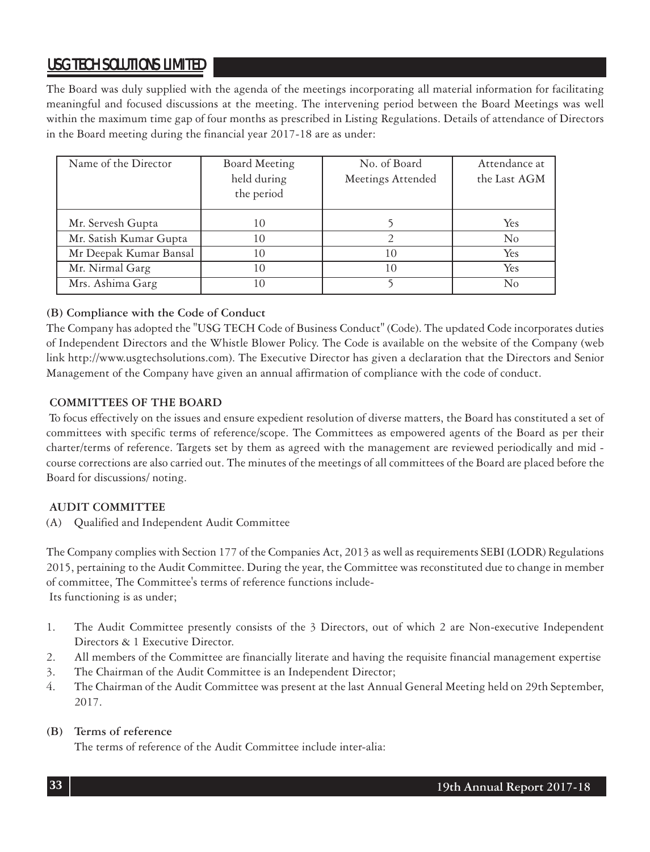The Board was duly supplied with the agenda of the meetings incorporating all material information for facilitating meaningful and focused discussions at the meeting. The intervening period between the Board Meetings was well within the maximum time gap of four months as prescribed in Listing Regulations. Details of attendance of Directors in the Board meeting during the financial year 2017-18 are as under:

| Name of the Director   | Board Meeting<br>held during<br>the period | No. of Board<br>Meetings Attended | Attendance at<br>the Last AGM |
|------------------------|--------------------------------------------|-----------------------------------|-------------------------------|
| Mr. Servesh Gupta      | 10                                         |                                   | Yes                           |
| Mr. Satish Kumar Gupta | 10                                         |                                   | $\rm No$                      |
| Mr Deepak Kumar Bansal | 10                                         | 10                                | Yes                           |
| Mr. Nirmal Garg        | 10                                         | 10                                | Yes                           |
| Mrs. Ashima Garg       | 10                                         |                                   | No                            |

#### **(B) Compliance with the Code of Conduct**

The Company has adopted the "USG TECH Code of Business Conduct" (Code). The updated Code incorporates duties of Independent Directors and the Whistle Blower Policy. The Code is available on the website of the Company (web link http://www.usgtechsolutions.com). The Executive Director has given a declaration that the Directors and Senior Management of the Company have given an annual affirmation of compliance with the code of conduct.

#### **COMMITTEES OF THE BOARD**

 To focus effectively on the issues and ensure expedient resolution of diverse matters, the Board has constituted a set of committees with specific terms of reference/scope. The Committees as empowered agents of the Board as per their charter/terms of reference. Targets set by them as agreed with the management are reviewed periodically and mid course corrections are also carried out. The minutes of the meetings of all committees of the Board are placed before the Board for discussions/ noting.

#### **AUDIT COMMITTEE**

(A) Qualified and Independent Audit Committee

The Company complies with Section 177 of the Companies Act, 2013 as well as requirements SEBI (LODR) Regulations 2015, pertaining to the Audit Committee. During the year, the Committee was reconstituted due to change in member of committee, The Committee's terms of reference functions include- Its functioning is as under;

- 1. The Audit Committee presently consists of the 3 Directors, out of which 2 are Non-executive Independent Directors & 1 Executive Director.
- 2. All members of the Committee are financially literate and having the requisite financial management expertise
- 3. The Chairman of the Audit Committee is an Independent Director;
- 4. The Chairman of the Audit Committee was present at the last Annual General Meeting held on 29th September, 2017.

#### **(B) Terms of reference**

The terms of reference of the Audit Committee include inter-alia: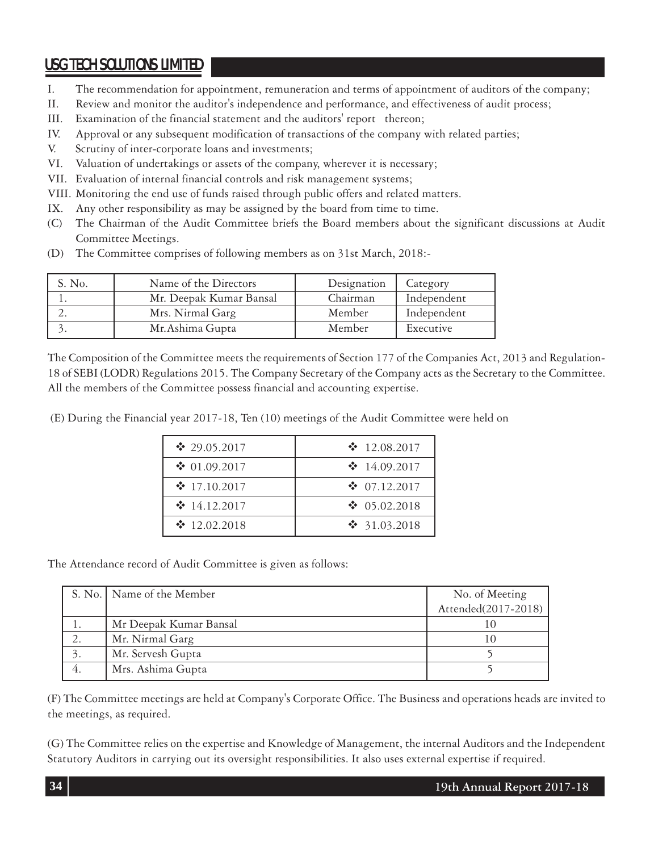- I. The recommendation for appointment, remuneration and terms of appointment of auditors of the company;
- II. Review and monitor the auditor's independence and performance, and effectiveness of audit process;
- III. Examination of the financial statement and the auditors' report thereon;
- IV. Approval or any subsequent modification of transactions of the company with related parties;
- V. Scrutiny of inter-corporate loans and investments;
- VI. Valuation of undertakings or assets of the company, wherever it is necessary;
- VII. Evaluation of internal financial controls and risk management systems;
- VIII. Monitoring the end use of funds raised through public offers and related matters.
- IX. Any other responsibility as may be assigned by the board from time to time.
- (C) The Chairman of the Audit Committee briefs the Board members about the significant discussions at Audit Committee Meetings.
- (D) The Committee comprises of following members as on 31st March, 2018:-

| S. No. | Name of the Directors   | Designation | Category    |
|--------|-------------------------|-------------|-------------|
|        | Mr. Deepak Kumar Bansal | Chairman    | Independent |
|        | Mrs. Nirmal Garg        | Member      | Independent |
|        | Mr. Ashima Gupta        | Member      | Executive   |

The Composition of the Committee meets the requirements of Section 177 of the Companies Act, 2013 and Regulation-18 of SEBI (LODR) Regulations 2015. The Company Secretary of the Company acts as the Secretary to the Committee. All the members of the Committee possess financial and accounting expertise.

(E) During the Financial year 2017-18, Ten (10) meetings of the Audit Committee were held on

| $\cdot$ 29.05.2017 | $\cdot$ 12.08.2017   |
|--------------------|----------------------|
| $\cdot$ 01.09.2017 | $\cdot$ 14.09.2017   |
| $\div 17.10.2017$  | $\div$ 07.12.2017    |
| $\cdot$ 14.12.2017 | $\bullet$ 05.02.2018 |
| $\cdot$ 12.02.2018 | $\cdot$ 31.03.2018   |

The Attendance record of Audit Committee is given as follows:

| S. No.   Name of the Member | No. of Meeting      |
|-----------------------------|---------------------|
|                             | Attended(2017-2018) |
| Mr Deepak Kumar Bansal      |                     |
| Mr. Nirmal Garg             |                     |
| Mr. Servesh Gupta           |                     |
| Mrs. Ashima Gupta           |                     |

(F) The Committee meetings are held at Company's Corporate Office. The Business and operations heads are invited to the meetings, as required.

(G) The Committee relies on the expertise and Knowledge of Management, the internal Auditors and the Independent Statutory Auditors in carrying out its oversight responsibilities. It also uses external expertise if required.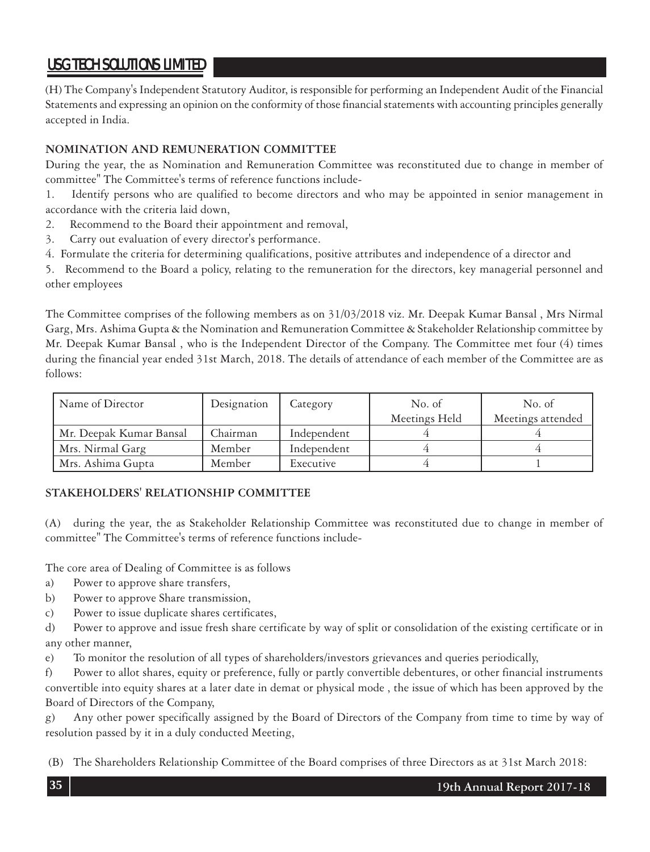(H) The Company's Independent Statutory Auditor, is responsible for performing an Independent Audit of the Financial Statements and expressing an opinion on the conformity of those financial statements with accounting principles generally accepted in India.

#### **NOMINATION AND REMUNERATION COMMITTEE**

During the year, the as Nomination and Remuneration Committee was reconstituted due to change in member of committee" The Committee's terms of reference functions include-

1. Identify persons who are qualified to become directors and who may be appointed in senior management in accordance with the criteria laid down,

- 2. Recommend to the Board their appointment and removal,
- 3. Carry out evaluation of every director's performance.
- 4. Formulate the criteria for determining qualifications, positive attributes and independence of a director and

5. Recommend to the Board a policy, relating to the remuneration for the directors, key managerial personnel and other employees

The Committee comprises of the following members as on 31/03/2018 viz. Mr. Deepak Kumar Bansal , Mrs Nirmal Garg, Mrs. Ashima Gupta & the Nomination and Remuneration Committee & Stakeholder Relationship committee by Mr. Deepak Kumar Bansal , who is the Independent Director of the Company. The Committee met four (4) times during the financial year ended 31st March, 2018. The details of attendance of each member of the Committee are as follows:

| Name of Director        | Designation | Category    | No. of        | No. of            |
|-------------------------|-------------|-------------|---------------|-------------------|
|                         |             |             | Meetings Held | Meetings attended |
| Mr. Deepak Kumar Bansal | Chairman    | Independent |               |                   |
| Mrs. Nirmal Garg        | Member      | Independent |               |                   |
| Mrs. Ashima Gupta       | Member      | Executive   |               |                   |

#### **STAKEHOLDERS' RELATIONSHIP COMMITTEE**

(A) during the year, the as Stakeholder Relationship Committee was reconstituted due to change in member of committee" The Committee's terms of reference functions include-

The core area of Dealing of Committee is as follows

- a) Power to approve share transfers,
- b) Power to approve Share transmission,
- c) Power to issue duplicate shares certificates,

d) Power to approve and issue fresh share certificate by way of split or consolidation of the existing certificate or in any other manner,

e) To monitor the resolution of all types of shareholders/investors grievances and queries periodically,

f) Power to allot shares, equity or preference, fully or partly convertible debentures, or other financial instruments convertible into equity shares at a later date in demat or physical mode , the issue of which has been approved by the Board of Directors of the Company,

g) Any other power specifically assigned by the Board of Directors of the Company from time to time by way of resolution passed by it in a duly conducted Meeting,

(B) The Shareholders Relationship Committee of the Board comprises of three Directors as at 31st March 2018: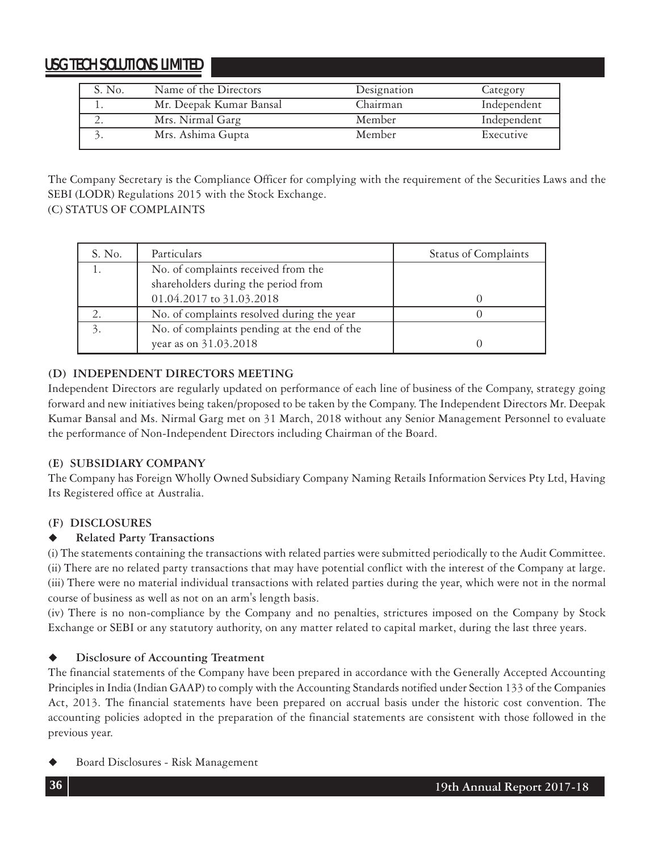| S. No. | Name of the Directors   | Designation | Category    |
|--------|-------------------------|-------------|-------------|
|        | Mr. Deepak Kumar Bansal | Chairman    | Independent |
|        | Mrs. Nirmal Garg        | Member      | Independent |
|        | Mrs. Ashima Gupta       | Member      | Executive   |

The Company Secretary is the Compliance Officer for complying with the requirement of the Securities Laws and the SEBI (LODR) Regulations 2015 with the Stock Exchange.

### (C) STATUS OF COMPLAINTS

| S. No.        | Particulars                                 | <b>Status of Complaints</b> |
|---------------|---------------------------------------------|-----------------------------|
|               | No. of complaints received from the         |                             |
|               | shareholders during the period from         |                             |
|               | 01.04.2017 to 31.03.2018                    |                             |
|               | No. of complaints resolved during the year  |                             |
| $\mathcal{E}$ | No. of complaints pending at the end of the |                             |
|               | year as on 31.03.2018                       |                             |

### **(D) INDEPENDENT DIRECTORS MEETING**

Independent Directors are regularly updated on performance of each line of business of the Company, strategy going forward and new initiatives being taken/proposed to be taken by the Company. The Independent Directors Mr. Deepak Kumar Bansal and Ms. Nirmal Garg met on 31 March, 2018 without any Senior Management Personnel to evaluate the performance of Non-Independent Directors including Chairman of the Board.

### **(E) SUBSIDIARY COMPANY**

The Company has Foreign Wholly Owned Subsidiary Company Naming Retails Information Services Pty Ltd, Having Its Registered office at Australia.

### **(F) DISCLOSURES**

### **Related Party Transactions**

(i) The statements containing the transactions with related parties were submitted periodically to the Audit Committee. (ii) There are no related party transactions that may have potential conflict with the interest of the Company at large. (iii) There were no material individual transactions with related parties during the year, which were not in the normal course of business as well as not on an arm's length basis.

(iv) There is no non-compliance by the Company and no penalties, strictures imposed on the Company by Stock Exchange or SEBI or any statutory authority, on any matter related to capital market, during the last three years.

### **Disclosure of Accounting Treatment**

The financial statements of the Company have been prepared in accordance with the Generally Accepted Accounting Principles in India (Indian GAAP) to comply with the Accounting Standards notified under Section 133 of the Companies Act, 2013. The financial statements have been prepared on accrual basis under the historic cost convention. The accounting policies adopted in the preparation of the financial statements are consistent with those followed in the previous year.

Board Disclosures - Risk Management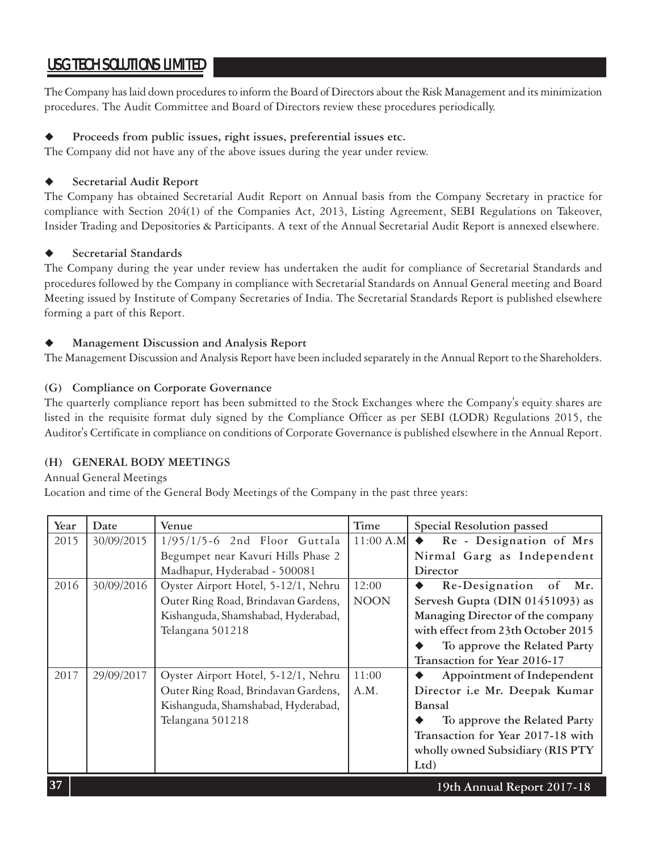The Company has laid down procedures to inform the Board of Directors about the Risk Management and its minimization procedures. The Audit Committee and Board of Directors review these procedures periodically.

### **Proceeds from public issues, right issues, preferential issues etc.**

The Company did not have any of the above issues during the year under review.

### **Secretarial Audit Report**

The Company has obtained Secretarial Audit Report on Annual basis from the Company Secretary in practice for compliance with Section 204(1) of the Companies Act, 2013, Listing Agreement, SEBI Regulations on Takeover, Insider Trading and Depositories & Participants. A text of the Annual Secretarial Audit Report is annexed elsewhere.

### **Secretarial Standards**

The Company during the year under review has undertaken the audit for compliance of Secretarial Standards and procedures followed by the Company in compliance with Secretarial Standards on Annual General meeting and Board Meeting issued by Institute of Company Secretaries of India. The Secretarial Standards Report is published elsewhere forming a part of this Report.

### **Management Discussion and Analysis Report**

The Management Discussion and Analysis Report have been included separately in the Annual Report to the Shareholders.

### **(G) Compliance on Corporate Governance**

The quarterly compliance report has been submitted to the Stock Exchanges where the Company's equity shares are listed in the requisite format duly signed by the Compliance Officer as per SEBI (LODR) Regulations 2015, the Auditor's Certificate in compliance on conditions of Corporate Governance is published elsewhere in the Annual Report.

### **(H) GENERAL BODY MEETINGS**

#### Annual General Meetings

Location and time of the General Body Meetings of the Company in the past three years:

| Year | Date       | Venue                               | Time        | Special Resolution passed          |
|------|------------|-------------------------------------|-------------|------------------------------------|
| 2015 | 30/09/2015 | $1/95/1/5-6$ 2nd Floor Guttala      | $11:00$ A.M | Re - Designation of Mrs            |
|      |            | Begumpet near Kavuri Hills Phase 2  |             | Nirmal Garg as Independent         |
|      |            | Madhapur, Hyderabad - 500081        |             | Director                           |
| 2016 | 30/09/2016 | Oyster Airport Hotel, 5-12/1, Nehru | 12:00       | Re-Designation of<br>Mr.           |
|      |            | Outer Ring Road, Brindavan Gardens, | <b>NOON</b> | Servesh Gupta (DIN 01451093) as    |
|      |            | Kishanguda, Shamshabad, Hyderabad,  |             | Managing Director of the company   |
|      |            | Telangana 501218                    |             | with effect from 23th October 2015 |
|      |            |                                     |             | To approve the Related Party       |
|      |            |                                     |             | Transaction for Year 2016-17       |
| 2017 | 29/09/2017 | Oyster Airport Hotel, 5-12/1, Nehru | 11:00       | Appointment of Independent         |
|      |            | Outer Ring Road, Brindavan Gardens, | A.M.        | Director i.e Mr. Deepak Kumar      |
|      |            | Kishanguda, Shamshabad, Hyderabad,  |             | Bansal                             |
|      |            | Telangana 501218                    |             | To approve the Related Party       |
|      |            |                                     |             | Transaction for Year 2017-18 with  |
|      |            |                                     |             | wholly owned Subsidiary (RIS PTY   |
|      |            |                                     |             | Ltd                                |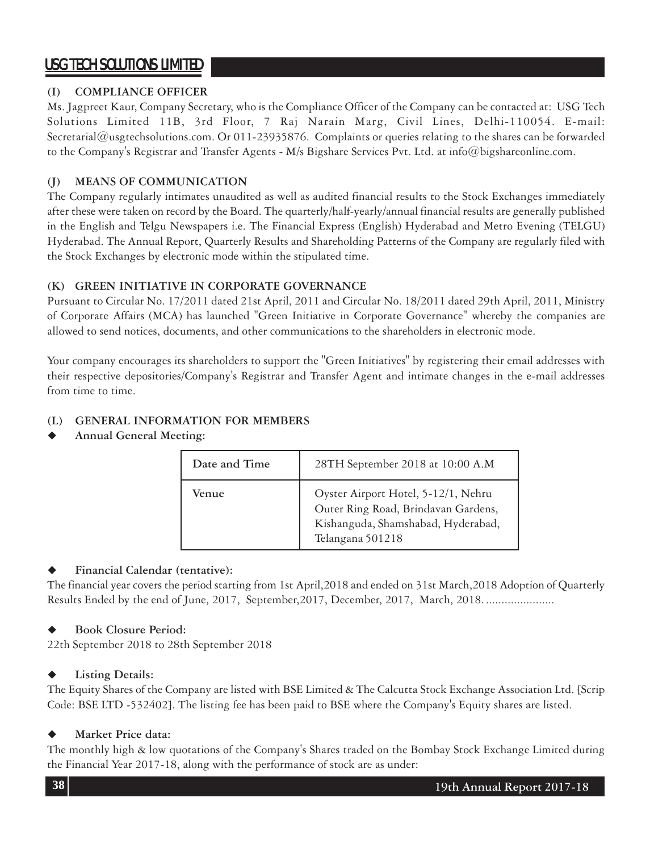### **(I) COMPLIANCE OFFICER**

Ms. Jagpreet Kaur, Company Secretary, who is the Compliance Officer of the Company can be contacted at: USG Tech Solutions Limited 11B, 3rd Floor, 7 Raj Narain Marg, Civil Lines, Delhi-110054. E-mail: Secretarial@usgtechsolutions.com. Or 011-23935876. Complaints or queries relating to the shares can be forwarded to the Company's Registrar and Transfer Agents - M/s Bigshare Services Pvt. Ltd. at info@bigshareonline.com.

### **(J) MEANS OF COMMUNICATION**

The Company regularly intimates unaudited as well as audited financial results to the Stock Exchanges immediately after these were taken on record by the Board. The quarterly/half-yearly/annual financial results are generally published in the English and Telgu Newspapers i.e. The Financial Express (English) Hyderabad and Metro Evening (TELGU) Hyderabad. The Annual Report, Quarterly Results and Shareholding Patterns of the Company are regularly filed with the Stock Exchanges by electronic mode within the stipulated time.

### **(K) GREEN INITIATIVE IN CORPORATE GOVERNANCE**

Pursuant to Circular No. 17/2011 dated 21st April, 2011 and Circular No. 18/2011 dated 29th April, 2011, Ministry of Corporate Affairs (MCA) has launched "Green Initiative in Corporate Governance" whereby the companies are allowed to send notices, documents, and other communications to the shareholders in electronic mode.

Your company encourages its shareholders to support the "Green Initiatives" by registering their email addresses with their respective depositories/Company's Registrar and Transfer Agent and intimate changes in the e-mail addresses from time to time.

### **(L) GENERAL INFORMATION FOR MEMBERS**

**Annual General Meeting:**

| Date and Time | 28TH September 2018 at 10:00 A.M                                                                                                     |
|---------------|--------------------------------------------------------------------------------------------------------------------------------------|
| Venue         | Oyster Airport Hotel, 5-12/1, Nehru<br>Outer Ring Road, Brindavan Gardens,<br>Kishanguda, Shamshabad, Hyderabad,<br>Telangana 501218 |

### **Financial Calendar (tentative):**

The financial year covers the period starting from 1st April,2018 and ended on 31st March,2018 Adoption of Quarterly Results Ended by the end of June, 2017, September, 2017, December, 2017, March, 2018. .......................

### **Book Closure Period:**

22th September 2018 to 28th September 2018

### **Listing Details:**

The Equity Shares of the Company are listed with BSE Limited & The Calcutta Stock Exchange Association Ltd. [Scrip Code: BSE LTD -532402]. The listing fee has been paid to BSE where the Company's Equity shares are listed.

### **Market Price data:**

The monthly high & low quotations of the Company's Shares traded on the Bombay Stock Exchange Limited during the Financial Year 2017-18, along with the performance of stock are as under: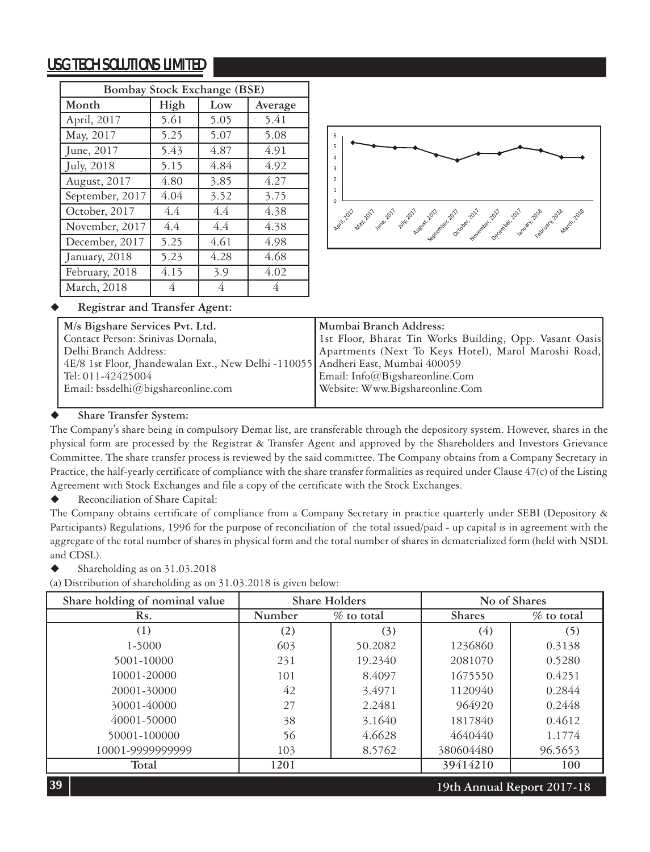| Bombay Stock Exchange (BSE) |      |      |         |  |
|-----------------------------|------|------|---------|--|
| Month                       | High | Low  | Average |  |
| April, 2017                 | 5.61 | 5.05 | 5.41    |  |
| May, 2017                   | 5.25 | 5.07 | 5.08    |  |
| June, 2017                  | 5.43 | 4.87 | 4.91    |  |
| July, 2018                  | 5.15 | 4.84 | 4.92    |  |
| August, 2017                | 4.80 | 3.85 | 4.27    |  |
| September, 2017             | 4.04 | 3.52 | 3.75    |  |
| October, 2017               | 4.4  | 4.4  | 4.38    |  |
| November, 2017              | 4.4  | 4.4  | 4.38    |  |
| December, 2017              | 5.25 | 4.61 | 4.98    |  |
| January, 2018               | 5.23 | 4.28 | 4.68    |  |
| February, 2018              | 4.15 | 3.9  | 4.02    |  |
| March, 2018                 | 4    | 4    | 4       |  |



### **Registrar and Transfer Agent:**

| M/s Bigshare Services Pvt. Ltd.                                                 | Mumbai Branch Address:                                  |
|---------------------------------------------------------------------------------|---------------------------------------------------------|
| Contact Person: Srinivas Dornala,                                               | 1st Floor, Bharat Tin Works Building, Opp. Vasant Oasis |
| Delhi Branch Address:                                                           | Apartments (Next To Keys Hotel), Marol Maroshi Road,    |
| 4E/8 1st Floor, Jhandewalan Ext., New Delhi -110055 Andheri East, Mumbai 400059 |                                                         |
| Tel: 011-42425004                                                               | Email: Info@Bigshareonline.Com                          |
| Email: bssdelhi@bigshareonline.com                                              | Website: Www.Bigshareonline.Com                         |
|                                                                                 |                                                         |

#### **Share Transfer System:**

The Company's share being in compulsory Demat list, are transferable through the depository system. However, shares in the physical form are processed by the Registrar & Transfer Agent and approved by the Shareholders and Investors Grievance Committee. The share transfer process is reviewed by the said committee. The Company obtains from a Company Secretary in Practice, the half-yearly certificate of compliance with the share transfer formalities as required under Clause 47(c) of the Listing Agreement with Stock Exchanges and file a copy of the certificate with the Stock Exchanges.

◆ Reconciliation of Share Capital:

The Company obtains certificate of compliance from a Company Secretary in practice quarterly under SEBI (Depository & Participants) Regulations, 1996 for the purpose of reconciliation of the total issued/paid - up capital is in agreement with the aggregate of the total number of shares in physical form and the total number of shares in dematerialized form (held with NSDL and CDSL).

Shareholding as on 31.03.2018

(a) Distribution of shareholding as on 31.03.2018 is given below:

| Share holding of nominal value | Share Holders |               |               | No of Shares               |
|--------------------------------|---------------|---------------|---------------|----------------------------|
| Rs.                            | Number        | $\%$ to total | <b>Shares</b> | $\%$ to total              |
| (1)                            | (2)           | (3)           | (4)           | (5)                        |
| 1-5000                         | 603           | 50.2082       | 1236860       | 0.3138                     |
| 5001-10000                     | 231           | 19.2340       | 2081070       | 0.5280                     |
| 10001-20000                    | 101           | 8.4097        | 1675550       | 0.4251                     |
| 20001-30000                    | 42            | 3.4971        | 1120940       | 0.2844                     |
| 30001-40000                    | 27            | 2.2481        | 964920        | 0.2448                     |
| 40001-50000                    | 38            | 3.1640        | 1817840       | 0.4612                     |
| 50001-100000                   | 56            | 4.6628        | 4640440       | 1.1774                     |
| 10001-9999999999               | 103           | 8.5762        | 380604480     | 96.5653                    |
| Total                          | 1201          |               | 39414210      | 100                        |
| 39                             |               |               |               | 19th Annual Report 2017-18 |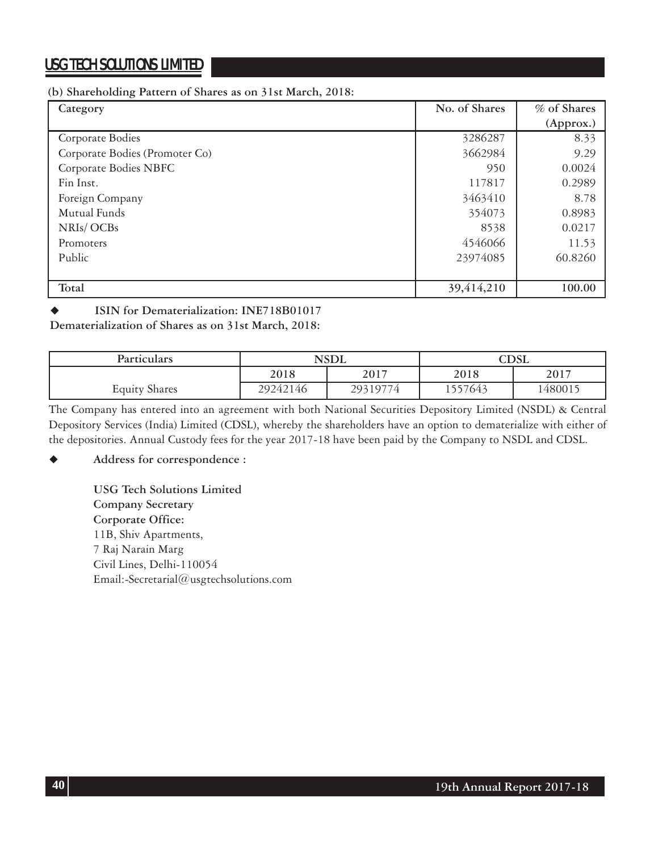#### **(b) Shareholding Pattern of Shares as on 31st March, 2018:**

| Category                       | No. of Shares | % of Shares |
|--------------------------------|---------------|-------------|
|                                |               | (Approx.)   |
| Corporate Bodies               | 3286287       | 8.33        |
| Corporate Bodies (Promoter Co) | 3662984       | 9.29        |
| Corporate Bodies NBFC          | 950           | 0.0024      |
| Fin Inst.                      | 117817        | 0.2989      |
| Foreign Company                | 3463410       | 8.78        |
| Mutual Funds                   | 354073        | 0.8983      |
| NRIs/OCBs                      | 8538          | 0.0217      |
| Promoters                      | 4546066       | 11.53       |
| Public                         | 23974085      | 60.8260     |
|                                |               |             |
| Total                          | 39,414,210    | 100.00      |

### **ISIN for Dematerialization: INE718B01017**

**Dematerialization of Shares as on 31st March, 2018:**

| Particulars          |              | <b>NSDL</b> |         | $\bigcirc\text{DSL}$ |
|----------------------|--------------|-------------|---------|----------------------|
|                      | 2017<br>2018 |             | 2018    | 2017                 |
| <b>Equity Shares</b> | 29242146     | 29319774    | .557643 | 1480015              |

The Company has entered into an agreement with both National Securities Depository Limited (NSDL) & Central Depository Services (India) Limited (CDSL), whereby the shareholders have an option to dematerialize with either of the depositories. Annual Custody fees for the year 2017-18 have been paid by the Company to NSDL and CDSL.

### **Address for correspondence :**

**USG Tech Solutions Limited Company Secretary Corporate Office:** 11B, Shiv Apartments, 7 Raj Narain Marg Civil Lines, Delhi-110054 Email:-Secretarial@usgtechsolutions.com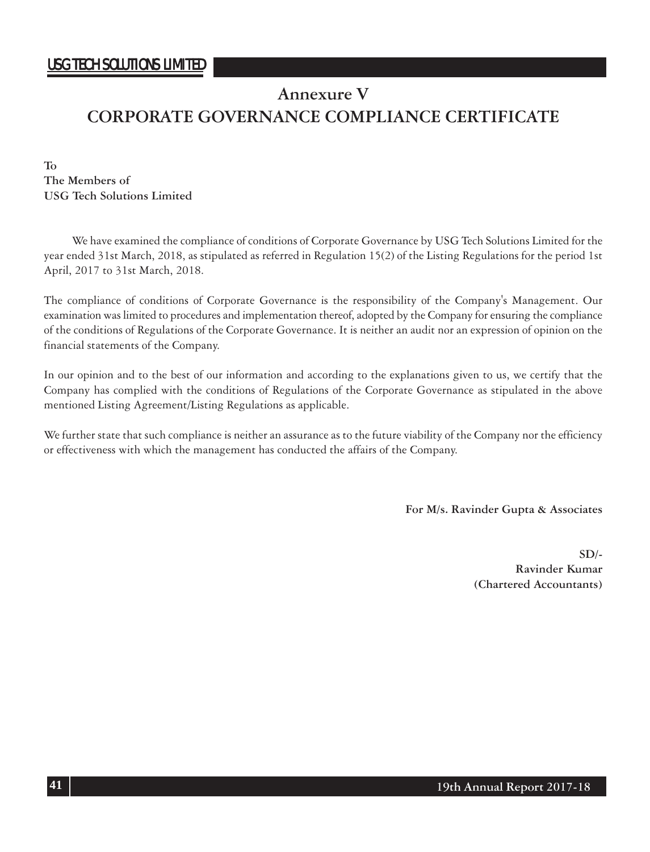### **Annexure V**

# **CORPORATE GOVERNANCE COMPLIANCE CERTIFICATE**

**To The Members of USG Tech Solutions Limited**

We have examined the compliance of conditions of Corporate Governance by USG Tech Solutions Limited for the year ended 31st March, 2018, as stipulated as referred in Regulation 15(2) of the Listing Regulations for the period 1st April, 2017 to 31st March, 2018.

The compliance of conditions of Corporate Governance is the responsibility of the Company's Management. Our examination was limited to procedures and implementation thereof, adopted by the Company for ensuring the compliance of the conditions of Regulations of the Corporate Governance. It is neither an audit nor an expression of opinion on the financial statements of the Company.

In our opinion and to the best of our information and according to the explanations given to us, we certify that the Company has complied with the conditions of Regulations of the Corporate Governance as stipulated in the above mentioned Listing Agreement/Listing Regulations as applicable.

We further state that such compliance is neither an assurance as to the future viability of the Company nor the efficiency or effectiveness with which the management has conducted the affairs of the Company.

 **For M/s. Ravinder Gupta & Associates**

**SD/- Ravinder Kumar (Chartered Accountants)**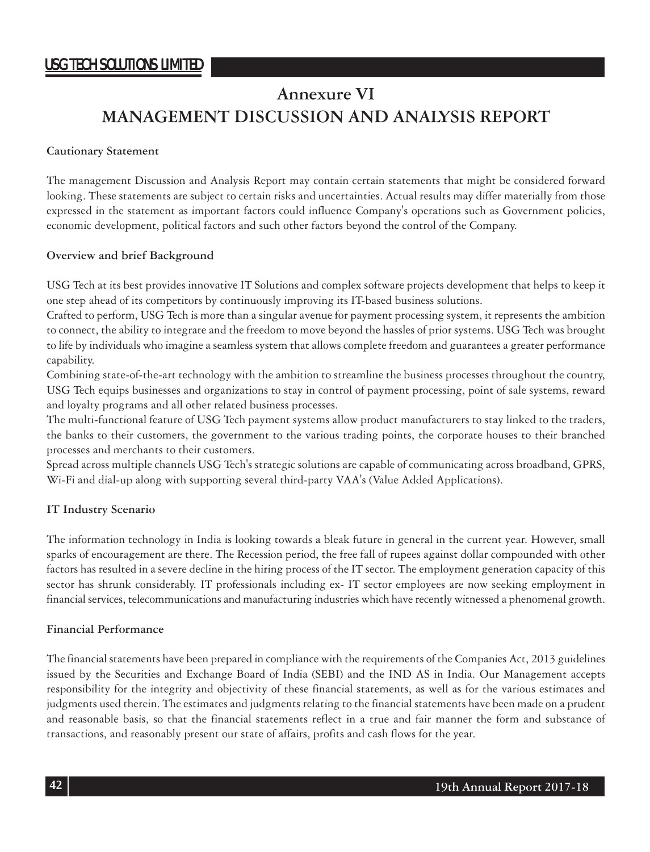## **Annexure VI MANAGEMENT DISCUSSION AND ANALYSIS REPORT**

### **Cautionary Statement**

The management Discussion and Analysis Report may contain certain statements that might be considered forward looking. These statements are subject to certain risks and uncertainties. Actual results may differ materially from those expressed in the statement as important factors could influence Company's operations such as Government policies, economic development, political factors and such other factors beyond the control of the Company.

### **Overview and brief Background**

USG Tech at its best provides innovative IT Solutions and complex software projects development that helps to keep it one step ahead of its competitors by continuously improving its IT-based business solutions.

Crafted to perform, USG Tech is more than a singular avenue for payment processing system, it represents the ambition to connect, the ability to integrate and the freedom to move beyond the hassles of prior systems. USG Tech was brought to life by individuals who imagine a seamless system that allows complete freedom and guarantees a greater performance capability.

Combining state-of-the-art technology with the ambition to streamline the business processes throughout the country, USG Tech equips businesses and organizations to stay in control of payment processing, point of sale systems, reward and loyalty programs and all other related business processes.

The multi-functional feature of USG Tech payment systems allow product manufacturers to stay linked to the traders, the banks to their customers, the government to the various trading points, the corporate houses to their branched processes and merchants to their customers.

Spread across multiple channels USG Tech's strategic solutions are capable of communicating across broadband, GPRS, Wi-Fi and dial-up along with supporting several third-party VAA's (Value Added Applications).

### **IT Industry Scenario**

The information technology in India is looking towards a bleak future in general in the current year. However, small sparks of encouragement are there. The Recession period, the free fall of rupees against dollar compounded with other factors has resulted in a severe decline in the hiring process of the IT sector. The employment generation capacity of this sector has shrunk considerably. IT professionals including ex- IT sector employees are now seeking employment in financial services, telecommunications and manufacturing industries which have recently witnessed a phenomenal growth.

#### **Financial Performance**

The financial statements have been prepared in compliance with the requirements of the Companies Act, 2013 guidelines issued by the Securities and Exchange Board of India (SEBI) and the IND AS in India. Our Management accepts responsibility for the integrity and objectivity of these financial statements, as well as for the various estimates and judgments used therein. The estimates and judgments relating to the financial statements have been made on a prudent and reasonable basis, so that the financial statements reflect in a true and fair manner the form and substance of transactions, and reasonably present our state of affairs, profits and cash flows for the year.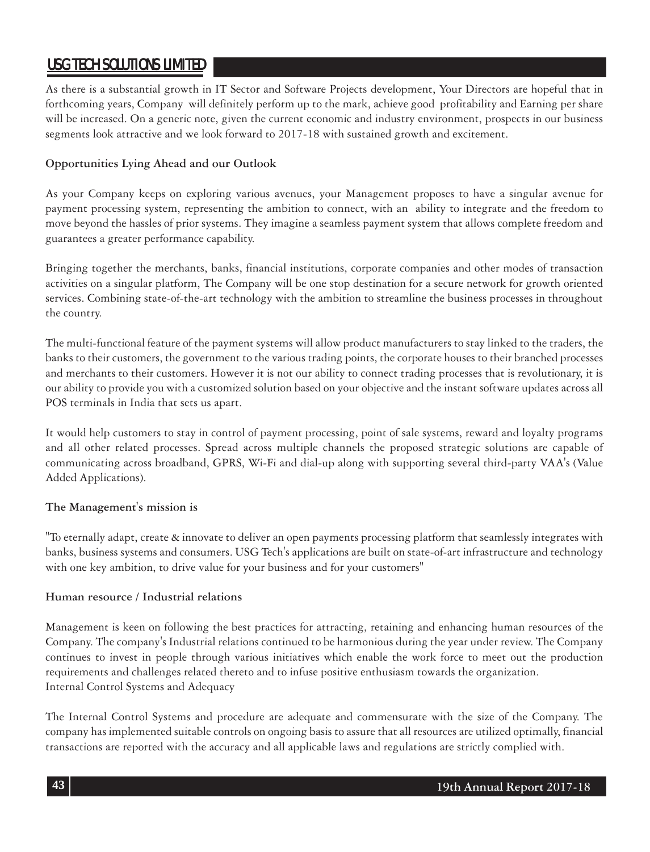As there is a substantial growth in IT Sector and Software Projects development, Your Directors are hopeful that in forthcoming years, Company will definitely perform up to the mark, achieve good profitability and Earning per share will be increased. On a generic note, given the current economic and industry environment, prospects in our business segments look attractive and we look forward to 2017-18 with sustained growth and excitement.

### **Opportunities Lying Ahead and our Outlook**

As your Company keeps on exploring various avenues, your Management proposes to have a singular avenue for payment processing system, representing the ambition to connect, with an ability to integrate and the freedom to move beyond the hassles of prior systems. They imagine a seamless payment system that allows complete freedom and guarantees a greater performance capability.

Bringing together the merchants, banks, financial institutions, corporate companies and other modes of transaction activities on a singular platform, The Company will be one stop destination for a secure network for growth oriented services. Combining state-of-the-art technology with the ambition to streamline the business processes in throughout the country.

The multi-functional feature of the payment systems will allow product manufacturers to stay linked to the traders, the banks to their customers, the government to the various trading points, the corporate houses to their branched processes and merchants to their customers. However it is not our ability to connect trading processes that is revolutionary, it is our ability to provide you with a customized solution based on your objective and the instant software updates across all POS terminals in India that sets us apart.

It would help customers to stay in control of payment processing, point of sale systems, reward and loyalty programs and all other related processes. Spread across multiple channels the proposed strategic solutions are capable of communicating across broadband, GPRS, Wi-Fi and dial-up along with supporting several third-party VAA's (Value Added Applications).

#### **The Management's mission is**

"To eternally adapt, create & innovate to deliver an open payments processing platform that seamlessly integrates with banks, business systems and consumers. USG Tech's applications are built on state-of-art infrastructure and technology with one key ambition, to drive value for your business and for your customers"

#### **Human resource / Industrial relations**

Management is keen on following the best practices for attracting, retaining and enhancing human resources of the Company. The company's Industrial relations continued to be harmonious during the year under review. The Company continues to invest in people through various initiatives which enable the work force to meet out the production requirements and challenges related thereto and to infuse positive enthusiasm towards the organization. Internal Control Systems and Adequacy

The Internal Control Systems and procedure are adequate and commensurate with the size of the Company. The company has implemented suitable controls on ongoing basis to assure that all resources are utilized optimally, financial transactions are reported with the accuracy and all applicable laws and regulations are strictly complied with.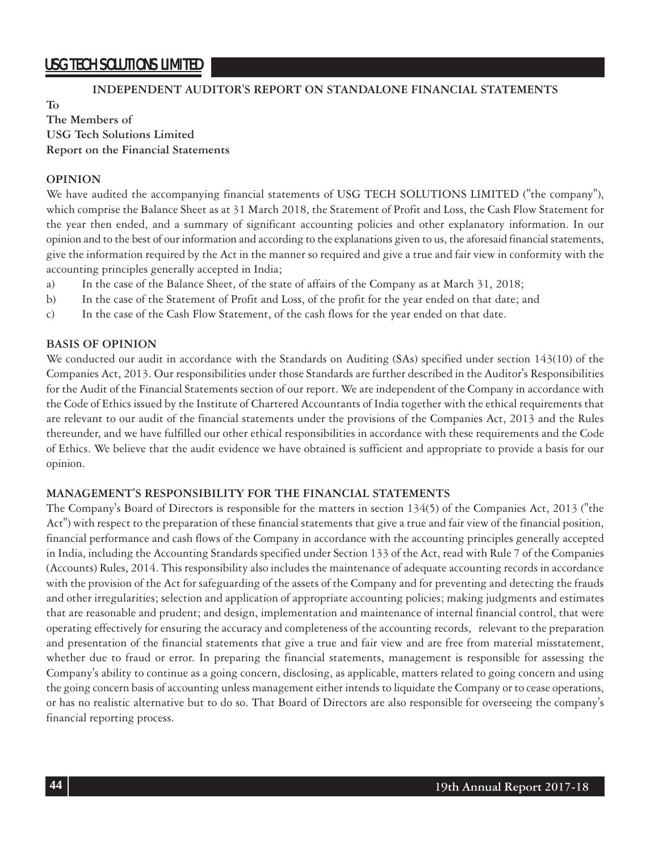**To**

### **INDEPENDENT AUDITOR'S REPORT ON STANDALONE FINANCIAL STATEMENTS**

### **The Members of USG Tech Solutions Limited Report on the Financial Statements**

#### **OPINION**

We have audited the accompanying financial statements of USG TECH SOLUTIONS LIMITED ("the company"), which comprise the Balance Sheet as at 31 March 2018, the Statement of Profit and Loss, the Cash Flow Statement for the year then ended, and a summary of significant accounting policies and other explanatory information. In our opinion and to the best of our information and according to the explanations given to us, the aforesaid financial statements, give the information required by the Act in the manner so required and give a true and fair view in conformity with the accounting principles generally accepted in India;

- a) In the case of the Balance Sheet, of the state of affairs of the Company as at March 31, 2018;
- b) In the case of the Statement of Profit and Loss, of the profit for the year ended on that date; and
- c) In the case of the Cash Flow Statement, of the cash flows for the year ended on that date.

### **BASIS OF OPINION**

We conducted our audit in accordance with the Standards on Auditing (SAs) specified under section 143(10) of the Companies Act, 2013. Our responsibilities under those Standards are further described in the Auditor's Responsibilities for the Audit of the Financial Statements section of our report. We are independent of the Company in accordance with the Code of Ethics issued by the Institute of Chartered Accountants of India together with the ethical requirements that are relevant to our audit of the financial statements under the provisions of the Companies Act, 2013 and the Rules thereunder, and we have fulfilled our other ethical responsibilities in accordance with these requirements and the Code of Ethics. We believe that the audit evidence we have obtained is sufficient and appropriate to provide a basis for our opinion.

#### **MANAGEMENT'S RESPONSIBILITY FOR THE FINANCIAL STATEMENTS**

The Company's Board of Directors is responsible for the matters in section 134(5) of the Companies Act, 2013 ("the Act") with respect to the preparation of these financial statements that give a true and fair view of the financial position, financial performance and cash flows of the Company in accordance with the accounting principles generally accepted in India, including the Accounting Standards specified under Section 133 of the Act, read with Rule 7 of the Companies (Accounts) Rules, 2014. This responsibility also includes the maintenance of adequate accounting records in accordance with the provision of the Act for safeguarding of the assets of the Company and for preventing and detecting the frauds and other irregularities; selection and application of appropriate accounting policies; making judgments and estimates that are reasonable and prudent; and design, implementation and maintenance of internal financial control, that were operating effectively for ensuring the accuracy and completeness of the accounting records, relevant to the preparation and presentation of the financial statements that give a true and fair view and are free from material misstatement, whether due to fraud or error. In preparing the financial statements, management is responsible for assessing the Company's ability to continue as a going concern, disclosing, as applicable, matters related to going concern and using the going concern basis of accounting unless management either intends to liquidate the Company or to cease operations, or has no realistic alternative but to do so. That Board of Directors are also responsible for overseeing the company's financial reporting process.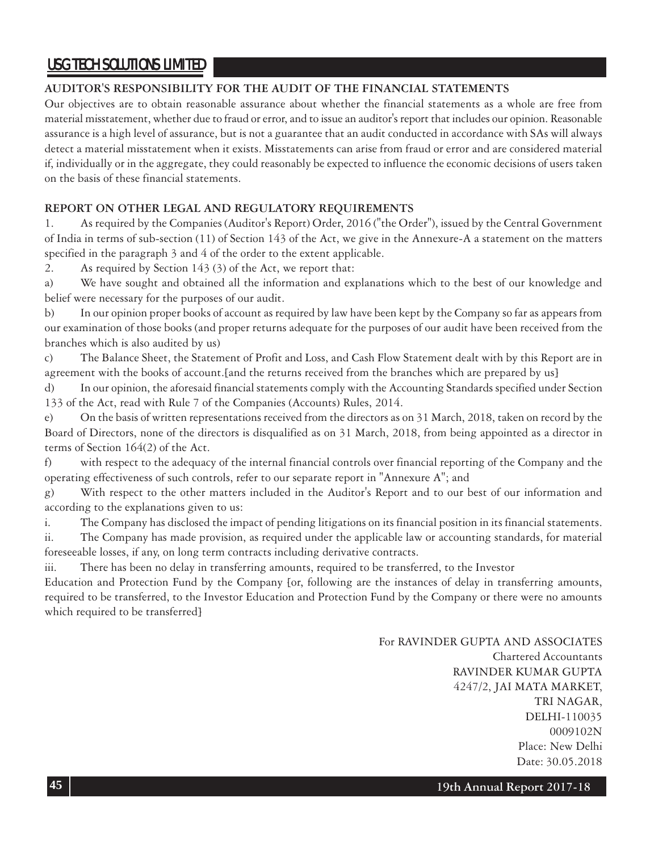### **AUDITOR'S RESPONSIBILITY FOR THE AUDIT OF THE FINANCIAL STATEMENTS**

Our objectives are to obtain reasonable assurance about whether the financial statements as a whole are free from material misstatement, whether due to fraud or error, and to issue an auditor's report that includes our opinion. Reasonable assurance is a high level of assurance, but is not a guarantee that an audit conducted in accordance with SAs will always detect a material misstatement when it exists. Misstatements can arise from fraud or error and are considered material if, individually or in the aggregate, they could reasonably be expected to influence the economic decisions of users taken on the basis of these financial statements.

### **REPORT ON OTHER LEGAL AND REGULATORY REQUIREMENTS**

1. As required by the Companies (Auditor's Report) Order, 2016 ("the Order"), issued by the Central Government of India in terms of sub-section (11) of Section 143 of the Act, we give in the Annexure-A a statement on the matters specified in the paragraph 3 and 4 of the order to the extent applicable.

2. As required by Section 143 (3) of the Act, we report that:

a) We have sought and obtained all the information and explanations which to the best of our knowledge and belief were necessary for the purposes of our audit.

b) In our opinion proper books of account as required by law have been kept by the Company so far as appears from our examination of those books (and proper returns adequate for the purposes of our audit have been received from the branches which is also audited by us)

c) The Balance Sheet, the Statement of Profit and Loss, and Cash Flow Statement dealt with by this Report are in agreement with the books of account.[and the returns received from the branches which are prepared by us]

d) In our opinion, the aforesaid financial statements comply with the Accounting Standards specified under Section 133 of the Act, read with Rule 7 of the Companies (Accounts) Rules, 2014.

e) On the basis of written representations received from the directors as on 31 March, 2018, taken on record by the Board of Directors, none of the directors is disqualified as on 31 March, 2018, from being appointed as a director in terms of Section 164(2) of the Act.

f) with respect to the adequacy of the internal financial controls over financial reporting of the Company and the operating effectiveness of such controls, refer to our separate report in "Annexure A"; and

g) With respect to the other matters included in the Auditor's Report and to our best of our information and according to the explanations given to us:

i. The Company has disclosed the impact of pending litigations on its financial position in its financial statements.

ii. The Company has made provision, as required under the applicable law or accounting standards, for material foreseeable losses, if any, on long term contracts including derivative contracts.

iii. There has been no delay in transferring amounts, required to be transferred, to the Investor

Education and Protection Fund by the Company [or, following are the instances of delay in transferring amounts, required to be transferred, to the Investor Education and Protection Fund by the Company or there were no amounts which required to be transferred]

> For RAVINDER GUPTA AND ASSOCIATES Chartered Accountants RAVINDER KUMAR GUPTA 4247/2, JAI MATA MARKET, TRI NAGAR, DELHI-110035 0009102N Place: New Delhi Date: 30.05.2018

> > **19th Annual Report 2017-18**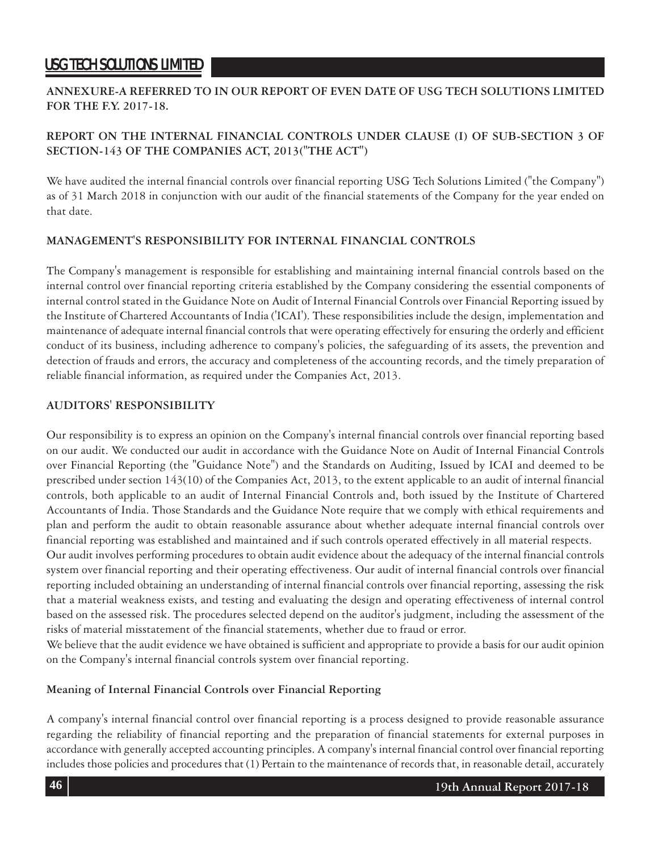### **ANNEXURE-A REFERRED TO IN OUR REPORT OF EVEN DATE OF USG TECH SOLUTIONS LIMITED FOR THE F.Y. 2017-18.**

### **REPORT ON THE INTERNAL FINANCIAL CONTROLS UNDER CLAUSE (I) OF SUB-SECTION 3 OF SECTION-143 OF THE COMPANIES ACT, 2013("THE ACT")**

We have audited the internal financial controls over financial reporting USG Tech Solutions Limited ("the Company") as of 31 March 2018 in conjunction with our audit of the financial statements of the Company for the year ended on that date.

### **MANAGEMENT'S RESPONSIBILITY FOR INTERNAL FINANCIAL CONTROLS**

The Company's management is responsible for establishing and maintaining internal financial controls based on the internal control over financial reporting criteria established by the Company considering the essential components of internal control stated in the Guidance Note on Audit of Internal Financial Controls over Financial Reporting issued by the Institute of Chartered Accountants of India ('ICAI'). These responsibilities include the design, implementation and maintenance of adequate internal financial controls that were operating effectively for ensuring the orderly and efficient conduct of its business, including adherence to company's policies, the safeguarding of its assets, the prevention and detection of frauds and errors, the accuracy and completeness of the accounting records, and the timely preparation of reliable financial information, as required under the Companies Act, 2013.

### **AUDITORS' RESPONSIBILITY**

Our responsibility is to express an opinion on the Company's internal financial controls over financial reporting based on our audit. We conducted our audit in accordance with the Guidance Note on Audit of Internal Financial Controls over Financial Reporting (the "Guidance Note") and the Standards on Auditing, Issued by ICAI and deemed to be prescribed under section 143(10) of the Companies Act, 2013, to the extent applicable to an audit of internal financial controls, both applicable to an audit of Internal Financial Controls and, both issued by the Institute of Chartered Accountants of India. Those Standards and the Guidance Note require that we comply with ethical requirements and plan and perform the audit to obtain reasonable assurance about whether adequate internal financial controls over financial reporting was established and maintained and if such controls operated effectively in all material respects.

Our audit involves performing procedures to obtain audit evidence about the adequacy of the internal financial controls system over financial reporting and their operating effectiveness. Our audit of internal financial controls over financial reporting included obtaining an understanding of internal financial controls over financial reporting, assessing the risk that a material weakness exists, and testing and evaluating the design and operating effectiveness of internal control based on the assessed risk. The procedures selected depend on the auditor's judgment, including the assessment of the risks of material misstatement of the financial statements, whether due to fraud or error.

We believe that the audit evidence we have obtained is sufficient and appropriate to provide a basis for our audit opinion on the Company's internal financial controls system over financial reporting.

### **Meaning of Internal Financial Controls over Financial Reporting**

A company's internal financial control over financial reporting is a process designed to provide reasonable assurance regarding the reliability of financial reporting and the preparation of financial statements for external purposes in accordance with generally accepted accounting principles. A company's internal financial control over financial reporting includes those policies and procedures that (1) Pertain to the maintenance of records that, in reasonable detail, accurately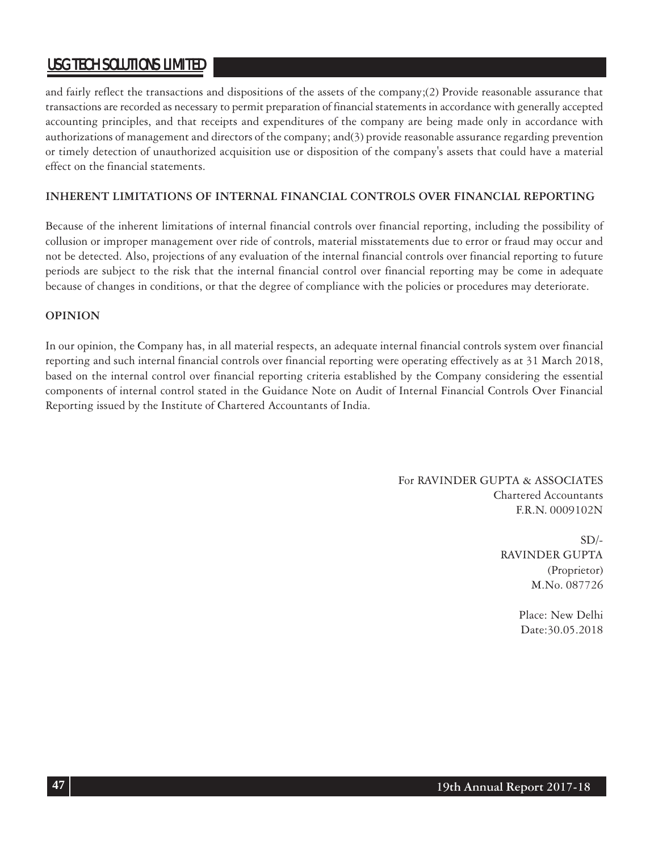and fairly reflect the transactions and dispositions of the assets of the company;(2) Provide reasonable assurance that transactions are recorded as necessary to permit preparation of financial statements in accordance with generally accepted accounting principles, and that receipts and expenditures of the company are being made only in accordance with authorizations of management and directors of the company; and(3) provide reasonable assurance regarding prevention or timely detection of unauthorized acquisition use or disposition of the company's assets that could have a material effect on the financial statements.

### **INHERENT LIMITATIONS OF INTERNAL FINANCIAL CONTROLS OVER FINANCIAL REPORTING**

Because of the inherent limitations of internal financial controls over financial reporting, including the possibility of collusion or improper management over ride of controls, material misstatements due to error or fraud may occur and not be detected. Also, projections of any evaluation of the internal financial controls over financial reporting to future periods are subject to the risk that the internal financial control over financial reporting may be come in adequate because of changes in conditions, or that the degree of compliance with the policies or procedures may deteriorate.

### **OPINION**

In our opinion, the Company has, in all material respects, an adequate internal financial controls system over financial reporting and such internal financial controls over financial reporting were operating effectively as at 31 March 2018, based on the internal control over financial reporting criteria established by the Company considering the essential components of internal control stated in the Guidance Note on Audit of Internal Financial Controls Over Financial Reporting issued by the Institute of Chartered Accountants of India.

> For RAVINDER GUPTA & ASSOCIATES Chartered Accountants F.R.N. 0009102N

> > $SD/-$ RAVINDER GUPTA (Proprietor) M.No. 087726

> > > Place: New Delhi Date:30.05.2018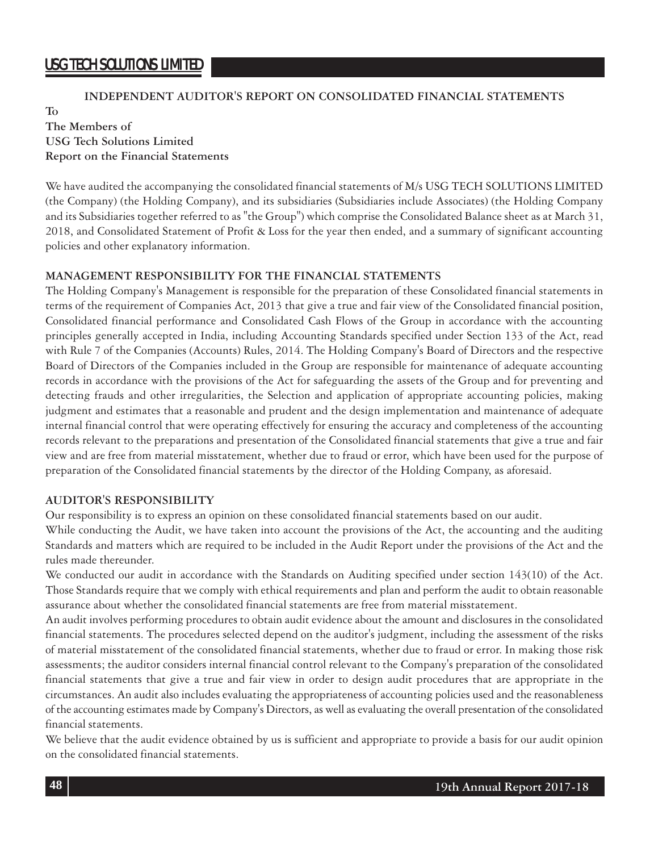### **INDEPENDENT AUDITOR'S REPORT ON CONSOLIDATED FINANCIAL STATEMENTS**

**To The Members of USG Tech Solutions Limited Report on the Financial Statements**

We have audited the accompanying the consolidated financial statements of M/s USG TECH SOLUTIONS LIMITED (the Company) (the Holding Company), and its subsidiaries (Subsidiaries include Associates) (the Holding Company and its Subsidiaries together referred to as "the Group") which comprise the Consolidated Balance sheet as at March 31, 2018, and Consolidated Statement of Profit & Loss for the year then ended, and a summary of significant accounting policies and other explanatory information.

### **MANAGEMENT RESPONSIBILITY FOR THE FINANCIAL STATEMENTS**

The Holding Company's Management is responsible for the preparation of these Consolidated financial statements in terms of the requirement of Companies Act, 2013 that give a true and fair view of the Consolidated financial position, Consolidated financial performance and Consolidated Cash Flows of the Group in accordance with the accounting principles generally accepted in India, including Accounting Standards specified under Section 133 of the Act, read with Rule 7 of the Companies (Accounts) Rules, 2014. The Holding Company's Board of Directors and the respective Board of Directors of the Companies included in the Group are responsible for maintenance of adequate accounting records in accordance with the provisions of the Act for safeguarding the assets of the Group and for preventing and detecting frauds and other irregularities, the Selection and application of appropriate accounting policies, making judgment and estimates that a reasonable and prudent and the design implementation and maintenance of adequate internal financial control that were operating effectively for ensuring the accuracy and completeness of the accounting records relevant to the preparations and presentation of the Consolidated financial statements that give a true and fair view and are free from material misstatement, whether due to fraud or error, which have been used for the purpose of preparation of the Consolidated financial statements by the director of the Holding Company, as aforesaid.

#### **AUDITOR'S RESPONSIBILITY**

Our responsibility is to express an opinion on these consolidated financial statements based on our audit.

While conducting the Audit, we have taken into account the provisions of the Act, the accounting and the auditing Standards and matters which are required to be included in the Audit Report under the provisions of the Act and the rules made thereunder.

We conducted our audit in accordance with the Standards on Auditing specified under section 143(10) of the Act. Those Standards require that we comply with ethical requirements and plan and perform the audit to obtain reasonable assurance about whether the consolidated financial statements are free from material misstatement.

An audit involves performing procedures to obtain audit evidence about the amount and disclosures in the consolidated financial statements. The procedures selected depend on the auditor's judgment, including the assessment of the risks of material misstatement of the consolidated financial statements, whether due to fraud or error. In making those risk assessments; the auditor considers internal financial control relevant to the Company's preparation of the consolidated financial statements that give a true and fair view in order to design audit procedures that are appropriate in the circumstances. An audit also includes evaluating the appropriateness of accounting policies used and the reasonableness of the accounting estimates made by Company's Directors, as well as evaluating the overall presentation of the consolidated financial statements.

We believe that the audit evidence obtained by us is sufficient and appropriate to provide a basis for our audit opinion on the consolidated financial statements.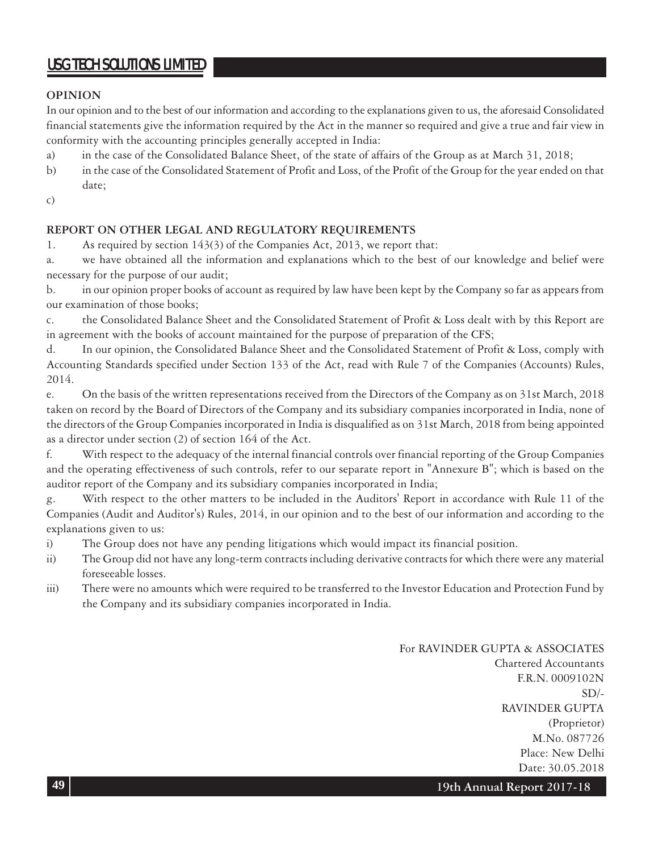### **OPINION**

In our opinion and to the best of our information and according to the explanations given to us, the aforesaid Consolidated financial statements give the information required by the Act in the manner so required and give a true and fair view in conformity with the accounting principles generally accepted in India:

- a) in the case of the Consolidated Balance Sheet, of the state of affairs of the Group as at March 31, 2018;
- b) in the case of the Consolidated Statement of Profit and Loss, of the Profit of the Group for the year ended on that date;
- c)

### **REPORT ON OTHER LEGAL AND REGULATORY REQUIREMENTS**

1. As required by section 143(3) of the Companies Act, 2013, we report that:

a. we have obtained all the information and explanations which to the best of our knowledge and belief were necessary for the purpose of our audit;

b. in our opinion proper books of account as required by law have been kept by the Company so far as appears from our examination of those books;

c. the Consolidated Balance Sheet and the Consolidated Statement of Profit & Loss dealt with by this Report are in agreement with the books of account maintained for the purpose of preparation of the CFS;

d. In our opinion, the Consolidated Balance Sheet and the Consolidated Statement of Profit & Loss, comply with Accounting Standards specified under Section 133 of the Act, read with Rule 7 of the Companies (Accounts) Rules, 2014.

e. On the basis of the written representations received from the Directors of the Company as on 31st March, 2018 taken on record by the Board of Directors of the Company and its subsidiary companies incorporated in India, none of the directors of the Group Companies incorporated in India is disqualified as on 31st March, 2018 from being appointed as a director under section (2) of section 164 of the Act.

f. With respect to the adequacy of the internal financial controls over financial reporting of the Group Companies and the operating effectiveness of such controls, refer to our separate report in "Annexure B"; which is based on the auditor report of the Company and its subsidiary companies incorporated in India;

g. With respect to the other matters to be included in the Auditors' Report in accordance with Rule 11 of the Companies (Audit and Auditor's) Rules, 2014, in our opinion and to the best of our information and according to the explanations given to us:

- i) The Group does not have any pending litigations which would impact its financial position.
- ii) The Group did not have any long-term contracts including derivative contracts for which there were any material foreseeable losses.
- iii) There were no amounts which were required to be transferred to the Investor Education and Protection Fund by the Company and its subsidiary companies incorporated in India.

For RAVINDER GUPTA & ASSOCIATES Chartered Accountants F.R.N. 0009102N  $SD/-$ RAVINDER GUPTA (Proprietor) M.No. 087726 Place: New Delhi Date: 30.05.2018

**49 19th Annual Report 2017-18**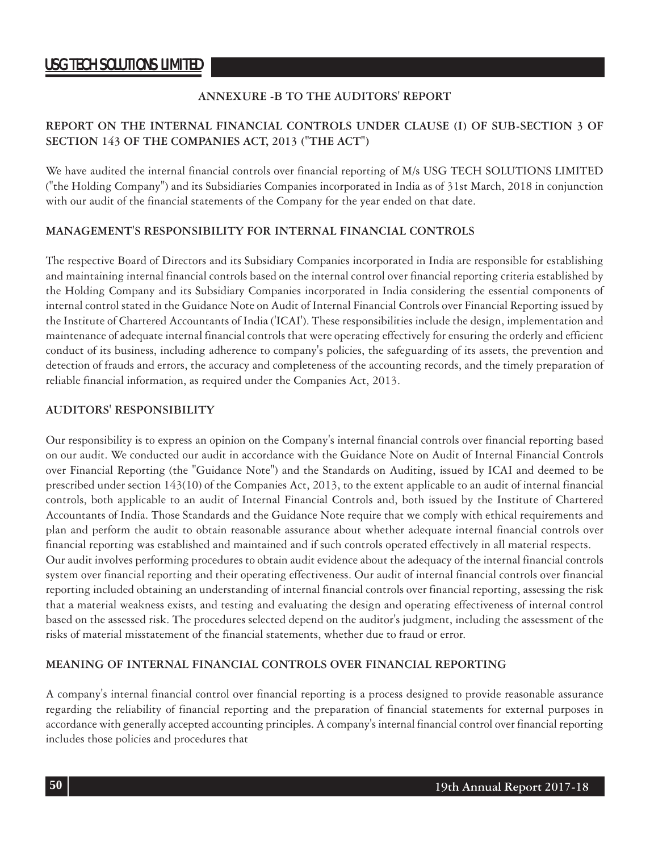### **ANNEXURE -B TO THE AUDITORS' REPORT**

### **REPORT ON THE INTERNAL FINANCIAL CONTROLS UNDER CLAUSE (I) OF SUB-SECTION 3 OF SECTION 143 OF THE COMPANIES ACT, 2013 ("THE ACT")**

We have audited the internal financial controls over financial reporting of M/s USG TECH SOLUTIONS LIMITED ("the Holding Company") and its Subsidiaries Companies incorporated in India as of 31st March, 2018 in conjunction with our audit of the financial statements of the Company for the year ended on that date.

### **MANAGEMENT'S RESPONSIBILITY FOR INTERNAL FINANCIAL CONTROLS**

The respective Board of Directors and its Subsidiary Companies incorporated in India are responsible for establishing and maintaining internal financial controls based on the internal control over financial reporting criteria established by the Holding Company and its Subsidiary Companies incorporated in India considering the essential components of internal control stated in the Guidance Note on Audit of Internal Financial Controls over Financial Reporting issued by the Institute of Chartered Accountants of India ('ICAI'). These responsibilities include the design, implementation and maintenance of adequate internal financial controls that were operating effectively for ensuring the orderly and efficient conduct of its business, including adherence to company's policies, the safeguarding of its assets, the prevention and detection of frauds and errors, the accuracy and completeness of the accounting records, and the timely preparation of reliable financial information, as required under the Companies Act, 2013.

#### **AUDITORS' RESPONSIBILITY**

Our responsibility is to express an opinion on the Company's internal financial controls over financial reporting based on our audit. We conducted our audit in accordance with the Guidance Note on Audit of Internal Financial Controls over Financial Reporting (the "Guidance Note") and the Standards on Auditing, issued by ICAI and deemed to be prescribed under section 143(10) of the Companies Act, 2013, to the extent applicable to an audit of internal financial controls, both applicable to an audit of Internal Financial Controls and, both issued by the Institute of Chartered Accountants of India. Those Standards and the Guidance Note require that we comply with ethical requirements and plan and perform the audit to obtain reasonable assurance about whether adequate internal financial controls over financial reporting was established and maintained and if such controls operated effectively in all material respects. Our audit involves performing procedures to obtain audit evidence about the adequacy of the internal financial controls system over financial reporting and their operating effectiveness. Our audit of internal financial controls over financial reporting included obtaining an understanding of internal financial controls over financial reporting, assessing the risk that a material weakness exists, and testing and evaluating the design and operating effectiveness of internal control based on the assessed risk. The procedures selected depend on the auditor's judgment, including the assessment of the

#### **MEANING OF INTERNAL FINANCIAL CONTROLS OVER FINANCIAL REPORTING**

risks of material misstatement of the financial statements, whether due to fraud or error.

A company's internal financial control over financial reporting is a process designed to provide reasonable assurance regarding the reliability of financial reporting and the preparation of financial statements for external purposes in accordance with generally accepted accounting principles. A company's internal financial control over financial reporting includes those policies and procedures that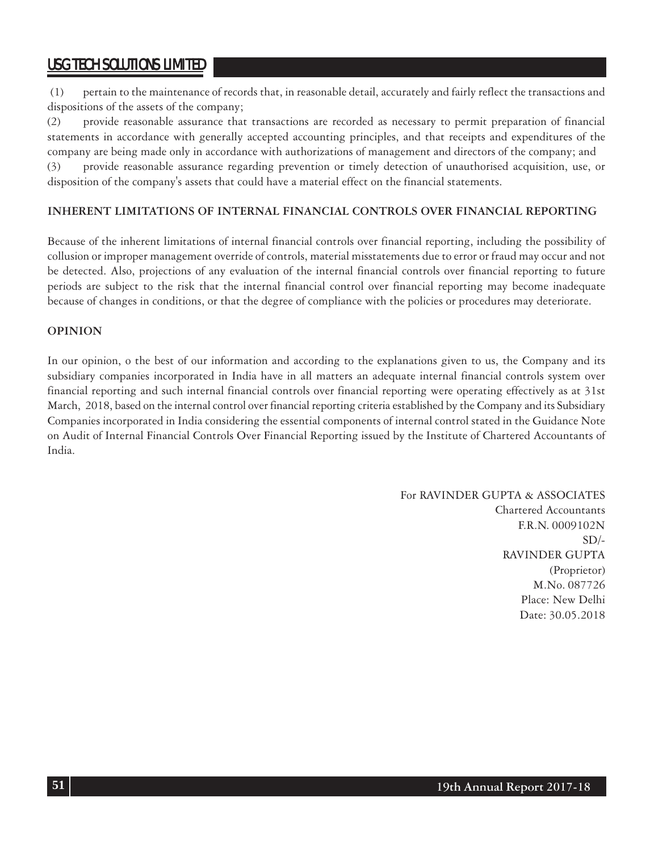(1) pertain to the maintenance of records that, in reasonable detail, accurately and fairly reflect the transactions and dispositions of the assets of the company;

(2) provide reasonable assurance that transactions are recorded as necessary to permit preparation of financial statements in accordance with generally accepted accounting principles, and that receipts and expenditures of the company are being made only in accordance with authorizations of management and directors of the company; and (3) provide reasonable assurance regarding prevention or timely detection of unauthorised acquisition, use, or

disposition of the company's assets that could have a material effect on the financial statements.

### **INHERENT LIMITATIONS OF INTERNAL FINANCIAL CONTROLS OVER FINANCIAL REPORTING**

Because of the inherent limitations of internal financial controls over financial reporting, including the possibility of collusion or improper management override of controls, material misstatements due to error or fraud may occur and not be detected. Also, projections of any evaluation of the internal financial controls over financial reporting to future periods are subject to the risk that the internal financial control over financial reporting may become inadequate because of changes in conditions, or that the degree of compliance with the policies or procedures may deteriorate.

### **OPINION**

In our opinion, o the best of our information and according to the explanations given to us, the Company and its subsidiary companies incorporated in India have in all matters an adequate internal financial controls system over financial reporting and such internal financial controls over financial reporting were operating effectively as at 31st March, 2018, based on the internal control over financial reporting criteria established by the Company and its Subsidiary Companies incorporated in India considering the essential components of internal control stated in the Guidance Note on Audit of Internal Financial Controls Over Financial Reporting issued by the Institute of Chartered Accountants of India.

> For RAVINDER GUPTA & ASSOCIATES Chartered Accountants F.R.N. 0009102N  $SD/-$ RAVINDER GUPTA (Proprietor) M.No. 087726 Place: New Delhi Date: 30.05.2018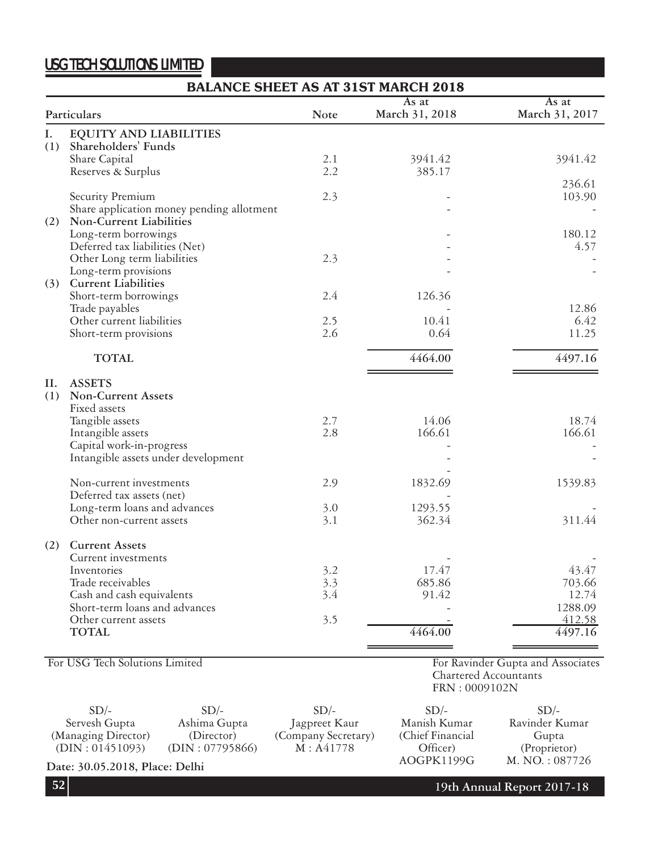|     | <b>BALANCE SHEET AS AT 31ST MARCH 2018</b> |             |                         |                         |  |
|-----|--------------------------------------------|-------------|-------------------------|-------------------------|--|
|     | Particulars                                | <b>Note</b> | As at<br>March 31, 2018 | As at<br>March 31, 2017 |  |
| Ι.  | <b>EQUITY AND LIABILITIES</b>              |             |                         |                         |  |
| (1) | Shareholders' Funds                        |             |                         |                         |  |
|     | Share Capital                              | 2.1         | 3941.42                 | 3941.42                 |  |
|     | Reserves & Surplus                         | 2.2         | 385.17                  |                         |  |
|     |                                            |             |                         | 236.61                  |  |
|     | Security Premium                           | 2.3         |                         | 103.90                  |  |
|     | Share application money pending allotment  |             |                         |                         |  |
|     | (2) Non-Current Liabilities                |             |                         |                         |  |
|     | Long-term borrowings                       |             |                         | 180.12                  |  |
|     | Deferred tax liabilities (Net)             |             |                         | 4.57                    |  |
|     | Other Long term liabilities                | 2.3         |                         |                         |  |
|     | Long-term provisions                       |             |                         |                         |  |
|     | (3) Current Liabilities                    |             |                         |                         |  |
|     | Short-term borrowings                      | 2.4         | 126.36                  |                         |  |
|     | Trade payables                             |             |                         | 12.86                   |  |
|     | Other current liabilities                  | 2.5         | 10.41                   | 6.42                    |  |
|     | Short-term provisions                      | 2.6         | 0.64                    | 11.25                   |  |
|     | <b>TOTAL</b>                               |             | 4464.00                 | 4497.16                 |  |
| H.  | <b>ASSETS</b>                              |             |                         |                         |  |
| (1) | <b>Non-Current Assets</b>                  |             |                         |                         |  |
|     | Fixed assets                               |             |                         |                         |  |
|     | Tangible assets                            | 2.7         | 14.06                   | 18.74                   |  |
|     | Intangible assets                          | 2.8         | 166.61                  | 166.61                  |  |
|     | Capital work-in-progress                   |             |                         |                         |  |
|     | Intangible assets under development        |             |                         |                         |  |
|     |                                            |             |                         |                         |  |
|     | Non-current investments                    | 2.9         | 1832.69                 | 1539.83                 |  |
|     | Deferred tax assets (net)                  |             |                         |                         |  |
|     | Long-term loans and advances               | 3.0         | 1293.55                 |                         |  |
|     | Other non-current assets                   | 3.1         | 362.34                  | 311.44                  |  |
| (2) | <b>Current Assets</b>                      |             |                         |                         |  |
|     | Current investments                        |             |                         |                         |  |
|     | Inventories                                | 3.2         | 17.47                   | 43.47                   |  |
|     | Trade receivables                          | 3.3         | 685.86                  | 703.66                  |  |
|     | Cash and cash equivalents                  | 3.4         | 91.42                   | 12.74                   |  |
|     | Short-term loans and advances              |             |                         | 1288.09                 |  |
|     | Other current assets                       | 3.5         |                         | 412.58                  |  |
|     | <b>TOTAL</b>                               |             | 4464.00                 | 4497.16                 |  |
|     |                                            |             |                         |                         |  |

For USG Tech Solutions Limited

For Ravinder Gupta and Associates Chartered Accountants FRN : 0009102N

 $SD/-$ Servesh Gupta (Managing Director) (DIN : 01451093)  $SD/-$ Ashima Gupta (Director) (DIN : 07795866)  $SD/-$ Jagpreet Kaur (Company Secretary) M : A41778  $SD/-$ Manish Kumar (Chief Financial Officer) AOGPK1199G  $SD/-$ Ravinder Kumar Gupta (Proprietor)

**Date: 30.05.2018, Place: Delhi AOGPK1199G M. NO. : 087726** 

**52**

**19th Annual Report 2017-18**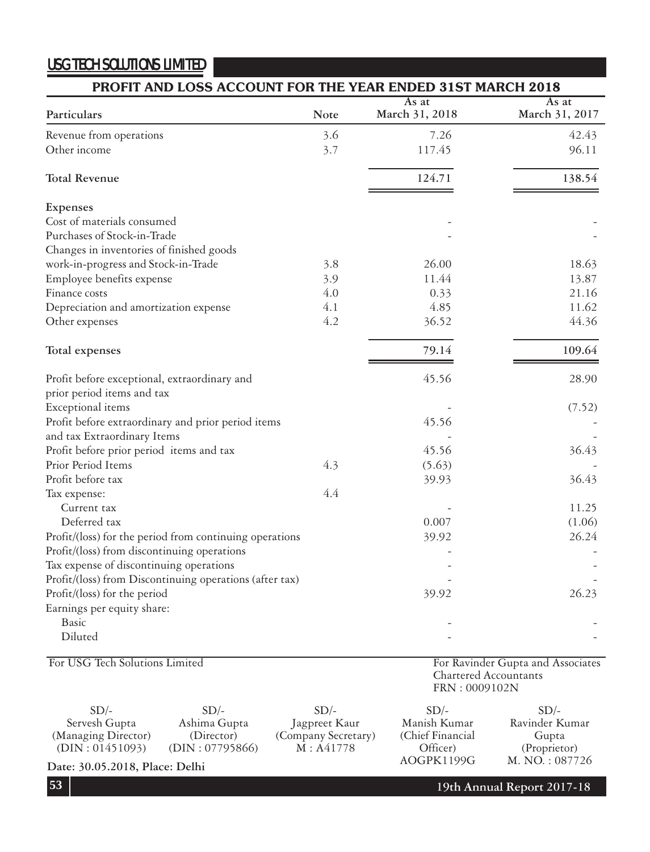| PROFIT AND LOSS ACCOUNT FOR THE YEAR ENDED 31ST MARCH 2018 |             |                         |                         |
|------------------------------------------------------------|-------------|-------------------------|-------------------------|
| Particulars                                                | <b>Note</b> | As at<br>March 31, 2018 | As at<br>March 31, 2017 |
| Revenue from operations                                    | 3.6         | 7.26                    | 42.43                   |
| Other income                                               | 3.7         | 117.45                  | 96.11                   |
| <b>Total Revenue</b>                                       |             | 124.71                  | 138.54                  |
| Expenses                                                   |             |                         |                         |
| Cost of materials consumed                                 |             |                         |                         |
| Purchases of Stock-in-Trade                                |             |                         |                         |
| Changes in inventories of finished goods                   |             |                         |                         |
| work-in-progress and Stock-in-Trade                        | 3.8         | 26.00                   | 18.63                   |
| Employee benefits expense                                  | 3.9         | 11.44                   | 13.87                   |
| Finance costs                                              | 4.0         | 0.33                    | 21.16                   |
| Depreciation and amortization expense                      | 4.1         | 4.85                    | 11.62                   |
| Other expenses                                             | 4.2         | 36.52                   | 44.36                   |
| Total expenses                                             |             | 79.14                   | 109.64                  |
| Profit before exceptional, extraordinary and               |             | 45.56                   | 28.90                   |
| prior period items and tax                                 |             |                         |                         |
| Exceptional items                                          |             |                         | (7.52)                  |
| Profit before extraordinary and prior period items         |             | 45.56                   |                         |
| and tax Extraordinary Items                                |             |                         |                         |
| Profit before prior period items and tax                   |             | 45.56                   | 36.43                   |
| Prior Period Items                                         | 4.3         | (5.63)                  |                         |
| Profit before tax                                          |             | 39.93                   | 36.43                   |
| Tax expense:                                               | 4.4         |                         |                         |
| Current tax                                                |             |                         | 11.25                   |
| Deferred tax                                               |             | 0.007                   | (1.06)                  |
| Profit/(loss) for the period from continuing operations    |             | 39.92                   | 26.24                   |
| Profit/(loss) from discontinuing operations                |             |                         |                         |
| Tax expense of discontinuing operations                    |             |                         |                         |
| Profit/(loss) from Discontinuing operations (after tax)    |             |                         |                         |
| Profit/(loss) for the period                               |             | 39.92                   | 26.23                   |
| Earnings per equity share:                                 |             |                         |                         |
| <b>Basic</b>                                               |             |                         |                         |
| Diluted                                                    |             |                         |                         |

For USG Tech Solutions Limited

For Ravinder Gupta and Associates Chartered Accountants FRN : 0009102N

| $SD/-$                                  | $SD/-$          | $SD/-$              | $SD/-$            | $SD/-$         |
|-----------------------------------------|-----------------|---------------------|-------------------|----------------|
| Servesh Gupta                           | Ashima Gupta    | Jagpreet Kaur       | Manish Kumar      | Ravinder Kumar |
| (Managing Director)                     | (Director)      | (Company Secretary) | (Chief Financial) | Gupta          |
| (DIN: 01451093)                         | (DIN: 07795866) | M: A41778           | Officer)          | (Proprietor)   |
| $D = 30.053010 \text{ D}1 \text{ D}111$ |                 |                     | AOGPK1199G        | M. NO.: 087726 |

Date: 30.05.2018, Place: Delhi

**19th Annual Report 2017-18**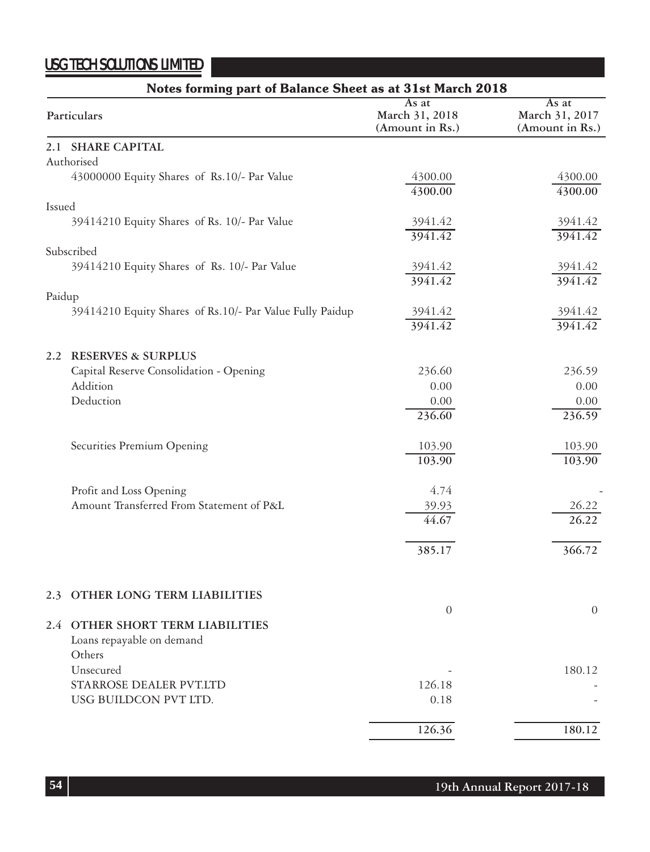|        | Notes forming part of Balance Sheet as at 31st March 2018 |                                            |                                            |  |  |
|--------|-----------------------------------------------------------|--------------------------------------------|--------------------------------------------|--|--|
|        | Particulars                                               | As at<br>March 31, 2018<br>(Amount in Rs.) | As at<br>March 31, 2017<br>(Amount in Rs.) |  |  |
|        | 2.1 SHARE CAPITAL                                         |                                            |                                            |  |  |
|        | Authorised                                                |                                            |                                            |  |  |
|        | 43000000 Equity Shares of Rs.10/- Par Value               | 4300.00                                    | 4300.00                                    |  |  |
|        |                                                           | 4300.00                                    | 4300.00                                    |  |  |
| Issued |                                                           |                                            |                                            |  |  |
|        | 39414210 Equity Shares of Rs. 10/- Par Value              | 3941.42<br>3941.42                         | 3941.42<br>3941.42                         |  |  |
|        | Subscribed                                                |                                            |                                            |  |  |
|        | 39414210 Equity Shares of Rs. 10/- Par Value              | 3941.42                                    | 3941.42                                    |  |  |
|        |                                                           | 3941.42                                    | 3941.42                                    |  |  |
| Paidup |                                                           |                                            |                                            |  |  |
|        | 39414210 Equity Shares of Rs.10/- Par Value Fully Paidup  | 3941.42                                    | 3941.42                                    |  |  |
|        |                                                           | 3941.42                                    | 3941.42                                    |  |  |
|        | 2.2 RESERVES & SURPLUS                                    |                                            |                                            |  |  |
|        | Capital Reserve Consolidation - Opening                   | 236.60                                     | 236.59                                     |  |  |
|        | <b>Addition</b>                                           | 0.00                                       | 0.00                                       |  |  |
|        | Deduction                                                 | 0.00                                       | 0.00                                       |  |  |
|        |                                                           | 236.60                                     | 236.59                                     |  |  |
|        |                                                           |                                            |                                            |  |  |
|        | Securities Premium Opening                                | 103.90                                     | 103.90                                     |  |  |
|        |                                                           | 103.90                                     | 103.90                                     |  |  |
|        |                                                           |                                            |                                            |  |  |
|        | Profit and Loss Opening                                   | 4.74                                       |                                            |  |  |
|        | Amount Transferred From Statement of P&L                  | 39.93                                      | 26.22                                      |  |  |
|        |                                                           | 44.67                                      | 26.22                                      |  |  |
|        |                                                           | 385.17                                     | 366.72                                     |  |  |
|        |                                                           |                                            |                                            |  |  |
|        |                                                           |                                            |                                            |  |  |
| 2.3    | OTHER LONG TERM LIABILITIES                               |                                            |                                            |  |  |
|        |                                                           | $\boldsymbol{0}$                           | $\theta$                                   |  |  |
|        | 2.4 OTHER SHORT TERM LIABILITIES                          |                                            |                                            |  |  |
|        | Loans repayable on demand                                 |                                            |                                            |  |  |
|        | Others                                                    |                                            |                                            |  |  |
|        | Unsecured<br>STARROSE DEALER PVT.LTD                      |                                            | 180.12                                     |  |  |
|        | USG BUILDCON PVT LTD.                                     | 126.18<br>0.18                             |                                            |  |  |
|        |                                                           |                                            |                                            |  |  |
|        |                                                           | 126.36                                     | 180.12                                     |  |  |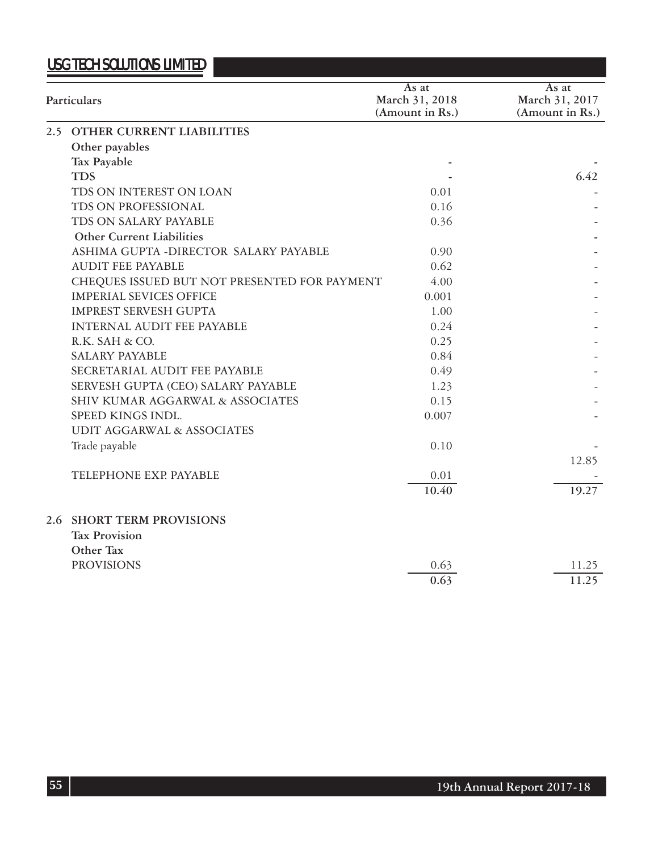| Particulars                                  | As at<br>March 31, 2018<br>(Amount in Rs.) | As at<br>March 31, 2017<br>(Amount in Rs.) |
|----------------------------------------------|--------------------------------------------|--------------------------------------------|
| 2.5 OTHER CURRENT LIABILITIES                |                                            |                                            |
| Other payables                               |                                            |                                            |
| Tax Payable                                  |                                            |                                            |
| <b>TDS</b>                                   |                                            | 6.42                                       |
| TDS ON INTEREST ON LOAN                      | 0.01                                       |                                            |
| TDS ON PROFESSIONAL                          | 0.16                                       |                                            |
| TDS ON SALARY PAYABLE                        | 0.36                                       |                                            |
| <b>Other Current Liabilities</b>             |                                            |                                            |
| ASHIMA GUPTA - DIRECTOR SALARY PAYABLE       | 0.90                                       |                                            |
| <b>AUDIT FEE PAYABLE</b>                     | 0.62                                       |                                            |
| CHEQUES ISSUED BUT NOT PRESENTED FOR PAYMENT | 4.00                                       |                                            |
| <b>IMPERIAL SEVICES OFFICE</b>               | 0.001                                      |                                            |
| <b>IMPREST SERVESH GUPTA</b>                 | 1.00                                       |                                            |
| INTERNAL AUDIT FEE PAYABLE                   | 0.24                                       |                                            |
| R.K. SAH & CO.                               | 0.25                                       |                                            |
| <b>SALARY PAYABLE</b>                        | 0.84                                       |                                            |
| SECRETARIAL AUDIT FEE PAYABLE                | 0.49                                       |                                            |
| SERVESH GUPTA (CEO) SALARY PAYABLE           | 1.23                                       |                                            |
| SHIV KUMAR AGGARWAL & ASSOCIATES             | 0.15                                       |                                            |
| SPEED KINGS INDL.                            | 0.007                                      |                                            |
| <b>UDIT AGGARWAL &amp; ASSOCIATES</b>        |                                            |                                            |
| Trade payable                                | 0.10                                       |                                            |
|                                              |                                            | 12.85                                      |
| TELEPHONE EXP. PAYABLE                       | 0.01                                       |                                            |
|                                              | 10.40                                      | 19.27                                      |
| <b>2.6 SHORT TERM PROVISIONS</b>             |                                            |                                            |
| <b>Tax Provision</b>                         |                                            |                                            |
| Other Tax                                    |                                            |                                            |
| <b>PROVISIONS</b>                            | 0.63                                       | 11.25                                      |
|                                              | 0.63                                       | 11.25                                      |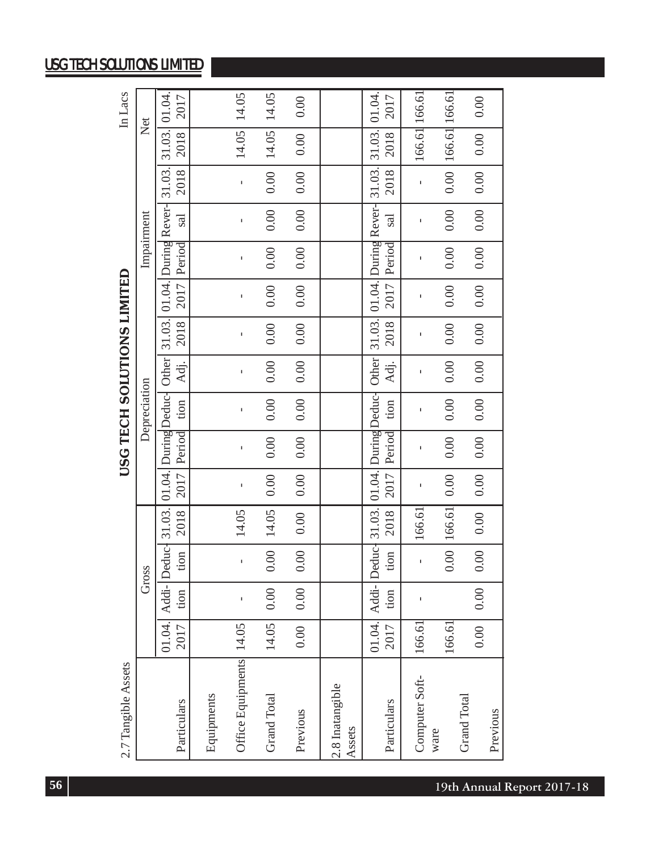| 2.7 Tangible Assets       |                   |              |              |        |      |        | USG TECH SOLUTIONS LIMITED |      |      |      |              |      |              |                                                                                                                    | In Lacs |
|---------------------------|-------------------|--------------|--------------|--------|------|--------|----------------------------|------|------|------|--------------|------|--------------|--------------------------------------------------------------------------------------------------------------------|---------|
|                           |                   |              | Gross        |        |      |        | Depreciation               |      |      |      | Impairment   |      |              | Net                                                                                                                |         |
|                           | 01.04.            |              |              |        |      |        |                            |      |      |      |              |      |              | Addi- Deduc- 31.03. [01.04. [During Deduc- Other   31.03. [01.04. [During Rever- 31.03. [31.03. ] 01.04            |         |
| Particulars               | 2017              | tion         | tion         | 2018   | 2017 | Period | $\frac{1}{2}$              | Adj. | 2018 |      | 2017 Period  | sal  | 2018         | 2018                                                                                                               | 2017    |
| Equipments                |                   |              |              |        |      |        |                            |      |      |      |              |      |              |                                                                                                                    |         |
| Office Equipments         | 4.05              | $\mathbf{I}$ | $\mathbf{I}$ | 14.05  |      |        |                            |      |      |      | $\mathbf{I}$ |      | $\mathbf{I}$ | 14.05                                                                                                              | 14.05   |
| <b>Grand Total</b>        | 4.05              | 0.00         | 0.00         | 14.05  | 0.00 | 0.00   | 0.00                       | 0.00 | 0.00 | 0.00 | 0.00         | 0.00 | 0.00         | 14.05                                                                                                              | 14.05   |
| Previous                  | 0.00              | 0.00         | 0.00         | 0.00   | 0.00 | 0.00   | 0.00                       | 0.00 | 0.00 | 0.00 | 0.00         | 0.00 | 0.00         | $0.00_{1}$                                                                                                         | 0.00    |
| 2.8 Inatangible<br>Assets |                   |              |              |        |      |        |                            |      |      |      |              |      |              |                                                                                                                    |         |
| Particulars               | 01.04.<br>2017    | tion         | tion         | 2018   | 2017 | Period | tion                       | Adj. | 2018 | 2017 | Period       | sal  | 2018         | Addi- Deduc- 31.03. [01.04. During Deduc- Other   31.03. [01.04.   During Rever-   31.03.   31.03.   01.04<br>2018 | 2017    |
| Computer Soft-<br>ware    | 166.61            | ı            |              | 166.61 | f,   |        |                            |      |      |      | f,           |      | ĭ.           | 166.61 166.61                                                                                                      |         |
|                           | 166.61            |              | 0.00         | 166.61 | 0.00 | 0.00   | 0.00                       | 0.00 | 0.00 | 0.00 | 0.00         | 0.00 | 0.00         | 166.61 166.61                                                                                                      |         |
| <b>Grand Total</b>        | $\overline{0.00}$ | 0.00         | 0.00         | 0.00   | 0.00 | 0.00   | 0.00                       | 0.00 | 0.00 | 0.00 | 0.00         | 0.00 | 0.00         | 0.00                                                                                                               | 0.00    |
| Previous                  |                   |              |              |        |      |        |                            |      |      |      |              |      |              |                                                                                                                    |         |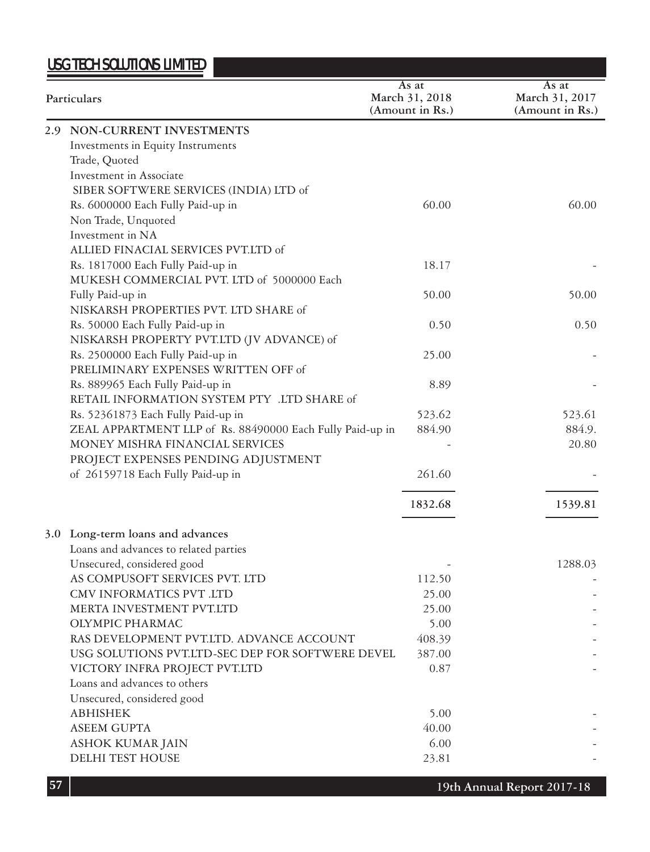| Particulars                                                                     | As at<br>March 31, 2018<br>(Amount in Rs.) | As at<br>March 31, 2017<br>(Amount in Rs.) |
|---------------------------------------------------------------------------------|--------------------------------------------|--------------------------------------------|
| 2.9 NON-CURRENT INVESTMENTS                                                     |                                            |                                            |
| Investments in Equity Instruments                                               |                                            |                                            |
| Trade, Quoted                                                                   |                                            |                                            |
| Investment in Associate                                                         |                                            |                                            |
| SIBER SOFTWERE SERVICES (INDIA) LTD of                                          |                                            |                                            |
| Rs. 6000000 Each Fully Paid-up in                                               | 60.00                                      | 60.00                                      |
| Non Trade, Unquoted                                                             |                                            |                                            |
| Investment in NA                                                                |                                            |                                            |
| ALLIED FINACIAL SERVICES PVT.LTD of                                             |                                            |                                            |
| Rs. 1817000 Each Fully Paid-up in                                               | 18.17                                      |                                            |
| MUKESH COMMERCIAL PVT. LTD of 5000000 Each                                      |                                            |                                            |
| Fully Paid-up in                                                                | 50.00                                      | 50.00                                      |
| NISKARSH PROPERTIES PVT. LTD SHARE of                                           |                                            |                                            |
| Rs. 50000 Each Fully Paid-up in                                                 | 0.50                                       | 0.50                                       |
| NISKARSH PROPERTY PVT.LTD (JV ADVANCE) of                                       |                                            |                                            |
| Rs. 2500000 Each Fully Paid-up in                                               | 25.00                                      |                                            |
| PRELIMINARY EXPENSES WRITTEN OFF of                                             |                                            |                                            |
| Rs. 889965 Each Fully Paid-up in<br>RETAIL INFORMATION SYSTEM PTY .LTD SHARE of | 8.89                                       |                                            |
| Rs. 52361873 Each Fully Paid-up in                                              | 523.62                                     | 523.61                                     |
| ZEAL APPARTMENT LLP of Rs. 88490000 Each Fully Paid-up in                       | 884.90                                     | 884.9.                                     |
| MONEY MISHRA FINANCIAL SERVICES                                                 |                                            | 20.80                                      |
| PROJECT EXPENSES PENDING ADJUSTMENT                                             |                                            |                                            |
| of 26159718 Each Fully Paid-up in                                               | 261.60                                     |                                            |
|                                                                                 |                                            |                                            |
|                                                                                 | 1832.68                                    | 1539.81                                    |
| 3.0 Long-term loans and advances                                                |                                            |                                            |
| Loans and advances to related parties                                           |                                            |                                            |
| Unsecured, considered good                                                      |                                            | 1288.03                                    |
| AS COMPUSOFT SERVICES PVT. LTD                                                  | 112.50                                     |                                            |
| CMV INFORMATICS PVT .LTD                                                        | 25.00                                      |                                            |
| MERTA INVESTMENT PVT.LTD                                                        | 25.00                                      |                                            |
| OLYMPIC PHARMAC                                                                 | 5.00                                       |                                            |
| RAS DEVELOPMENT PVT.LTD. ADVANCE ACCOUNT                                        | 408.39                                     |                                            |
| USG SOLUTIONS PVT.LTD-SEC DEP FOR SOFTWERE DEVEL                                | 387.00                                     |                                            |
| VICTORY INFRA PROJECT PVT.LTD                                                   | 0.87                                       |                                            |
| Loans and advances to others                                                    |                                            |                                            |
| Unsecured, considered good                                                      |                                            |                                            |
| <b>ABHISHEK</b>                                                                 | 5.00                                       |                                            |
| ASEEM GUPTA                                                                     | 40.00                                      |                                            |
| ASHOK KUMAR JAIN                                                                | 6.00                                       |                                            |
| <b>DELHI TEST HOUSE</b>                                                         | 23.81                                      |                                            |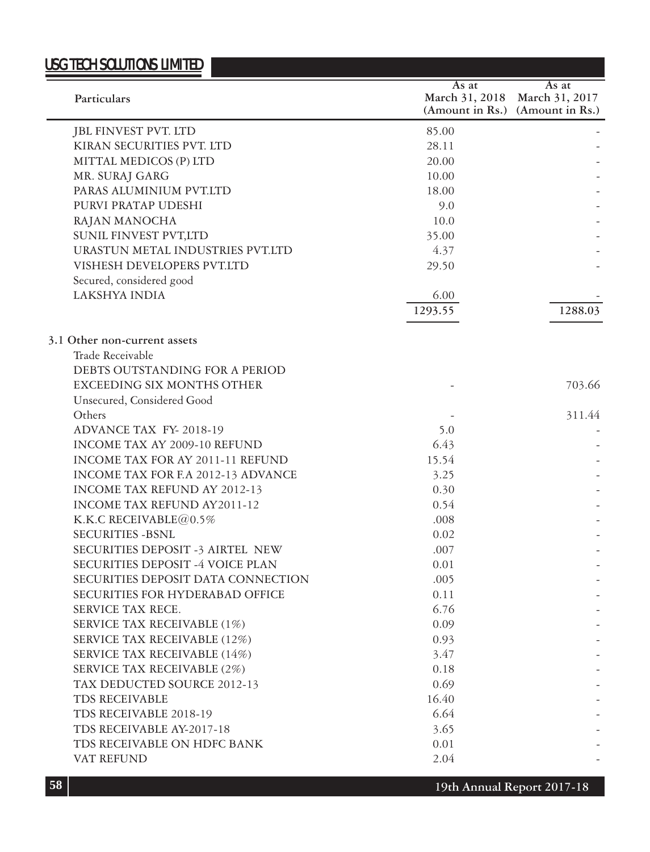# USG TECH SOLUTIONS LIMITED **Particulars**

|                                        | As at   | As at                           |
|----------------------------------------|---------|---------------------------------|
| Particulars                            |         | March 31, 2018 March 31, 2017   |
|                                        |         | (Amount in Rs.) (Amount in Rs.) |
| JBL FINVEST PVT. LTD                   | 85.00   |                                 |
| KIRAN SECURITIES PVT. LTD              | 28.11   |                                 |
| MITTAL MEDICOS (P) LTD                 | 20.00   |                                 |
| MR. SURAJ GARG                         | 10.00   |                                 |
| PARAS ALUMINIUM PVT.LTD                | 18.00   |                                 |
| PURVI PRATAP UDESHI                    | 9.0     |                                 |
| RAJAN MANOCHA                          | 10.0    |                                 |
| SUNIL FINVEST PVT,LTD                  | 35.00   |                                 |
| URASTUN METAL INDUSTRIES PVT.LTD       | 4.37    |                                 |
| VISHESH DEVELOPERS PVT.LTD             | 29.50   |                                 |
| Secured, considered good               |         |                                 |
| LAKSHYA INDIA                          | 6.00    |                                 |
|                                        | 1293.55 | 1288.03                         |
|                                        |         |                                 |
| 3.1 Other non-current assets           |         |                                 |
| Trade Receivable                       |         |                                 |
| DEBTS OUTSTANDING FOR A PERIOD         |         |                                 |
| <b>EXCEEDING SIX MONTHS OTHER</b>      |         | 703.66                          |
| Unsecured, Considered Good             |         |                                 |
| Others                                 |         | 311.44                          |
| ADVANCE TAX FY-2018-19                 | 5.0     |                                 |
| INCOME TAX AY 2009-10 REFUND           | 6.43    |                                 |
| INCOME TAX FOR AY 2011-11 REFUND       | 15.54   |                                 |
| INCOME TAX FOR F.A 2012-13 ADVANCE     | 3.25    |                                 |
| INCOME TAX REFUND AY 2012-13           | 0.30    |                                 |
| INCOME TAX REFUND AY2011-12            | 0.54    |                                 |
| K.K.C RECEIVABLE $@0.5\%$              | .008    |                                 |
| <b>SECURITIES -BSNL</b>                | 0.02    |                                 |
| SECURITIES DEPOSIT -3 AIRTEL NEW       | .007    |                                 |
| SECURITIES DEPOSIT -4 VOICE PLAN       | 0.01    |                                 |
| SECURITIES DEPOSIT DATA CONNECTION     | .005    |                                 |
| <b>SECURITIES FOR HYDERABAD OFFICE</b> | 0.11    |                                 |
| SERVICE TAX RECE.                      | 6.76    |                                 |
| SERVICE TAX RECEIVABLE (1%)            | 0.09    |                                 |
| SERVICE TAX RECEIVABLE (12%)           | 0.93    |                                 |
| SERVICE TAX RECEIVABLE (14%)           | 3.47    |                                 |
| SERVICE TAX RECEIVABLE (2%)            | 0.18    |                                 |
| TAX DEDUCTED SOURCE 2012-13            | 0.69    |                                 |
| TDS RECEIVABLE                         | 16.40   |                                 |
| TDS RECEIVABLE 2018-19                 | 6.64    |                                 |
| TDS RECEIVABLE AY-2017-18              | 3.65    |                                 |
| TDS RECEIVABLE ON HDFC BANK            | 0.01    |                                 |
| VAT REFUND                             | 2.04    |                                 |
|                                        |         |                                 |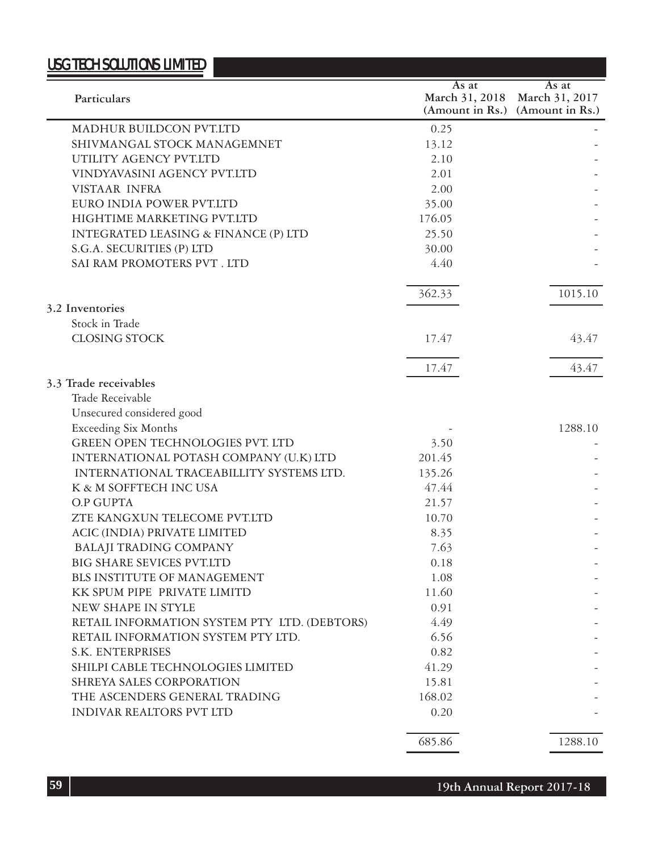|                                              | As at          | As at                           |
|----------------------------------------------|----------------|---------------------------------|
| Particulars                                  | March 31, 2018 | March 31, 2017                  |
|                                              |                | (Amount in Rs.) (Amount in Rs.) |
| MADHUR BUILDCON PVT.LTD                      | 0.25           |                                 |
| SHIVMANGAL STOCK MANAGEMNET                  | 13.12          |                                 |
| UTILITY AGENCY PVT.LTD                       | 2.10           |                                 |
| VINDYAVASINI AGENCY PVT.LTD                  | 2.01           |                                 |
| VISTAAR INFRA                                | 2.00           |                                 |
| EURO INDIA POWER PVT.LTD                     | 35.00          |                                 |
| <b>HIGHTIME MARKETING PVT.LTD</b>            | 176.05         |                                 |
| INTEGRATED LEASING & FINANCE (P) LTD         | 25.50          |                                 |
| S.G.A. SECURITIES (P) LTD                    | 30.00          |                                 |
| SAI RAM PROMOTERS PVT . LTD                  | 4.40           |                                 |
|                                              | 362.33         | 1015.10                         |
| 3.2 Inventories                              |                |                                 |
| Stock in Trade                               |                |                                 |
| <b>CLOSING STOCK</b>                         | 17.47          | 43.47                           |
|                                              | 17.47          | 43.47                           |
| 3.3 Trade receivables                        |                |                                 |
| Trade Receivable                             |                |                                 |
| Unsecured considered good                    |                |                                 |
| <b>Exceeding Six Months</b>                  |                | 1288.10                         |
| <b>GREEN OPEN TECHNOLOGIES PVT. LTD</b>      | 3.50           |                                 |
| INTERNATIONAL POTASH COMPANY (U.K) LTD       | 201.45         |                                 |
| INTERNATIONAL TRACEABILLITY SYSTEMS LTD.     | 135.26         |                                 |
| K & M SOFFTECH INC USA                       | 47.44          |                                 |
| O.P GUPTA                                    | 21.57          |                                 |
| ZTE KANGXUN TELECOME PVT.LTD                 | 10.70          |                                 |
| ACIC (INDIA) PRIVATE LIMITED                 | 8.35           |                                 |
| <b>BALAJI TRADING COMPANY</b>                | 7.63           |                                 |
| <b>BIG SHARE SEVICES PVT.LTD</b>             | 0.18           |                                 |
| BLS INSTITUTE OF MANAGEMENT                  | 1.08           |                                 |
| KK SPUM PIPE PRIVATE LIMITD                  | 11.60          |                                 |
| NEW SHAPE IN STYLE                           | 0.91           |                                 |
| RETAIL INFORMATION SYSTEM PTY LTD. (DEBTORS) | 4.49           |                                 |
| RETAIL INFORMATION SYSTEM PTY LTD.           | 6.56           |                                 |
| <b>S.K. ENTERPRISES</b>                      | 0.82           |                                 |
| SHILPI CABLE TECHNOLOGIES LIMITED            | 41.29          |                                 |
| SHREYA SALES CORPORATION                     | 15.81          |                                 |
| THE ASCENDERS GENERAL TRADING                | 168.02         |                                 |
| INDIVAR REALTORS PVT LTD                     | 0.20           |                                 |
|                                              | 685.86         | 1288.10                         |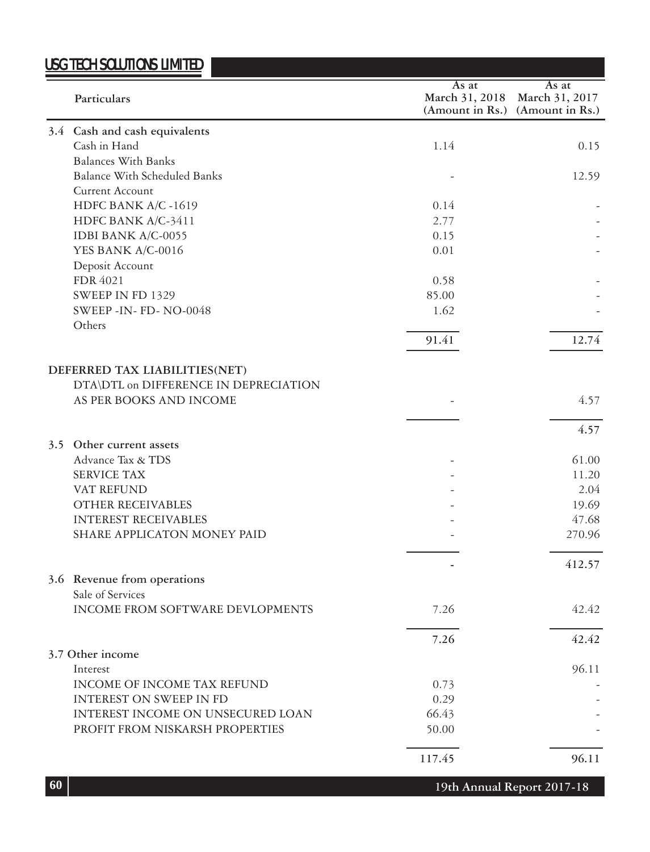|                                       | As at          | As at                           |
|---------------------------------------|----------------|---------------------------------|
| Particulars                           | March 31, 2018 | March 31, 2017                  |
|                                       |                | (Amount in Rs.) (Amount in Rs.) |
| 3.4 Cash and cash equivalents         |                |                                 |
| Cash in Hand                          | 1.14           | 0.15                            |
| <b>Balances With Banks</b>            |                |                                 |
| <b>Balance With Scheduled Banks</b>   |                | 12.59                           |
| Current Account                       |                |                                 |
| HDFC BANK A/C -1619                   | 0.14           |                                 |
| HDFC BANK A/C-3411                    | 2.77           |                                 |
| IDBI BANK A/C-0055                    | 0.15           |                                 |
| YES BANK A/C-0016                     | 0.01           |                                 |
|                                       |                |                                 |
| Deposit Account                       |                |                                 |
| FDR 4021                              | 0.58           |                                 |
| SWEEP IN FD 1329                      | 85.00          |                                 |
| SWEEP-IN- FD-NO-0048                  | 1.62           |                                 |
| Others                                | 91.41          | 12.74                           |
|                                       |                |                                 |
| DEFERRED TAX LIABILITIES(NET)         |                |                                 |
| DTA\DTL on DIFFERENCE IN DEPRECIATION |                |                                 |
| AS PER BOOKS AND INCOME               |                | 4.57                            |
|                                       |                |                                 |
|                                       |                | 4.57                            |
| 3.5 Other current assets              |                |                                 |
| Advance Tax & TDS                     |                | 61.00                           |
| <b>SERVICE TAX</b>                    |                | 11.20                           |
|                                       |                |                                 |
| VAT REFUND                            |                | 2.04                            |
| OTHER RECEIVABLES                     |                | 19.69                           |
| <b>INTEREST RECEIVABLES</b>           |                | 47.68                           |
| SHARE APPLICATON MONEY PAID           |                | 270.96                          |
|                                       |                | 412.57                          |
| 3.6 Revenue from operations           |                |                                 |
| Sale of Services                      |                |                                 |
| INCOME FROM SOFTWARE DEVLOPMENTS      | 7.26           | 42.42                           |
|                                       |                |                                 |
|                                       | 7.26           | 42.42                           |
| 3.7 Other income                      |                |                                 |
| Interest                              |                | 96.11                           |
| INCOME OF INCOME TAX REFUND           | 0.73           |                                 |
| INTEREST ON SWEEP IN FD               | 0.29           |                                 |
| INTEREST INCOME ON UNSECURED LOAN     | 66.43          |                                 |
| PROFIT FROM NISKARSH PROPERTIES       | 50.00          |                                 |
|                                       | 117.45         | 96.11                           |
|                                       |                |                                 |

**19th Annual Report 2017-18**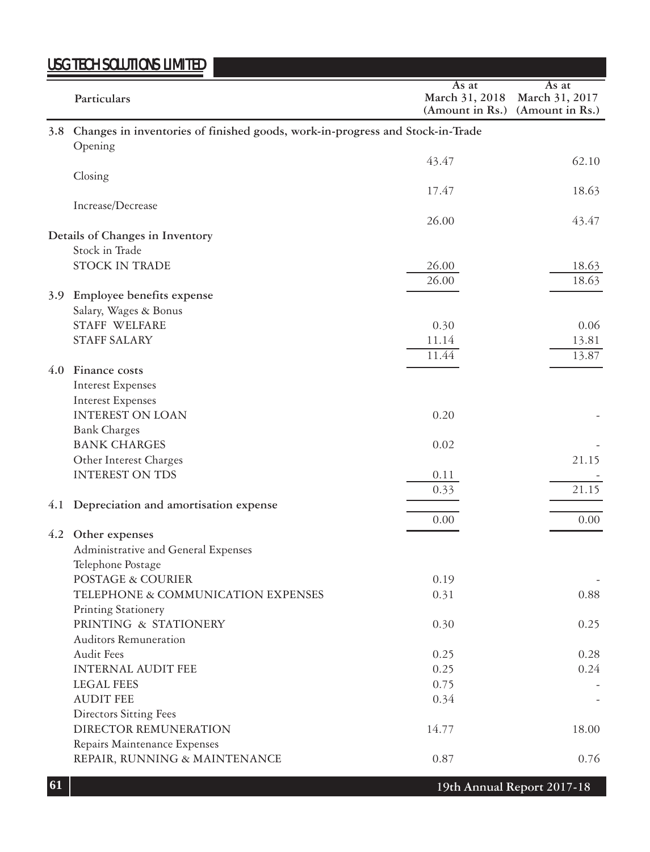|                  | <u>USG TECH SOLUTIONS LIMITED</u>                                                            |                                            |                                            |
|------------------|----------------------------------------------------------------------------------------------|--------------------------------------------|--------------------------------------------|
|                  | Particulars                                                                                  | As at<br>March 31, 2018<br>(Amount in Rs.) | As at<br>March 31, 2017<br>(Amount in Rs.) |
|                  | 3.8 Changes in inventories of finished goods, work-in-progress and Stock-in-Trade<br>Opening |                                            |                                            |
|                  |                                                                                              | 43.47                                      | 62.10                                      |
|                  | Closing                                                                                      |                                            |                                            |
|                  |                                                                                              | 17.47                                      | 18.63                                      |
|                  | Increase/Decrease                                                                            |                                            |                                            |
|                  |                                                                                              | 26.00                                      | 43.47                                      |
|                  | Details of Changes in Inventory<br>Stock in Trade                                            |                                            |                                            |
|                  | STOCK IN TRADE                                                                               | 26.00                                      | 18.63                                      |
|                  |                                                                                              | 26.00                                      | 18.63                                      |
| 3.9 <sup>2</sup> | Employee benefits expense                                                                    |                                            |                                            |
|                  | Salary, Wages & Bonus                                                                        |                                            |                                            |
|                  | STAFF WELFARE                                                                                | 0.30                                       | 0.06                                       |
|                  | <b>STAFF SALARY</b>                                                                          | 11.14<br>11.44                             | 13.81                                      |
|                  | 4.0 Finance costs                                                                            |                                            | 13.87                                      |
|                  | <b>Interest Expenses</b>                                                                     |                                            |                                            |
|                  | <b>Interest Expenses</b>                                                                     |                                            |                                            |
|                  | <b>INTEREST ON LOAN</b>                                                                      | 0.20                                       |                                            |
|                  | <b>Bank Charges</b>                                                                          |                                            |                                            |
|                  | <b>BANK CHARGES</b>                                                                          | 0.02                                       |                                            |
|                  | Other Interest Charges                                                                       |                                            | 21.15                                      |
|                  | <b>INTEREST ON TDS</b>                                                                       | 0.11<br>0.33                               | 21.15                                      |
| 4.1              | Depreciation and amortisation expense                                                        |                                            |                                            |
|                  |                                                                                              | 0.00                                       | 0.00                                       |
|                  | 4.2 Other expenses                                                                           |                                            |                                            |
|                  | Administrative and General Expenses                                                          |                                            |                                            |
|                  | Telephone Postage                                                                            |                                            |                                            |
|                  | POSTAGE & COURIER                                                                            | 0.19                                       |                                            |
|                  | TELEPHONE & COMMUNICATION EXPENSES<br>Printing Stationery                                    | 0.31                                       | 0.88                                       |
|                  | PRINTING & STATIONERY                                                                        | 0.30                                       | 0.25                                       |
|                  | Auditors Remuneration                                                                        |                                            |                                            |
|                  | <b>Audit Fees</b>                                                                            | 0.25                                       | 0.28                                       |
|                  | <b>INTERNAL AUDIT FEE</b>                                                                    | 0.25                                       | 0.24                                       |
|                  | <b>LEGAL FEES</b>                                                                            | 0.75                                       |                                            |
|                  | <b>AUDIT FEE</b>                                                                             | 0.34                                       |                                            |
|                  | <b>Directors Sitting Fees</b><br>DIRECTOR REMUNERATION                                       | 14.77                                      | 18.00                                      |
|                  | Repairs Maintenance Expenses                                                                 |                                            |                                            |
|                  | REPAIR, RUNNING & MAINTENANCE                                                                | 0.87                                       | 0.76                                       |
|                  |                                                                                              |                                            |                                            |

**19th Annual Report 2017-18**

the company's company's company's com-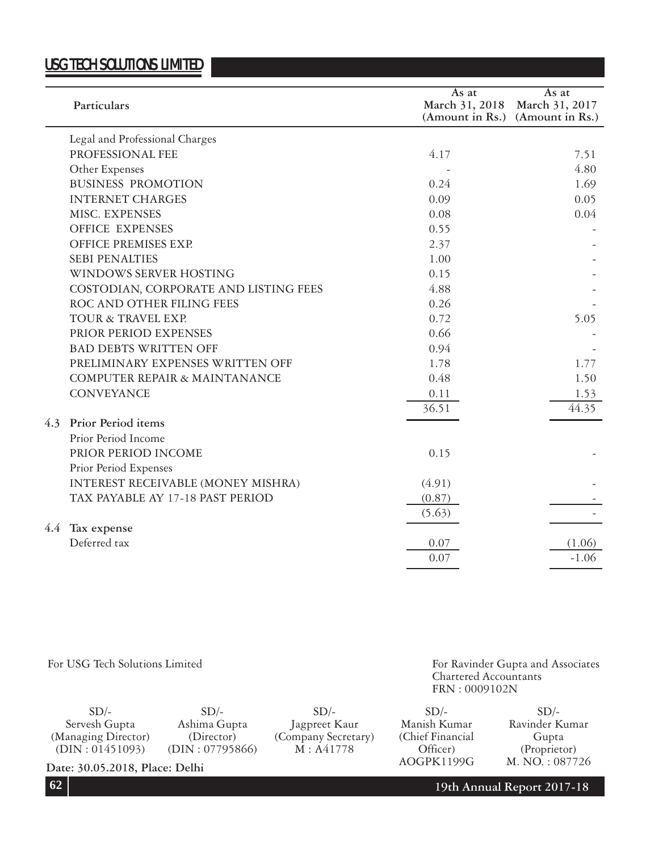|     | Particulars                           | As at  | As at<br>March 31, 2018 March 31, 2017 |
|-----|---------------------------------------|--------|----------------------------------------|
|     |                                       |        | (Amount in Rs.) (Amount in Rs.)        |
|     |                                       |        |                                        |
|     | Legal and Professional Charges        |        |                                        |
|     | PROFESSIONAL FEE                      | 4.17   | 7.51                                   |
|     | Other Expenses                        |        | 4.80                                   |
|     | <b>BUSINESS PROMOTION</b>             | 0.24   | 1.69                                   |
|     | <b>INTERNET CHARGES</b>               | 0.09   | 0.05                                   |
|     | <b>MISC. EXPENSES</b>                 | 0.08   | 0.04                                   |
|     | <b>OFFICE EXPENSES</b>                | 0.55   |                                        |
|     | <b>OFFICE PREMISES EXP.</b>           | 2.37   |                                        |
|     | <b>SEBI PENALTIES</b>                 | 1.00   |                                        |
|     | WINDOWS SERVER HOSTING                | 0.15   |                                        |
|     | COSTODIAN, CORPORATE AND LISTING FEES | 4.88   |                                        |
|     | ROC AND OTHER FILING FEES             | 0.26   |                                        |
|     | TOUR & TRAVEL EXP.                    | 0.72   | 5.05                                   |
|     | PRIOR PERIOD EXPENSES                 | 0.66   |                                        |
|     | <b>BAD DEBTS WRITTEN OFF</b>          | 0.94   |                                        |
|     | PRELIMINARY EXPENSES WRITTEN OFF      | 1.78   | 1.77                                   |
|     | COMPUTER REPAIR & MAINTANANCE         | 0.48   | 1.50                                   |
|     | <b>CONVEYANCE</b>                     | 0.11   | 1.53                                   |
|     |                                       | 36.51  | 44.35                                  |
|     | 4.3 Prior Period items                |        |                                        |
|     | Prior Period Income                   |        |                                        |
|     | PRIOR PERIOD INCOME                   | 0.15   |                                        |
|     | Prior Period Expenses                 |        |                                        |
|     | INTEREST RECEIVABLE (MONEY MISHRA)    | (4.91) |                                        |
|     | TAX PAYABLE AY 17-18 PAST PERIOD      | (0.87) |                                        |
|     |                                       | (5.63) |                                        |
| 4.4 | Tax expense                           |        |                                        |
|     | Deferred tax                          | 0.07   | (1.06)                                 |
|     |                                       | 0.07   | $-1.06$                                |
|     |                                       |        |                                        |

#### For USG Tech Solutions Limited

For Ravinder Gupta and Associates Chartered Accountants FRN : 0009102N

| $SD/-$                         | $SD/-$          | $SD/-$              | $SD/-$            | $SD/-$         |
|--------------------------------|-----------------|---------------------|-------------------|----------------|
|                                |                 |                     |                   |                |
| Servesh Gupta                  | Ashima Gupta    | Jagpreet Kaur       | Manish Kumar      | Ravinder Kumar |
| (Managing Director)            | (Director)      | (Company Secretary) | (Chief Financial) | Gupta          |
| (DIN: 01451093)                | (DIN: 07795866) | M: A41778           | Officer)          | (Proprietor)   |
| Date: 30.05.2018, Place: Delhi |                 |                     | AOGPK1199G        | M. NO.: 087726 |

**19th Annual Report 2017-18**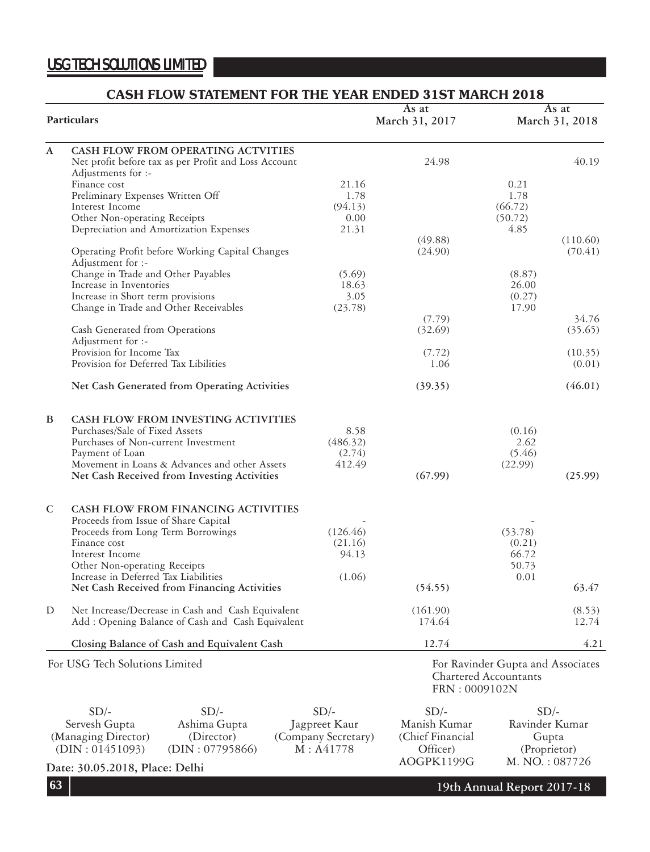#### **CASH FLOW STATEMENT FOR THE YEAR ENDED 31ST MARCH 2018 Particulars As at March 31, 2018 As at March 31, 2017 A CASH FLOW FROM OPERATING ACTVITIES** Net profit before tax as per Profit and Loss Account 24.98 40.19 Adjustments for :- Finance cost 21.16 0.21 Preliminary Expenses Written Off 1.78 1.78 1.78 Interest Income (94.13) (66.72) Other Non-operating Receipts 0.00 (50.72) Depreciation and Amortization Expenses 21.31 4.85 (49.88) (110.60) Operating Profit before Working Capital Changes (24.90) (70.41) Adjustment for :- Change in Trade and Other Payables (5.69) (8.87)<br>Increase in Inventories (8.97) (8.87) Increase in Inventories 18.63 26.00<br>
Increase in Short term provisions 3.05 3.05 (0.27) Increase in Short term provisions 3.05 (0.27)<br>Change in Trade and Other Receivables (23.78) (23.78) 17.90 Change in Trade and Other Receivables (7.79) 34.76 Cash Generated from Operations (32.69) (35.65) Adjustment for :- Provision for Income Tax (7.72) (10.35) Provision for Deferred Tax Libilities 1.06 (0.01) **Net Cash Generated from Operating Activities** (39.35) (46.01) **B CASH FLOW FROM INVESTING ACTIVITIES** Purchases/Sale of Fixed Assets 8.58 (0.16)<br>
Purchases of Non-current Investment (486.32) 2.62 Purchases of Non-current Investment (486.32) 2.62<br>
Payment of Loan (2.74) (5.46) Payment of Loan  $(2.74)$ Movement in Loans & Advances and other Assets  $412.49$  (22.99) **Net Cash Received from Investing Activities (67.99) (25.99) C CASH FLOW FROM FINANCING ACTIVITIES** Proceeds from Issue of Share Capital (126.46)<br>Proceeds from Long Term Borrowings (126.46) (53.78) Proceeds from Long Term Borrowings (126.46) (53.78)<br>
Finance cost (0.21) (0.21) Finance cost  $(21.16)$   $(0.21)$ Interest Income 94.13 66.72 Other Non-operating Receipts 50.73 Increase in Deferred Tax Liabilities (1.06) (1.06) (54.55) 0.01 Net Cash Received from Financing Activities (54.55) 63.47 D Net Increase/Decrease in Cash and Cash Equivalent (161.90) (8.53) Add : Opening Balance of Cash and Cash Equivalent 174.64 12.74 **Closing Balance of Cash and Equivalent Cash 12.74** 12.74 4.21 For Ravinder Gupta and Associates Chartered Accountants FRN : 0009102N For USG Tech Solutions Limited  $SD/-$ Servesh Gupta (Managing Director) (DIN : 01451093)  $SD/-$ Ashima Gupta (Director) (DIN : 07795866)  $SD/-$ Jagpreet Kaur (Company Secretary) M : A41778  $SD/-$ Manish Kumar (Chief Financial Officer)  $SD/-$ Ravinder Kumar Gupta (Proprietor)

**Date: 30.05.2018, Place: Delhi AOGPK1199G M. NO.: 087726** 

AOGPK1199G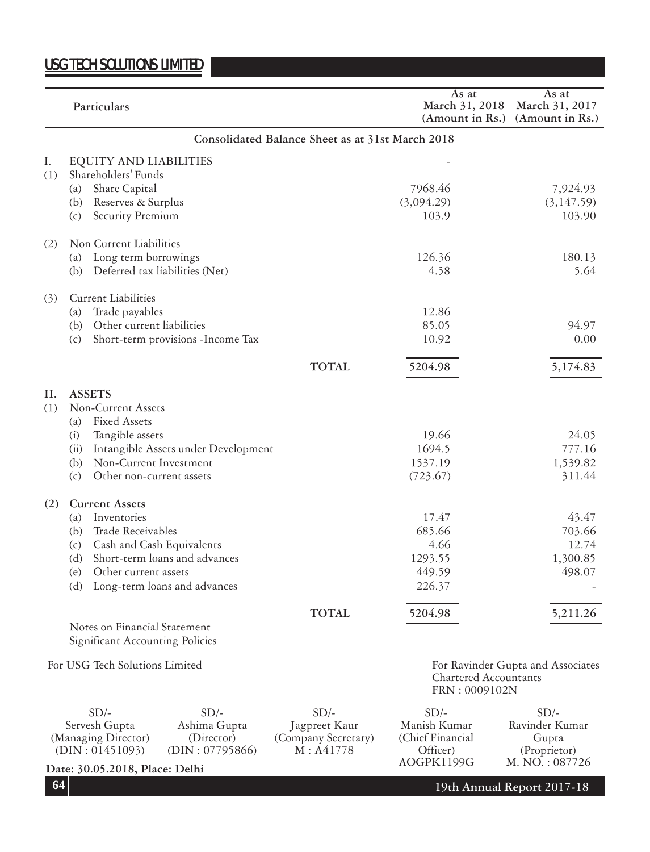|            | Particulars                                                            |                                               |                                                   | As at<br>March 31, 2018<br>(Amount in Rs.)                 | As at<br>March 31, 2017<br>(Amount in Rs.)                |  |
|------------|------------------------------------------------------------------------|-----------------------------------------------|---------------------------------------------------|------------------------------------------------------------|-----------------------------------------------------------|--|
|            |                                                                        |                                               | Consolidated Balance Sheet as at 31st March 2018  |                                                            |                                                           |  |
| Ι.<br>(1)  | EQUITY AND LIABILITIES<br>Shareholders' Funds<br>Share Capital<br>(a)  |                                               |                                                   | 7968.46                                                    | 7,924.93                                                  |  |
|            | Reserves & Surplus<br>(b)<br>Security Premium<br>(c)                   |                                               |                                                   | (3,094.29)<br>103.9                                        | (3, 147.59)<br>103.90                                     |  |
| (2)        | Non Current Liabilities                                                |                                               |                                                   |                                                            |                                                           |  |
|            | Long term borrowings<br>(a)<br>(b)                                     | Deferred tax liabilities (Net)                |                                                   | 126.36<br>4.58                                             | 180.13<br>5.64                                            |  |
| (3)        | <b>Current Liabilities</b>                                             |                                               |                                                   |                                                            |                                                           |  |
|            | Trade payables<br>(a)                                                  |                                               |                                                   | 12.86                                                      |                                                           |  |
|            | (b)<br>Other current liabilities                                       |                                               |                                                   | 85.05                                                      | 94.97                                                     |  |
|            | (c)                                                                    | Short-term provisions - Income Tax            |                                                   | 10.92                                                      | 0.00                                                      |  |
|            |                                                                        |                                               | <b>TOTAL</b>                                      | 5204.98                                                    | 5,174.83                                                  |  |
| II.<br>(1) | <b>ASSETS</b><br>Non-Current Assets<br><b>Fixed Assets</b><br>(a)      |                                               |                                                   |                                                            |                                                           |  |
|            | Tangible assets<br>(i)                                                 |                                               |                                                   | 19.66                                                      | 24.05                                                     |  |
|            | (ii)                                                                   | Intangible Assets under Development           |                                                   | 1694.5                                                     | 777.16                                                    |  |
|            | (b)<br>Non-Current Investment                                          |                                               |                                                   | 1537.19                                                    | 1,539.82                                                  |  |
|            | Other non-current assets<br>(c)                                        |                                               |                                                   | (723.67)                                                   | 311.44                                                    |  |
| (2)        | <b>Current Assets</b>                                                  |                                               |                                                   |                                                            |                                                           |  |
|            | Inventories<br>(a)                                                     |                                               |                                                   | 17.47                                                      | 43.47                                                     |  |
|            | Trade Receivables<br>(b)                                               |                                               |                                                   | 685.66                                                     | 703.66                                                    |  |
|            | Cash and Cash Equivalents<br>(c)                                       |                                               |                                                   | 4.66                                                       | 12.74                                                     |  |
|            | (d)                                                                    | Short-term loans and advances                 |                                                   | 1293.55                                                    | 1,300.85                                                  |  |
|            | (e)<br>Other current assets                                            |                                               |                                                   | 449.59                                                     | 498.07                                                    |  |
|            | (d)                                                                    | Long-term loans and advances                  |                                                   | 226.37                                                     |                                                           |  |
|            |                                                                        |                                               | <b>TOTAL</b>                                      | 5204.98                                                    | 5,211.26                                                  |  |
|            | Notes on Financial Statement<br><b>Significant Accounting Policies</b> |                                               |                                                   |                                                            |                                                           |  |
|            | For USG Tech Solutions Limited                                         |                                               |                                                   | Chartered Accountants<br>FRN: 0009102N                     | For Ravinder Gupta and Associates                         |  |
|            | $SD/-$                                                                 | $SD/-$                                        | $SD/-$                                            | $SD/-$                                                     | $SD/-$                                                    |  |
|            | Servesh Gupta<br>(Managing Director)<br>(DIN: 01451093)                | Ashima Gupta<br>(Director)<br>(DIN: 07795866) | Jagpreet Kaur<br>(Company Secretary)<br>M: A41778 | Manish Kumar<br>(Chief Financial<br>Officer)<br>AOGPK1199G | Ravinder Kumar<br>Gupta<br>(Proprietor)<br>M. NO.: 087726 |  |
|            | Date: 30.05.2018, Place: Delhi                                         |                                               |                                                   |                                                            |                                                           |  |

**64**

**19th Annual Report 2017-18**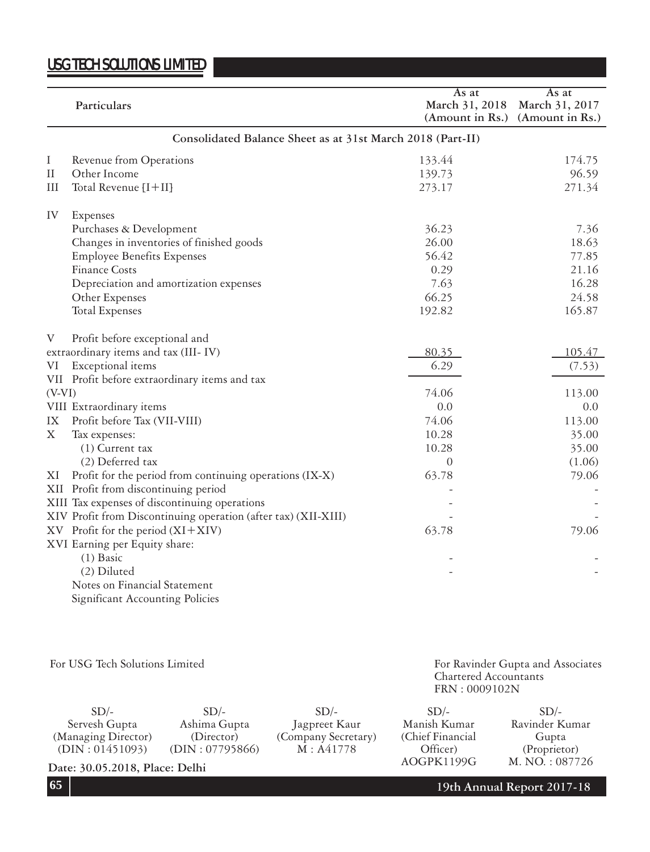|          | Particulars                                                    | As at<br>March 31, 2018<br>(Amount in Rs.) | As at<br>March 31, 2017<br>(Amount in Rs.) |
|----------|----------------------------------------------------------------|--------------------------------------------|--------------------------------------------|
|          | Consolidated Balance Sheet as at 31st March 2018 (Part-II)     |                                            |                                            |
| Ι        | Revenue from Operations                                        | 133.44                                     | 174.75                                     |
| $\rm II$ | Other Income                                                   | 139.73                                     | 96.59                                      |
| Ш        | Total Revenue [I+II]                                           | 273.17                                     | 271.34                                     |
| IV       | Expenses                                                       |                                            |                                            |
|          | Purchases & Development                                        | 36.23                                      | 7.36                                       |
|          | Changes in inventories of finished goods                       | 26.00                                      | 18.63                                      |
|          | <b>Employee Benefits Expenses</b>                              | 56.42                                      | 77.85                                      |
|          | <b>Finance Costs</b>                                           | 0.29                                       | 21.16                                      |
|          | Depreciation and amortization expenses                         | 7.63                                       | 16.28                                      |
|          | Other Expenses                                                 | 66.25                                      | 24.58                                      |
|          | Total Expenses                                                 | 192.82                                     | 165.87                                     |
| V        | Profit before exceptional and                                  |                                            |                                            |
|          | extraordinary items and tax (III-IV)                           | 80.35                                      | 105.47                                     |
| VI       | Exceptional items                                              | 6.29                                       | (7.53)                                     |
|          | VII Profit before extraordinary items and tax                  |                                            |                                            |
| $(V-VI)$ |                                                                | 74.06                                      | 113.00                                     |
|          | VIII Extraordinary items                                       | 0.0                                        | 0.0                                        |
| IX       | Profit before Tax (VII-VIII)                                   | 74.06                                      | 113.00                                     |
| X        | Tax expenses:                                                  | 10.28                                      | 35.00                                      |
|          | $(1)$ Current tax                                              | 10.28                                      | 35.00                                      |
|          | (2) Deferred tax                                               | $\overline{0}$                             | (1.06)                                     |
| ΧI       | Profit for the period from continuing operations (IX-X)        | 63.78                                      | 79.06                                      |
|          | XII Profit from discontinuing period                           |                                            |                                            |
|          | XIII Tax expenses of discontinuing operations                  |                                            |                                            |
|          | XIV Profit from Discontinuing operation (after tax) (XII-XIII) |                                            |                                            |
|          | XV Profit for the period (XI+XIV)                              | 63.78                                      | 79.06                                      |
|          | XVI Earning per Equity share:                                  |                                            |                                            |
|          | $(1)$ Basic                                                    |                                            |                                            |
|          | (2) Diluted                                                    |                                            |                                            |
|          | Notes on Financial Statement                                   |                                            |                                            |

Significant Accounting Policies

For USG Tech Solutions Limited

For Ravinder Gupta and Associates Chartered Accountants FRN : 0009102N

 $SD/-$ Servesh Gupta (Managing Director) (DIN : 01451093)  $SD/-$ Ashima Gupta (Director) (DIN : 07795866)  $SD/-$ Jagpreet Kaur (Company Secretary) M : A41778  $SD/-$ Manish Kumar (Chief Financial Officer) AOGPK1199G  $SD/-$ Ravinder Kumar Gupta (Proprietor)<br>M. NO.: 087726

Date: 30.05.2018, Place: Delhi

**65 19th Annual Report 2017-18**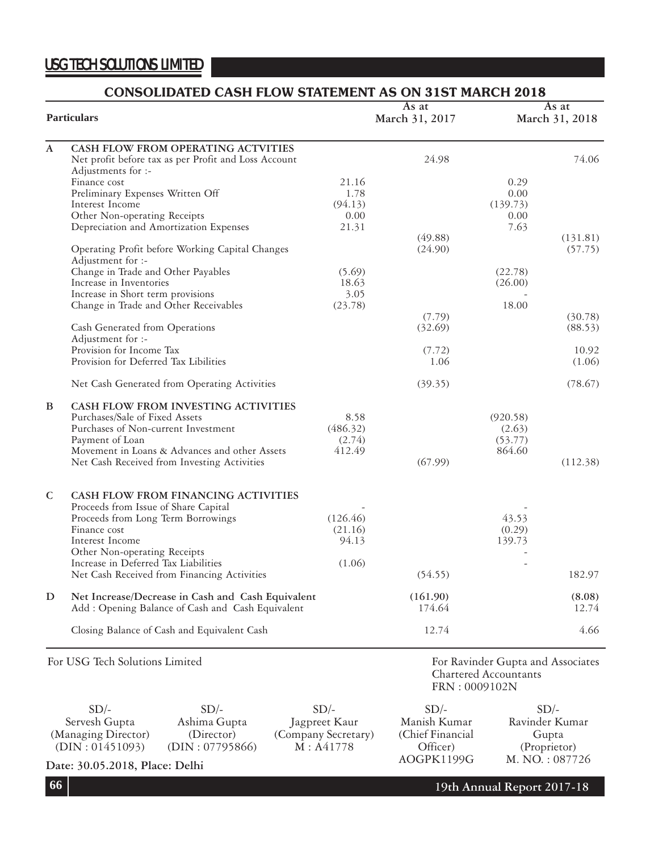### **CONSOLIDATED CASH FLOW STATEMENT AS ON 31ST MARCH 2018**

| <b>Particulars</b> |                                                                                                       |          | As at<br>March 31, 2017 | As at<br>March 31, 2018                                                     |                 |
|--------------------|-------------------------------------------------------------------------------------------------------|----------|-------------------------|-----------------------------------------------------------------------------|-----------------|
| A                  | CASH FLOW FROM OPERATING ACTVITIES                                                                    |          |                         |                                                                             |                 |
|                    | Net profit before tax as per Profit and Loss Account<br>Adjustments for :-                            |          | 24.98                   |                                                                             | 74.06           |
|                    | Finance cost                                                                                          | 21.16    |                         | 0.29                                                                        |                 |
|                    | Preliminary Expenses Written Off                                                                      | 1.78     |                         | 0.00                                                                        |                 |
|                    | Interest Income                                                                                       | (94.13)  |                         | (139.73)                                                                    |                 |
|                    | Other Non-operating Receipts                                                                          | 0.00     |                         | 0.00                                                                        |                 |
|                    | Depreciation and Amortization Expenses                                                                | 21.31    |                         | 7.63                                                                        |                 |
|                    |                                                                                                       |          | (49.88)                 |                                                                             | (131.81)        |
|                    | Operating Profit before Working Capital Changes                                                       |          | (24.90)                 |                                                                             | (57.75)         |
|                    | Adjustment for :-                                                                                     |          |                         |                                                                             |                 |
|                    | Change in Trade and Other Payables                                                                    | (5.69)   |                         | (22.78)                                                                     |                 |
|                    | Increase in Inventories                                                                               | 18.63    |                         | (26.00)                                                                     |                 |
|                    | Increase in Short term provisions                                                                     | 3.05     |                         | 18.00                                                                       |                 |
|                    | Change in Trade and Other Receivables                                                                 | (23.78)  | (7.79)                  |                                                                             | (30.78)         |
|                    | Cash Generated from Operations                                                                        |          | (32.69)                 |                                                                             | (88.53)         |
|                    | Adjustment for :-                                                                                     |          |                         |                                                                             |                 |
|                    | Provision for Income Tax                                                                              |          | (7.72)                  |                                                                             | 10.92           |
|                    | Provision for Deferred Tax Libilities                                                                 |          | 1.06                    |                                                                             | (1.06)          |
|                    | Net Cash Generated from Operating Activities                                                          |          | (39.35)                 |                                                                             | (78.67)         |
| B                  | CASH FLOW FROM INVESTING ACTIVITIES                                                                   |          |                         |                                                                             |                 |
|                    | Purchases/Sale of Fixed Assets                                                                        | 8.58     |                         | (920.58)                                                                    |                 |
|                    | Purchases of Non-current Investment                                                                   | (486.32) |                         | (2.63)                                                                      |                 |
|                    | Payment of Loan                                                                                       | (2.74)   |                         | (53.77)                                                                     |                 |
|                    | Movement in Loans & Advances and other Assets                                                         | 412.49   |                         | 864.60                                                                      |                 |
|                    | Net Cash Received from Investing Activities                                                           |          | (67.99)                 |                                                                             | (112.38)        |
| $\mathsf{C}$       | CASH FLOW FROM FINANCING ACTIVITIES                                                                   |          |                         |                                                                             |                 |
|                    | Proceeds from Issue of Share Capital                                                                  |          |                         |                                                                             |                 |
|                    | Proceeds from Long Term Borrowings                                                                    | (126.46) |                         | 43.53                                                                       |                 |
|                    | Finance cost                                                                                          | (21.16)  |                         | (0.29)                                                                      |                 |
|                    | Interest Income                                                                                       | 94.13    |                         | 139.73                                                                      |                 |
|                    | Other Non-operating Receipts                                                                          |          |                         |                                                                             |                 |
|                    | Increase in Deferred Tax Liabilities                                                                  | (1.06)   |                         |                                                                             |                 |
|                    | Net Cash Received from Financing Activities                                                           |          | (54.55)                 |                                                                             | 182.97          |
| D                  | Net Increase/Decrease in Cash and Cash Equivalent<br>Add: Opening Balance of Cash and Cash Equivalent |          | (161.90)<br>174.64      |                                                                             | (8.08)<br>12.74 |
|                    |                                                                                                       |          |                         |                                                                             |                 |
|                    | Closing Balance of Cash and Equivalent Cash                                                           |          | 12.74                   |                                                                             | 4.66            |
|                    | For USG Tech Solutions Limited                                                                        |          |                         | For Ravinder Gupta and Associates<br>Chartered Accountants<br>FRN: 0009102N |                 |

| $SD/-$                                    | $SD/-$          | $SD/-$              | $SD/-$            |
|-------------------------------------------|-----------------|---------------------|-------------------|
| Servesh Gupta                             | Ashima Gupta    | Jagpreet Kaur       | Manish Kumar      |
| (Managing Director)                       | (Director)      | (Company Secretary) | (Chief Financial) |
| (DIN: 01451093)                           | (DIN: 07795866) | M: A41778           | Officer)          |
| $D_{\text{max}}$ , 20.05.2019. DL, D.11.1 |                 |                     | AOGPK1199G        |

Date: 30.05.2018, Place: Delhi

**19th Annual Report 2017-18**

 $SD/-$ Ravinder Kumar Gupta  $(Property)$ <br>M. NO.: 087726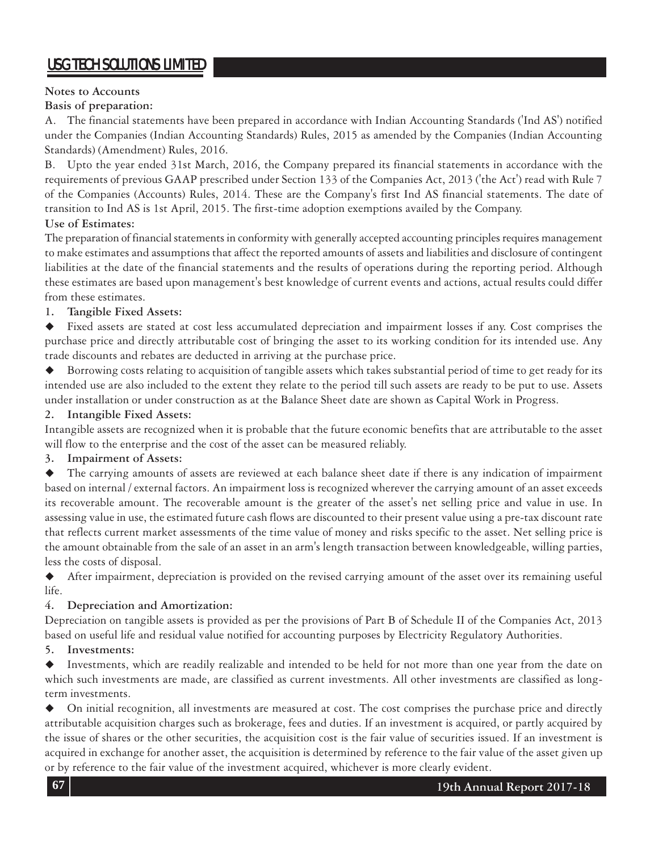### **Notes to Accounts**

**Basis of preparation:**

A. The financial statements have been prepared in accordance with Indian Accounting Standards ('Ind AS') notified under the Companies (Indian Accounting Standards) Rules, 2015 as amended by the Companies (Indian Accounting Standards) (Amendment) Rules, 2016.

B. Upto the year ended 31st March, 2016, the Company prepared its financial statements in accordance with the requirements of previous GAAP prescribed under Section 133 of the Companies Act, 2013 ('the Act') read with Rule 7 of the Companies (Accounts) Rules, 2014. These are the Company's first Ind AS financial statements. The date of transition to Ind AS is 1st April, 2015. The first-time adoption exemptions availed by the Company.

### **Use of Estimates:**

The preparation of financial statements in conformity with generally accepted accounting principles requires management to make estimates and assumptions that affect the reported amounts of assets and liabilities and disclosure of contingent liabilities at the date of the financial statements and the results of operations during the reporting period. Although these estimates are based upon management's best knowledge of current events and actions, actual results could differ from these estimates.

### **1. Tangible Fixed Assets:**

 Fixed assets are stated at cost less accumulated depreciation and impairment losses if any. Cost comprises the purchase price and directly attributable cost of bringing the asset to its working condition for its intended use. Any trade discounts and rebates are deducted in arriving at the purchase price.

 Borrowing costs relating to acquisition of tangible assets which takes substantial period of time to get ready for its intended use are also included to the extent they relate to the period till such assets are ready to be put to use. Assets under installation or under construction as at the Balance Sheet date are shown as Capital Work in Progress.

### **2. Intangible Fixed Assets:**

Intangible assets are recognized when it is probable that the future economic benefits that are attributable to the asset will flow to the enterprise and the cost of the asset can be measured reliably.

### **3. Impairment of Assets:**

 The carrying amounts of assets are reviewed at each balance sheet date if there is any indication of impairment based on internal / external factors. An impairment loss is recognized wherever the carrying amount of an asset exceeds its recoverable amount. The recoverable amount is the greater of the asset's net selling price and value in use. In assessing value in use, the estimated future cash flows are discounted to their present value using a pre-tax discount rate that reflects current market assessments of the time value of money and risks specific to the asset. Net selling price is the amount obtainable from the sale of an asset in an arm's length transaction between knowledgeable, willing parties, less the costs of disposal.

 After impairment, depreciation is provided on the revised carrying amount of the asset over its remaining useful life.

### **4. Depreciation and Amortization:**

Depreciation on tangible assets is provided as per the provisions of Part B of Schedule II of the Companies Act, 2013 based on useful life and residual value notified for accounting purposes by Electricity Regulatory Authorities.

**5. Investments:**

 Investments, which are readily realizable and intended to be held for not more than one year from the date on which such investments are made, are classified as current investments. All other investments are classified as longterm investments.

 On initial recognition, all investments are measured at cost. The cost comprises the purchase price and directly attributable acquisition charges such as brokerage, fees and duties. If an investment is acquired, or partly acquired by the issue of shares or the other securities, the acquisition cost is the fair value of securities issued. If an investment is acquired in exchange for another asset, the acquisition is determined by reference to the fair value of the asset given up or by reference to the fair value of the investment acquired, whichever is more clearly evident.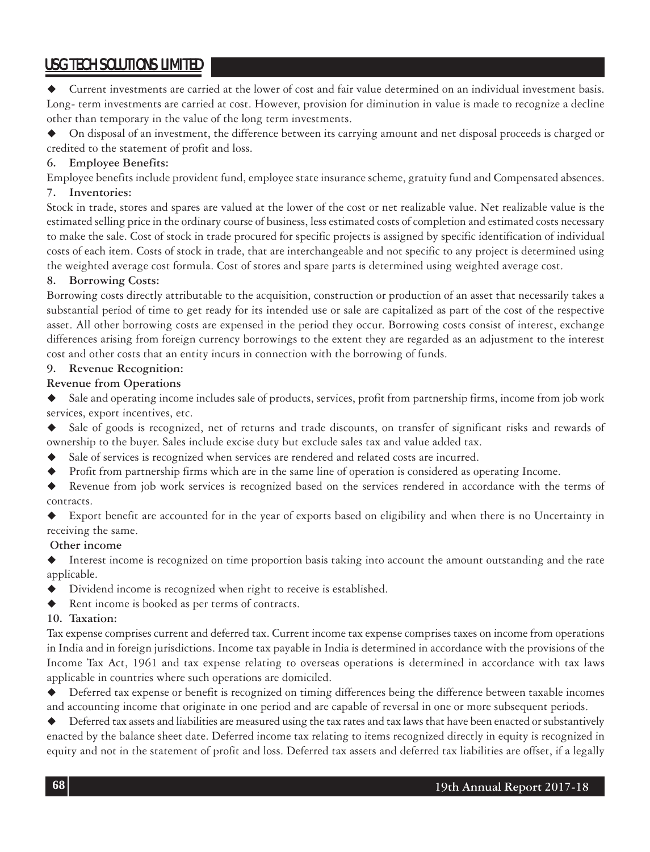Current investments are carried at the lower of cost and fair value determined on an individual investment basis. Long- term investments are carried at cost. However, provision for diminution in value is made to recognize a decline other than temporary in the value of the long term investments.

 On disposal of an investment, the difference between its carrying amount and net disposal proceeds is charged or credited to the statement of profit and loss.

### **6. Employee Benefits:**

Employee benefits include provident fund, employee state insurance scheme, gratuity fund and Compensated absences. **7. Inventories:**

Stock in trade, stores and spares are valued at the lower of the cost or net realizable value. Net realizable value is the estimated selling price in the ordinary course of business, less estimated costs of completion and estimated costs necessary to make the sale. Cost of stock in trade procured for specific projects is assigned by specific identification of individual costs of each item. Costs of stock in trade, that are interchangeable and not specific to any project is determined using the weighted average cost formula. Cost of stores and spare parts is determined using weighted average cost.

### **8. Borrowing Costs:**

Borrowing costs directly attributable to the acquisition, construction or production of an asset that necessarily takes a substantial period of time to get ready for its intended use or sale are capitalized as part of the cost of the respective asset. All other borrowing costs are expensed in the period they occur. Borrowing costs consist of interest, exchange differences arising from foreign currency borrowings to the extent they are regarded as an adjustment to the interest cost and other costs that an entity incurs in connection with the borrowing of funds.

### **9. Revenue Recognition:**

### **Revenue from Operations**

 Sale and operating income includes sale of products, services, profit from partnership firms, income from job work services, export incentives, etc.

- Sale of goods is recognized, net of returns and trade discounts, on transfer of significant risks and rewards of ownership to the buyer. Sales include excise duty but exclude sales tax and value added tax.
- Sale of services is recognized when services are rendered and related costs are incurred.
- Profit from partnership firms which are in the same line of operation is considered as operating Income.
- Revenue from job work services is recognized based on the services rendered in accordance with the terms of contracts.
- Export benefit are accounted for in the year of exports based on eligibility and when there is no Uncertainty in receiving the same.

#### **Other income**

 Interest income is recognized on time proportion basis taking into account the amount outstanding and the rate applicable.

- Dividend income is recognized when right to receive is established.
- Rent income is booked as per terms of contracts.

#### **10. Taxation:**

Tax expense comprises current and deferred tax. Current income tax expense comprises taxes on income from operations in India and in foreign jurisdictions. Income tax payable in India is determined in accordance with the provisions of the Income Tax Act, 1961 and tax expense relating to overseas operations is determined in accordance with tax laws applicable in countries where such operations are domiciled.

 Deferred tax expense or benefit is recognized on timing differences being the difference between taxable incomes and accounting income that originate in one period and are capable of reversal in one or more subsequent periods.

 Deferred tax assets and liabilities are measured using the tax rates and tax laws that have been enacted or substantively enacted by the balance sheet date. Deferred income tax relating to items recognized directly in equity is recognized in equity and not in the statement of profit and loss. Deferred tax assets and deferred tax liabilities are offset, if a legally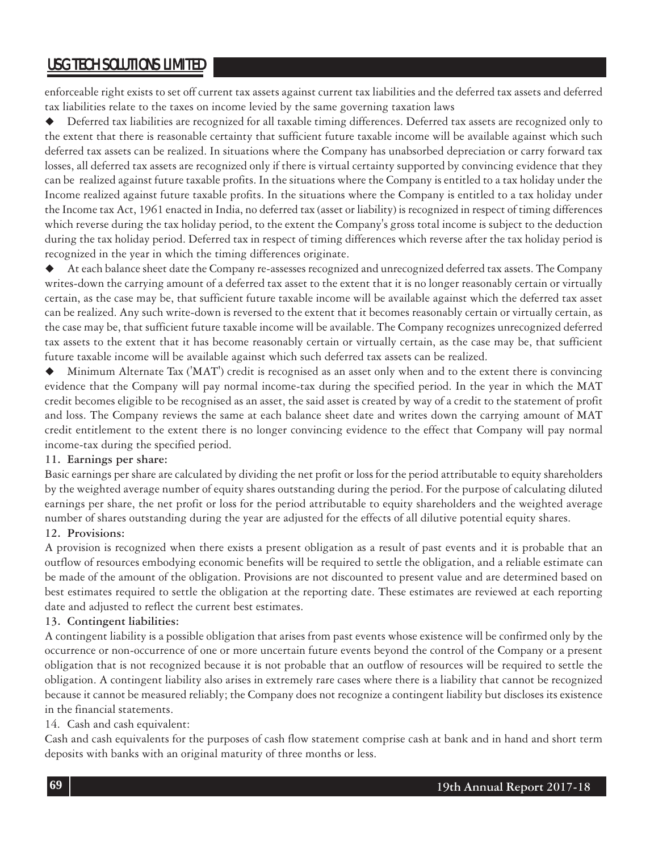enforceable right exists to set off current tax assets against current tax liabilities and the deferred tax assets and deferred tax liabilities relate to the taxes on income levied by the same governing taxation laws

 Deferred tax liabilities are recognized for all taxable timing differences. Deferred tax assets are recognized only to the extent that there is reasonable certainty that sufficient future taxable income will be available against which such deferred tax assets can be realized. In situations where the Company has unabsorbed depreciation or carry forward tax losses, all deferred tax assets are recognized only if there is virtual certainty supported by convincing evidence that they can be realized against future taxable profits. In the situations where the Company is entitled to a tax holiday under the Income realized against future taxable profits. In the situations where the Company is entitled to a tax holiday under the Income tax Act, 1961 enacted in India, no deferred tax (asset or liability) is recognized in respect of timing differences which reverse during the tax holiday period, to the extent the Company's gross total income is subject to the deduction during the tax holiday period. Deferred tax in respect of timing differences which reverse after the tax holiday period is recognized in the year in which the timing differences originate.

 At each balance sheet date the Company re-assesses recognized and unrecognized deferred tax assets. The Company writes-down the carrying amount of a deferred tax asset to the extent that it is no longer reasonably certain or virtually certain, as the case may be, that sufficient future taxable income will be available against which the deferred tax asset can be realized. Any such write-down is reversed to the extent that it becomes reasonably certain or virtually certain, as the case may be, that sufficient future taxable income will be available. The Company recognizes unrecognized deferred tax assets to the extent that it has become reasonably certain or virtually certain, as the case may be, that sufficient future taxable income will be available against which such deferred tax assets can be realized.

 Minimum Alternate Tax ('MAT') credit is recognised as an asset only when and to the extent there is convincing evidence that the Company will pay normal income-tax during the specified period. In the year in which the MAT credit becomes eligible to be recognised as an asset, the said asset is created by way of a credit to the statement of profit and loss. The Company reviews the same at each balance sheet date and writes down the carrying amount of MAT credit entitlement to the extent there is no longer convincing evidence to the effect that Company will pay normal income-tax during the specified period.

#### **11. Earnings per share:**

Basic earnings per share are calculated by dividing the net profit or loss for the period attributable to equity shareholders by the weighted average number of equity shares outstanding during the period. For the purpose of calculating diluted earnings per share, the net profit or loss for the period attributable to equity shareholders and the weighted average number of shares outstanding during the year are adjusted for the effects of all dilutive potential equity shares.

#### **12. Provisions:**

A provision is recognized when there exists a present obligation as a result of past events and it is probable that an outflow of resources embodying economic benefits will be required to settle the obligation, and a reliable estimate can be made of the amount of the obligation. Provisions are not discounted to present value and are determined based on best estimates required to settle the obligation at the reporting date. These estimates are reviewed at each reporting date and adjusted to reflect the current best estimates.

#### **13. Contingent liabilities:**

A contingent liability is a possible obligation that arises from past events whose existence will be confirmed only by the occurrence or non-occurrence of one or more uncertain future events beyond the control of the Company or a present obligation that is not recognized because it is not probable that an outflow of resources will be required to settle the obligation. A contingent liability also arises in extremely rare cases where there is a liability that cannot be recognized because it cannot be measured reliably; the Company does not recognize a contingent liability but discloses its existence in the financial statements.

#### 14. Cash and cash equivalent:

Cash and cash equivalents for the purposes of cash flow statement comprise cash at bank and in hand and short term deposits with banks with an original maturity of three months or less.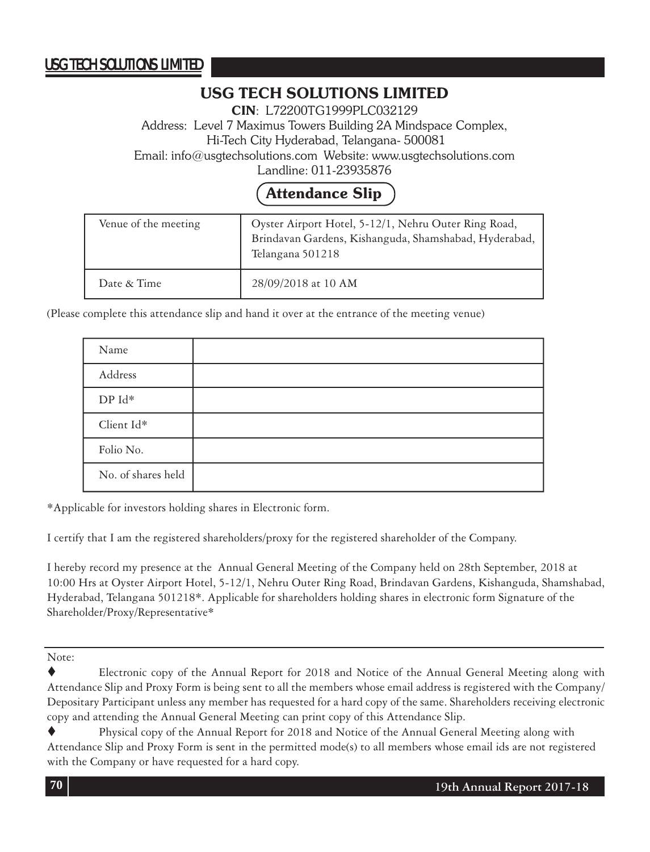### **USG TECH SOLUTIONS LIMITED**

**CIN**: L72200TG1999PLC032129

Address: Level 7 Maximus Towers Building 2A Mindspace Complex, Hi-Tech City Hyderabad, Telangana- 500081

Email: info@usgtechsolutions.com Website: www.usgtechsolutions.com

Landline: 011-23935876

# **Attendance Slip**

| Venue of the meeting | Oyster Airport Hotel, 5-12/1, Nehru Outer Ring Road,<br>Brindavan Gardens, Kishanguda, Shamshabad, Hyderabad,<br>Telangana 501218 |
|----------------------|-----------------------------------------------------------------------------------------------------------------------------------|
| Date & Time          | 28/09/2018 at 10 AM                                                                                                               |

(Please complete this attendance slip and hand it over at the entrance of the meeting venue)

| Name                  |  |
|-----------------------|--|
| Address               |  |
| ${\rm DP}\:{\rm Id}*$ |  |
| Client Id*            |  |
| Folio No.             |  |
| No. of shares held    |  |

\*Applicable for investors holding shares in Electronic form.

I certify that I am the registered shareholders/proxy for the registered shareholder of the Company.

I hereby record my presence at the Annual General Meeting of the Company held on 28th September, 2018 at 10:00 Hrs at Oyster Airport Hotel, 5-12/1, Nehru Outer Ring Road, Brindavan Gardens, Kishanguda, Shamshabad, Hyderabad, Telangana 501218\*. Applicable for shareholders holding shares in electronic form Signature of the Shareholder/Proxy/Representative\*

Note:

Electronic copy of the Annual Report for 2018 and Notice of the Annual General Meeting along with Attendance Slip and Proxy Form is being sent to all the members whose email address is registered with the Company/ Depositary Participant unless any member has requested for a hard copy of the same. Shareholders receiving electronic copy and attending the Annual General Meeting can print copy of this Attendance Slip.

Physical copy of the Annual Report for 2018 and Notice of the Annual General Meeting along with Attendance Slip and Proxy Form is sent in the permitted mode(s) to all members whose email ids are not registered with the Company or have requested for a hard copy.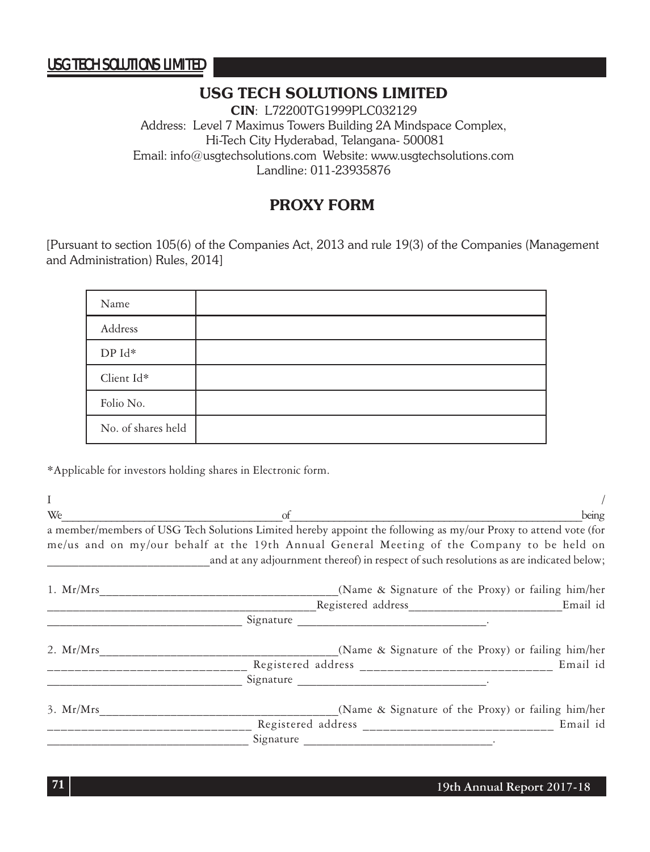### **USG TECH SOLUTIONS LIMITED**

**CIN**: L72200TG1999PLC032129 Address: Level 7 Maximus Towers Building 2A Mindspace Complex, Hi-Tech City Hyderabad, Telangana- 500081 Email: info@usgtechsolutions.com Website: www.usgtechsolutions.com Landline: 011-23935876

### **PROXY FORM**

[Pursuant to section 105(6) of the Companies Act, 2013 and rule 19(3) of the Companies (Management and Administration) Rules, 2014]

| Name               |  |
|--------------------|--|
| Address            |  |
| DP Id*             |  |
| Client Id*         |  |
| Folio No.          |  |
| No. of shares held |  |

\*Applicable for investors holding shares in Electronic form.

 $\frac{1}{2}$  /  $W_e$  being a member/members of USG Tech Solutions Limited hereby appoint the following as my/our Proxy to attend vote (for me/us and on my/our behalf at the 19th Annual General Meeting of the Company to be held on and at any adjournment thereof) in respect of such resolutions as are indicated below; 1. Mr/Mrs\_\_\_\_\_\_\_\_\_\_\_\_\_\_\_\_\_\_\_\_\_\_\_\_\_\_\_\_\_\_\_\_\_\_\_\_\_(Name & Signature of the Proxy) or failing him/her \_\_\_\_\_\_\_\_\_\_\_\_\_\_\_\_\_\_\_\_\_\_\_\_\_\_\_\_\_\_\_\_\_\_\_\_\_\_\_\_\_\_Registered address\_\_\_\_\_\_\_\_\_\_\_\_\_\_\_\_\_\_\_\_\_\_\_\_Email id Signature <u>\_\_\_\_\_\_\_\_\_\_\_\_\_\_\_\_\_\_\_\_\_\_\_\_\_\_\_\_\_\_\_\_\_</u> 2. Mr/Mrs\_\_\_\_\_\_\_\_\_\_\_\_\_\_\_\_\_\_\_\_\_\_\_\_\_\_\_\_\_\_\_\_\_\_\_\_\_(Name & Signature of the Proxy) or failing him/her \_\_\_\_\_\_\_\_\_\_\_\_\_\_\_\_\_\_\_\_\_\_\_\_\_\_\_\_\_ Registered address \_\_\_\_\_\_\_\_\_\_\_\_\_\_\_\_\_\_\_\_\_\_\_\_\_\_\_\_ Email id \_\_\_\_\_\_\_\_\_\_\_\_\_\_\_\_\_\_\_\_\_\_\_\_\_\_\_\_\_\_\_ Signature \_\_\_\_\_\_\_\_\_\_\_\_\_\_\_\_\_\_\_\_\_\_\_\_\_\_\_\_\_\_. 3. Mr/Mrs\_\_\_\_\_\_\_\_\_\_\_\_\_\_\_\_\_\_\_\_\_\_\_\_\_\_\_\_\_\_\_\_\_\_\_\_\_(Name & Signature of the Proxy) or failing him/her \_\_\_\_\_\_\_\_\_\_\_\_\_\_\_\_\_\_\_\_\_\_\_\_\_\_\_\_\_\_ Registered address \_\_\_\_\_\_\_\_\_\_\_\_\_\_\_\_\_\_\_\_\_\_\_\_\_\_\_\_ Email id  $Sigma =$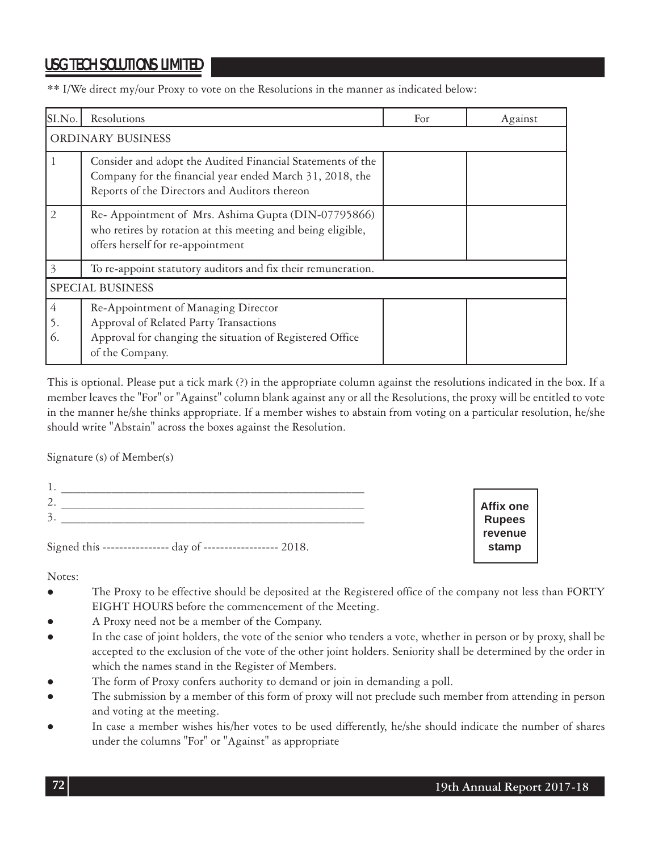## USG TECH SOLUTIONS LIMITED

\*\* I/We direct my/our Proxy to vote on the Resolutions in the manner as indicated below:

| SI.No.                  | Resolutions                                                                                                                                                             | For | Against |  |
|-------------------------|-------------------------------------------------------------------------------------------------------------------------------------------------------------------------|-----|---------|--|
| ORDINARY BUSINESS       |                                                                                                                                                                         |     |         |  |
|                         | Consider and adopt the Audited Financial Statements of the<br>Company for the financial year ended March 31, 2018, the<br>Reports of the Directors and Auditors thereon |     |         |  |
| $\mathcal{P}$           | Re- Appointment of Mrs. Ashima Gupta (DIN-07795866)<br>who retires by rotation at this meeting and being eligible,<br>offers herself for re-appointment                 |     |         |  |
| 3                       | To re-appoint statutory auditors and fix their remuneration.                                                                                                            |     |         |  |
| <b>SPECIAL BUSINESS</b> |                                                                                                                                                                         |     |         |  |
| 4<br>5.<br>6.           | Re-Appointment of Managing Director<br>Approval of Related Party Transactions<br>Approval for changing the situation of Registered Office<br>of the Company.            |     |         |  |

This is optional. Please put a tick mark (?) in the appropriate column against the resolutions indicated in the box. If a member leaves the "For" or "Against" column blank against any or all the Resolutions, the proxy will be entitled to vote in the manner he/she thinks appropriate. If a member wishes to abstain from voting on a particular resolution, he/she should write "Abstain" across the boxes against the Resolution.

Signature (s) of Member(s)

| . .                               |               |
|-----------------------------------|---------------|
| $\sqrt{2}$<br>∼                   | Affix one     |
| 3.                                | <b>Rupees</b> |
|                                   | revenue       |
| Signed this ------<br>2018<br>day | stamp         |

Notes:

- The Proxy to be effective should be deposited at the Registered office of the company not less than FORTY EIGHT HOURS before the commencement of the Meeting.
- A Proxy need not be a member of the Company.
- In the case of joint holders, the vote of the senior who tenders a vote, whether in person or by proxy, shall be accepted to the exclusion of the vote of the other joint holders. Seniority shall be determined by the order in which the names stand in the Register of Members.
- The form of Proxy confers authority to demand or join in demanding a poll.
- The submission by a member of this form of proxy will not preclude such member from attending in person and voting at the meeting.
- In case a member wishes his/her votes to be used differently, he/she should indicate the number of shares under the columns "For" or "Against" as appropriate